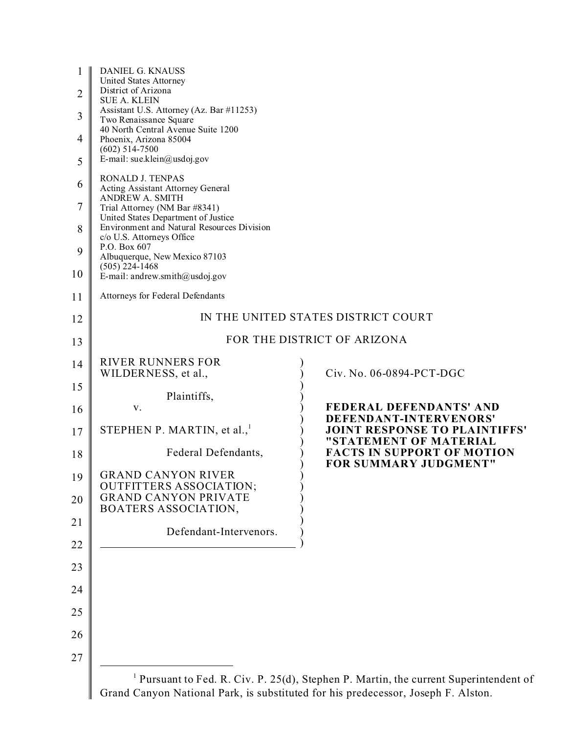| $\mathbf{1}$   | DANIEL G. KNAUSS<br>United States Attorney                                                     |                                                                                          |
|----------------|------------------------------------------------------------------------------------------------|------------------------------------------------------------------------------------------|
| $\overline{2}$ | District of Arizona<br><b>SUE A. KLEIN</b>                                                     |                                                                                          |
| $\overline{3}$ | Assistant U.S. Attorney (Az. Bar #11253)<br>Two Renaissance Square                             |                                                                                          |
| 4              | 40 North Central Avenue Suite 1200<br>Phoenix, Arizona 85004<br>$(602)$ 514-7500               |                                                                                          |
| 5              | E-mail: sue.klein@usdoj.gov                                                                    |                                                                                          |
| 6              | RONALD J. TENPAS<br>Acting Assistant Attorney General                                          |                                                                                          |
| $\tau$         | <b>ANDREW A. SMITH</b><br>Trial Attorney (NM Bar #8341)<br>United States Department of Justice |                                                                                          |
| 8              | Environment and Natural Resources Division<br>c/o U.S. Attorneys Office                        |                                                                                          |
| 9              | P.O. Box 607<br>Albuquerque, New Mexico 87103<br>$(505)$ 224-1468                              |                                                                                          |
| 10             | E-mail: andrew.smith@usdoj.gov                                                                 |                                                                                          |
| 11             | Attorneys for Federal Defendants                                                               |                                                                                          |
| 12             |                                                                                                | IN THE UNITED STATES DISTRICT COURT                                                      |
| 13             |                                                                                                | FOR THE DISTRICT OF ARIZONA                                                              |
| 14             | <b>RIVER RUNNERS FOR</b><br>WILDERNESS, et al.,                                                | Civ. No. 06-0894-PCT-DGC                                                                 |
| 15             |                                                                                                |                                                                                          |
| 16             | Plaintiffs,<br>V.                                                                              | FEDERAL DEFENDANTS' AND                                                                  |
| 17             | STEPHEN P. MARTIN, et al., $1$                                                                 | DEFENDANT-INTERVENORS'<br><b>JOINT RESPONSE TO PLAINTIFFS'</b><br>"STATEMENT OF MATERIAL |
| 18             | Federal Defendants,                                                                            | <b>FACTS IN SUPPORT OF MOTION</b><br>FOR SUMMARY JUDGMENT"                               |
| 19             | <b>GRAND CANYON RIVER</b><br><b>OUTFITTERS ASSOCIATION;</b>                                    |                                                                                          |
| 20             | <b>GRAND CANYON PRIVATE</b><br>BOATERS ASSOCIATION,                                            |                                                                                          |
| 21             | Defendant-Intervenors.                                                                         |                                                                                          |
| 22             |                                                                                                |                                                                                          |
| 23             |                                                                                                |                                                                                          |
| 24             |                                                                                                |                                                                                          |
| 25             |                                                                                                |                                                                                          |
| 26             |                                                                                                |                                                                                          |
| 27             |                                                                                                |                                                                                          |
|                | $\frac{1}{2}$ Dynamont to End, D. Civ. D. 25(d). Stophen D. Mortin, the ourse                  |                                                                                          |

<sup>1</sup> Pursuant to Fed. R. Civ. P. 25(d), Stephen P. Martin, the current Superintendent of Grand Canyon National Park, is substituted for his predecessor, Joseph F. Alston.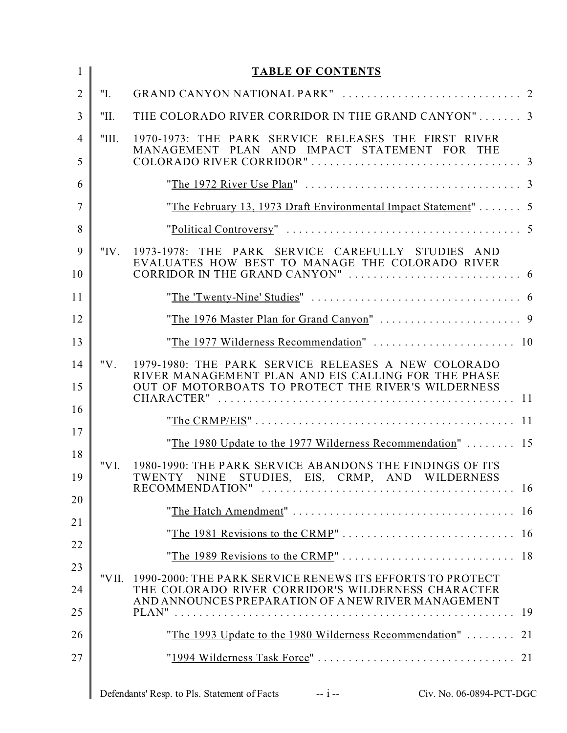| 1              |         | <b>TABLE OF CONTENTS</b>                                                                                                                                               |  |
|----------------|---------|------------------------------------------------------------------------------------------------------------------------------------------------------------------------|--|
| $\overline{2}$ | "I.     |                                                                                                                                                                        |  |
| $\overline{3}$ | "П.     | THE COLORADO RIVER CORRIDOR IN THE GRAND CANYON" 3                                                                                                                     |  |
| $\overline{4}$ | "III.   | 1970-1973: THE PARK SERVICE RELEASES THE FIRST RIVER<br>MANAGEMENT PLAN AND IMPACT STATEMENT FOR THE                                                                   |  |
| 5              |         |                                                                                                                                                                        |  |
| 6              |         |                                                                                                                                                                        |  |
| $\overline{7}$ |         | "The February 13, 1973 Draft Environmental Impact Statement"  5                                                                                                        |  |
| 8              |         |                                                                                                                                                                        |  |
| 9<br>10        | " $IV.$ | 1973-1978: THE PARK SERVICE CAREFULLY STUDIES AND<br>EVALUATES HOW BEST TO MANAGE THE COLORADO RIVER                                                                   |  |
| 11             |         |                                                                                                                                                                        |  |
| 12             |         |                                                                                                                                                                        |  |
| 13             |         | "The 1977 Wilderness Recommendation"  10                                                                                                                               |  |
| 14<br>15       | " $V$ . | 1979-1980: THE PARK SERVICE RELEASES A NEW COLORADO<br>RIVER MANAGEMENT PLAN AND EIS CALLING FOR THE PHASE<br>OUT OF MOTORBOATS TO PROTECT THE RIVER'S WILDERNESS      |  |
| 16             |         |                                                                                                                                                                        |  |
| 17             |         |                                                                                                                                                                        |  |
| 18             |         | "The 1980 Update to the 1977 Wilderness Recommendation"  15                                                                                                            |  |
| 19             | "VI.    | 1980-1990: THE PARK SERVICE ABANDONS THE FINDINGS OF ITS<br>TWENTY NINE STUDIES, EIS, CRMP, AND WILDERNESS                                                             |  |
| 20             |         |                                                                                                                                                                        |  |
| 21             |         |                                                                                                                                                                        |  |
| 22             |         |                                                                                                                                                                        |  |
| 23<br>24       | "VII.   | 1990-2000: THE PARK SERVICE RENEWS ITS EFFORTS TO PROTECT<br>THE COLORADO RIVER CORRIDOR'S WILDERNESS CHARACTER<br>AND ANNOUNCES PREPARATION OF A NEW RIVER MANAGEMENT |  |
| 25             |         |                                                                                                                                                                        |  |
| 26             |         | "The 1993 Update to the 1980 Wilderness Recommendation"  21                                                                                                            |  |
| 27             |         |                                                                                                                                                                        |  |
|                |         |                                                                                                                                                                        |  |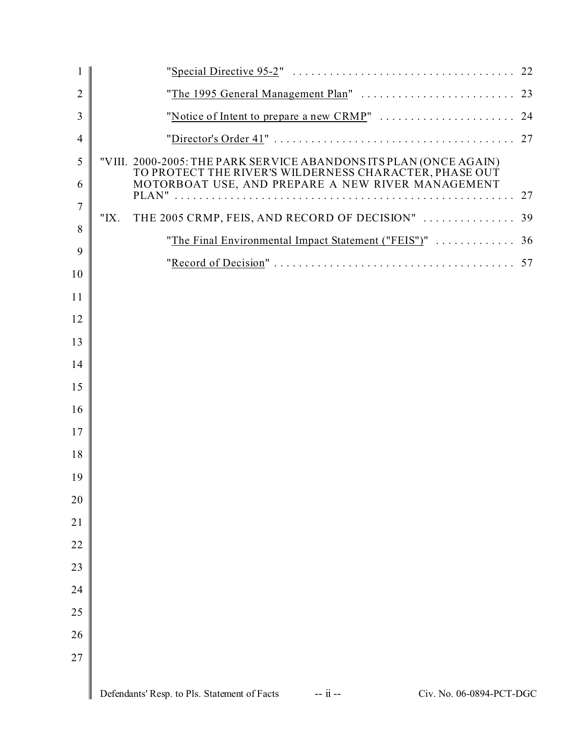| $\mathbf{1}$   |                                                                                                             |  |
|----------------|-------------------------------------------------------------------------------------------------------------|--|
| $\overline{2}$ |                                                                                                             |  |
| 3              |                                                                                                             |  |
| $\overline{4}$ |                                                                                                             |  |
| 5              | "VIII. 2000-2005: THE PARK SERVICE ABANDONS ITS PLAN (ONCE AGAIN)                                           |  |
| 6              | TO PROTECT THE RIVER'S WILDERNESS CHARACTER, PHASE OUT<br>MOTORBOAT USE, AND PREPARE A NEW RIVER MANAGEMENT |  |
| $\overline{7}$ |                                                                                                             |  |
| 8              | THE 2005 CRMP, FEIS, AND RECORD OF DECISION"  39<br>" $IX.$                                                 |  |
| 9              | "The Final Environmental Impact Statement ("FEIS")"  36                                                     |  |
| 10             |                                                                                                             |  |
| 11             |                                                                                                             |  |
| 12             |                                                                                                             |  |
| 13             |                                                                                                             |  |
| 14             |                                                                                                             |  |
| 15             |                                                                                                             |  |
| 16             |                                                                                                             |  |
| 17             |                                                                                                             |  |
| 18             |                                                                                                             |  |
| 19             |                                                                                                             |  |
| 20             |                                                                                                             |  |
| 21             |                                                                                                             |  |
| 22             |                                                                                                             |  |
| 23             |                                                                                                             |  |
| 24             |                                                                                                             |  |
| 25             |                                                                                                             |  |
| 26             |                                                                                                             |  |
| 27             |                                                                                                             |  |
|                |                                                                                                             |  |
|                | Defendants' Resp. to Pls. Statement of Facts<br>-- ii --<br>Civ. No. 06-0894-PCT-DGC                        |  |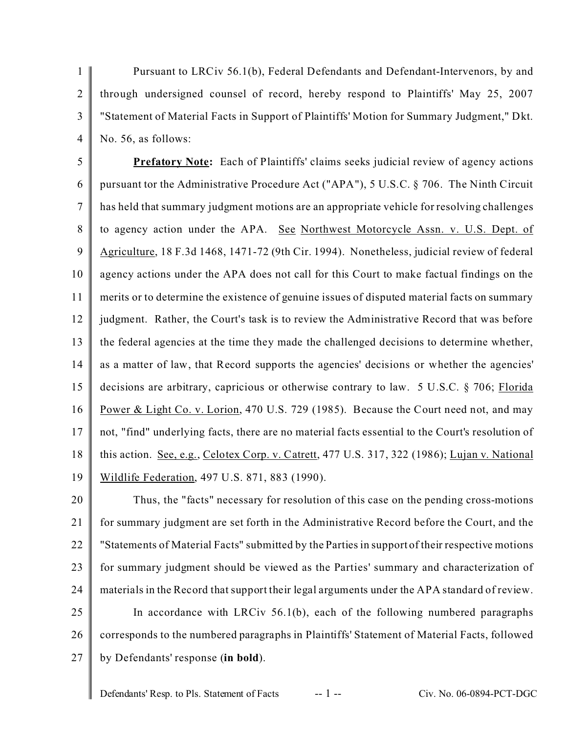1  $\overline{2}$ 3 4 Pursuant to LRCiv 56.1(b), Federal Defendants and Defendant-Intervenors, by and through undersigned counsel of record, hereby respond to Plaintiffs' May 25, 2007 "Statement of Material Facts in Support of Plaintiffs' Motion for Summary Judgment," Dkt. No. 56, as follows:

5 6 7 8 9 10 11 12 13 14 15 16 17 18 19 **Prefatory Note:** Each of Plaintiffs' claims seeks judicial review of agency actions pursuant tor the Administrative Procedure Act ("APA"), 5 U.S.C. § 706. The Ninth Circuit has held that summary judgment motions are an appropriate vehicle for resolving challenges to agency action under the APA. See Northwest Motorcycle Assn. v. U.S. Dept. of Agriculture, 18 F.3d 1468, 1471-72 (9th Cir. 1994). Nonetheless, judicial review of federal agency actions under the APA does not call for this Court to make factual findings on the merits or to determine the existence of genuine issues of disputed material facts on summary judgment. Rather, the Court's task is to review the Administrative Record that was before the federal agencies at the time they made the challenged decisions to determine whether, as a matter of law, that Record supports the agencies' decisions or whether the agencies' decisions are arbitrary, capricious or otherwise contrary to law. 5 U.S.C. § 706; Florida Power & Light Co. v. Lorion, 470 U.S. 729 (1985). Because the Court need not, and may not, "find" underlying facts, there are no material facts essential to the Court's resolution of this action. See, e.g., Celotex Corp. v. Catrett, 477 U.S. 317, 322 (1986); Lujan v. National Wildlife Federation, 497 U.S. 871, 883 (1990).

20 21 22 23 24 25 26 27 Thus, the "facts" necessary for resolution of this case on the pending cross-motions for summary judgment are set forth in the Administrative Record before the Court, and the "Statements of Material Facts" submitted by the Parties in support of their respective motions for summary judgment should be viewed as the Parties' summary and characterization of materials in the Record that support their legal arguments under the APA standard of review. In accordance with LRCiv 56.1(b), each of the following numbered paragraphs corresponds to the numbered paragraphs in Plaintiffs' Statement of Material Facts, followed by Defendants' response (**in bold**).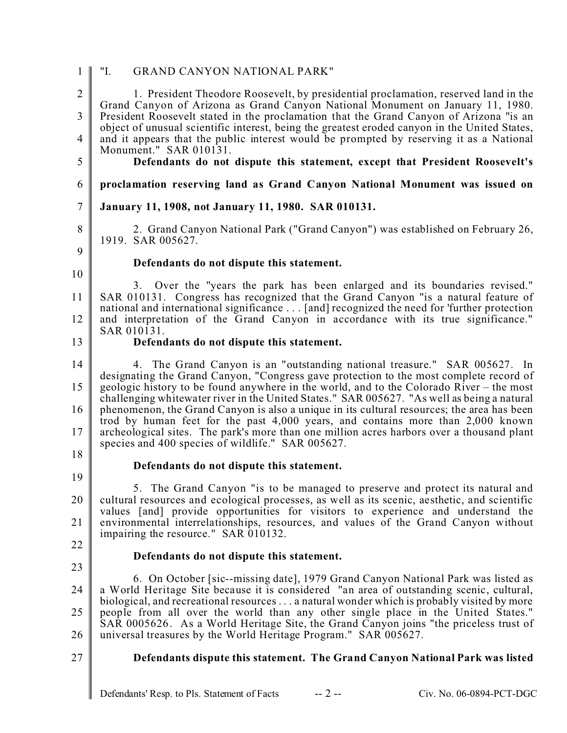| $\mathbf{1}$                     | "I.<br><b>GRAND CANYON NATIONAL PARK"</b>                                                                                                                                                                                                                                                                                                                      |
|----------------------------------|----------------------------------------------------------------------------------------------------------------------------------------------------------------------------------------------------------------------------------------------------------------------------------------------------------------------------------------------------------------|
| $\overline{2}$<br>$\overline{3}$ | 1. President Theodore Roosevelt, by presidential proclamation, reserved land in the<br>Grand Canyon of Arizona as Grand Canyon National Monument on January 11, 1980.<br>President Roosevelt stated in the proclamation that the Grand Canyon of Arizona "is an                                                                                                |
| $\overline{4}$                   | object of unusual scientific interest, being the greatest eroded canyon in the United States,<br>and it appears that the public interest would be prompted by reserving it as a National                                                                                                                                                                       |
| 5                                | Monument." SAR 010131.<br>Defendants do not dispute this statement, except that President Roosevelt's                                                                                                                                                                                                                                                          |
| 6                                | proclamation reserving land as Grand Canyon National Monument was issued on                                                                                                                                                                                                                                                                                    |
| $\boldsymbol{7}$                 | January 11, 1908, not January 11, 1980. SAR 010131.                                                                                                                                                                                                                                                                                                            |
| 8<br>9                           | 2. Grand Canyon National Park ("Grand Canyon") was established on February 26,<br>1919. SAR 005627.                                                                                                                                                                                                                                                            |
|                                  | Defendants do not dispute this statement.                                                                                                                                                                                                                                                                                                                      |
| 10<br>11                         | 3. Over the "years the park has been enlarged and its boundaries revised."<br>SAR 010131. Congress has recognized that the Grand Canyon "is a natural feature of                                                                                                                                                                                               |
| 12                               | national and international significance  [and] recognized the need for 'further protection<br>and interpretation of the Grand Canyon in accordance with its true significance."                                                                                                                                                                                |
| 13                               | SAR 010131.<br>Defendants do not dispute this statement.                                                                                                                                                                                                                                                                                                       |
| 14<br>15                         | 4. The Grand Canyon is an "outstanding national treasure." SAR 005627. In<br>designating the Grand Canyon, "Congress gave protection to the most complete record of<br>geologic history to be found anywhere in the world, and to the Colorado River – the most<br>challenging whitewater river in the United States." SAR 005627. "As well as being a natural |
| 16<br>17                         | phenomenon, the Grand Canyon is also a unique in its cultural resources; the area has been<br>trod by human feet for the past 4,000 years, and contains more than 2,000 known<br>archeological sites. The park's more than one million acres harbors over a thousand plant<br>species and 400 species of wildlife." SAR 005627.                                |
| 18                               | Defendants do not dispute this statement.                                                                                                                                                                                                                                                                                                                      |
| 19                               |                                                                                                                                                                                                                                                                                                                                                                |
| 20                               | 5. The Grand Canyon "is to be managed to preserve and protect its natural and<br>cultural resources and ecological processes, as well as its scenic, aesthetic, and scientific<br>values [and] provide opportunities for visitors to experience and understand the                                                                                             |
| 21                               | environmental interrelationships, resources, and values of the Grand Canyon without<br>impairing the resource." SAR 010132.                                                                                                                                                                                                                                    |
| 22                               | Defendants do not dispute this statement.                                                                                                                                                                                                                                                                                                                      |
| 23                               | 6. On October [sic--missing date], 1979 Grand Canyon National Park was listed as                                                                                                                                                                                                                                                                               |
| 24<br>25                         | a World Heritage Site because it is considered "an area of outstanding scenic, cultural,<br>biological, and recreational resources  a natural wonder which is probably visited by more<br>people from all over the world than any other single place in the United States."                                                                                    |
| 26                               | SAR 0005626. As a World Heritage Site, the Grand Canyon joins "the priceless trust of<br>universal treasures by the World Heritage Program." SAR 005627.                                                                                                                                                                                                       |
| 27                               | Defendants dispute this statement. The Grand Canyon National Park was listed                                                                                                                                                                                                                                                                                   |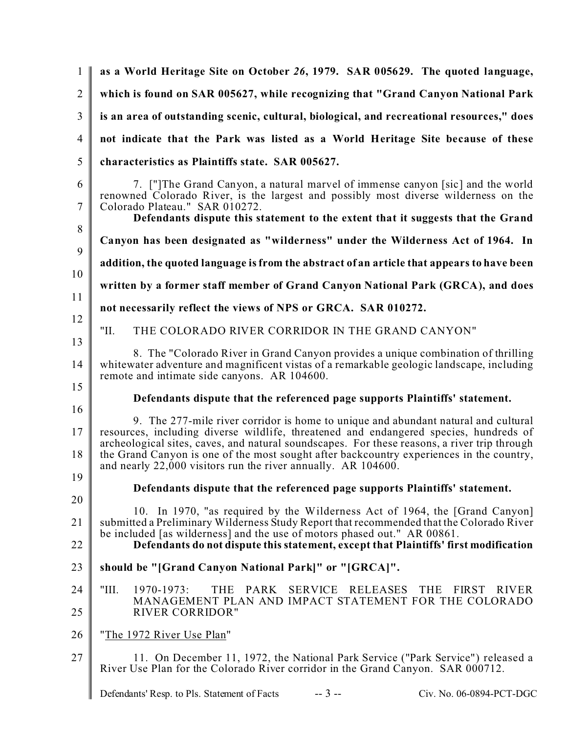1  $\mathfrak{D}$ 3 4 5 6 7 8 9 10 11 12 13 14 15 16 17 18 19 20 21 22 23 24 25 26 27 **as a World Heritage Site on October** *26***, 1979. SAR 005629. The quoted language, which is found on SAR 005627, while recognizing that "Grand Canyon National Park is an area of outstanding scenic, cultural, biological, and recreational resources," does not indicate that the Park was listed as a World Heritage Site because of these characteristics as Plaintiffs state. SAR 005627.** 7. ["]The Grand Canyon, a natural marvel of immense canyon [sic] and the world renowned Colorado River, is the largest and possibly most diverse wilderness on the Colorado Plateau." SAR 010272. **Defendants dispute this statement to the extent that it suggests that the Grand Canyon has been designated as "wilderness" under the Wilderness Act of 1964. In addition, the quoted language is from the abstract of an article that appears to have been written by a former staff member of Grand Canyon National Park (GRCA), and does not necessarily reflect the views of NPS or GRCA. SAR 010272.** "II. THE COLORADO RIVER CORRIDOR IN THE GRAND CANYON" 8. The "Colorado River in Grand Canyon provides a unique combination of thrilling whitewater adventure and magnificent vistas of a remarkable geologic landscape, including remote and intimate side canyons. AR 104600. **Defendants dispute that the referenced page supports Plaintiffs' statement.** 9. The 277-mile river corridor is home to unique and abundant natural and cultural resources, including diverse wildlife, threatened and endangered species, hundreds of archeological sites, caves, and natural soundscapes. For these reasons, a river trip through the Grand Canyon is one of the most sought after backcountry experiences in the country, and nearly 22,000 visitors run the river annually. AR 104600. **Defendants dispute that the referenced page supports Plaintiffs' statement.** 10. In 1970, "as required by the Wilderness Act of 1964, the [Grand Canyon] submitted a Preliminary Wilderness Study Report that recommended that the Colorado River be included [as wilderness] and the use of motors phased out." AR 00861. **Defendants do not dispute this statement, except that Plaintiffs' first modification should be "[Grand Canyon National Park]" or "[GRCA]".** "III. 1970-1973: THE PARK SERVICE RELEASES THE FIRST RIVER MANAGEMENT PLAN AND IMPACT STATEMENT FOR THE COLORADO RIVER CORRIDOR" "The 1972 River Use Plan" 11. On December 11, 1972, the National Park Service ("Park Service") released a River Use Plan for the Colorado River corridor in the Grand Canyon. SAR 000712.

Defendants' Resp. to Pls. Statement of Facts -- 3 -- Civ. No. 06-0894-PCT-DGC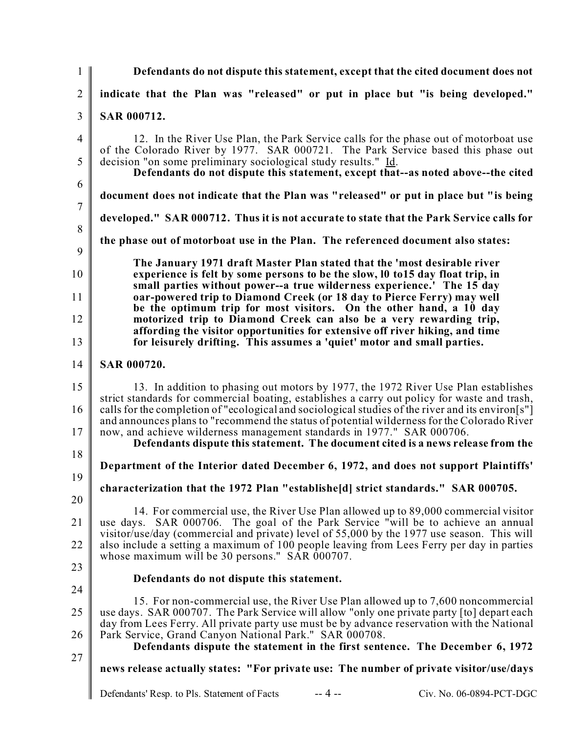1  $\mathfrak{D}$ 3 4 5 6 7 8 9 10 11 12 13 14 15 16 17 18 19 20 21 22 23 24 25 26 27 **Defendants do not dispute this statement, except that the cited document does not indicate that the Plan was "released" or put in place but "is being developed." SAR 000712.** 12. In the River Use Plan, the Park Service calls for the phase out of motorboat use of the Colorado River by 1977. SAR 000721. The Park Service based this phase out decision "on some preliminary sociological study results." Id. **Defendants do not dispute this statement, except that--as noted above--the cited document does not indicate that the Plan was "released" or put in place but "is being developed." SAR 000712. Thus it is not accurate to state that the Park Service calls for the phase out of motorboat use in the Plan. The referenced document also states: The January 1971 draft Master Plan stated that the 'most desirable river experience is felt by some persons to be the slow, l0 to15 day float trip, in small parties without power--a true wilderness experience.' The 15 day oar-powered trip to Diamond Creek (or 18 day to Pierce Ferry) may well be the optimum trip for most visitors. On the other hand, a 10 day motorized trip to Diamond Creek can also be a very rewarding trip, affording the visitor opportunities for extensive off river hiking, and time for leisurely drifting. This assumes a 'quiet' motor and small parties. SAR 000720.** 13. In addition to phasing out motors by 1977, the 1972 River Use Plan establishes strict standards for commercial boating, establishes a carry out policy for waste and trash, calls for the completion of "ecological and sociological studies of the river and its environ[s"] and announces plans to "recommend the status of potential wilderness for the Colorado River now, and achieve wilderness management standards in 1977." SAR 000706. **Defendants dispute this statement. The document cited is a news release from the Department of the Interior dated December 6, 1972, and does not support Plaintiffs' characterization that the 1972 Plan "establishe[d] strict standards." SAR 000705.** 14. For commercial use, the River Use Plan allowed up to 89,000 commercial visitor use days. SAR 000706. The goal of the Park Service "will be to achieve an annual visitor/use/day (commercial and private) level of 55,000 by the 1977 use season. This will also include a setting a maximum of 100 people leaving from Lees Ferry per day in parties whose maximum will be 30 persons." SAR  $0.00707$ . **Defendants do not dispute this statement.** 15. For non-commercial use, the River Use Plan allowed up to 7,600 noncommercial use days. SAR 000707. The Park Service will allow "only one private party [to] depart each day from Lees Ferry. All private party use must be by advance reservation with the National Park Service, Grand Canyon National Park." SAR 000708. **Defendants dispute the statement in the first sentence. The December 6, 1972 news release actually states: "For private use: The number of private visitor/use/days**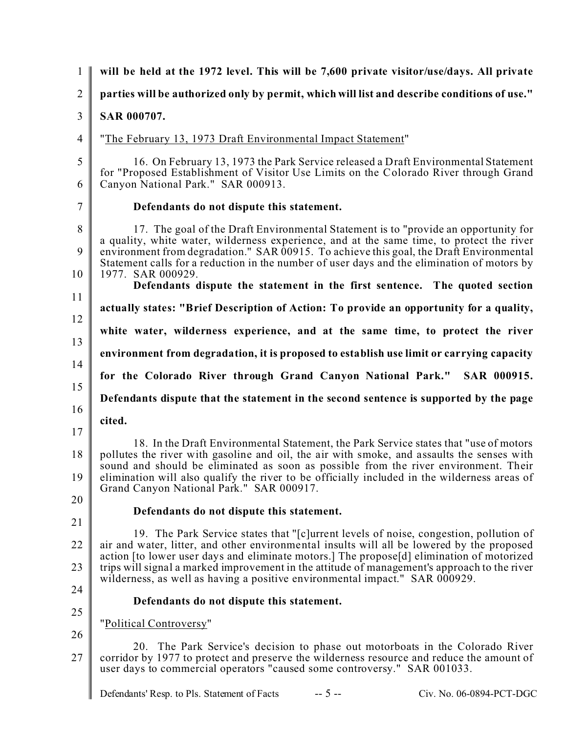| $\mathbf{1}$         | will be held at the 1972 level. This will be 7,600 private visitor/use/days. All private                                                                                                                                                                                                                                                                                                                                                                                      |
|----------------------|-------------------------------------------------------------------------------------------------------------------------------------------------------------------------------------------------------------------------------------------------------------------------------------------------------------------------------------------------------------------------------------------------------------------------------------------------------------------------------|
| $\overline{2}$       | parties will be authorized only by permit, which will list and describe conditions of use."                                                                                                                                                                                                                                                                                                                                                                                   |
| $\mathfrak{Z}$       | <b>SAR 000707.</b>                                                                                                                                                                                                                                                                                                                                                                                                                                                            |
| $\overline{4}$       | "The February 13, 1973 Draft Environmental Impact Statement"                                                                                                                                                                                                                                                                                                                                                                                                                  |
| $\mathfrak{S}$<br>6  | 16. On February 13, 1973 the Park Service released a Draft Environmental Statement<br>for "Proposed Establishment of Visitor Use Limits on the Colorado River through Grand<br>Canyon National Park." SAR 000913.                                                                                                                                                                                                                                                             |
| $\overline{7}$       | Defendants do not dispute this statement.                                                                                                                                                                                                                                                                                                                                                                                                                                     |
| 8<br>9<br>10         | 17. The goal of the Draft Environmental Statement is to "provide an opportunity for<br>a quality, white water, wilderness experience, and at the same time, to protect the river<br>environment from degradation." SAR 00915. To achieve this goal, the Draft Environmental<br>Statement calls for a reduction in the number of user days and the elimination of motors by<br>1977. SAR 000929.<br>Defendants dispute the statement in the first sentence. The quoted section |
| 11                   | actually states: "Brief Description of Action: To provide an opportunity for a quality,                                                                                                                                                                                                                                                                                                                                                                                       |
| 12                   | white water, wilderness experience, and at the same time, to protect the river                                                                                                                                                                                                                                                                                                                                                                                                |
| 13                   | environment from degradation, it is proposed to establish use limit or carrying capacity                                                                                                                                                                                                                                                                                                                                                                                      |
| 14                   | for the Colorado River through Grand Canyon National Park."<br>SAR 000915.                                                                                                                                                                                                                                                                                                                                                                                                    |
| 15                   | Defendants dispute that the statement in the second sentence is supported by the page                                                                                                                                                                                                                                                                                                                                                                                         |
| 16                   | cited.                                                                                                                                                                                                                                                                                                                                                                                                                                                                        |
| 17<br>18<br>19<br>20 | 18. In the Draft Environmental Statement, the Park Service states that "use of motors"<br>pollutes the river with gasoline and oil, the air with smoke, and assaults the senses with<br>sound and should be eliminated as soon as possible from the river environment. Their<br>elimination will also qualify the river to be officially included in the wilderness areas of<br>Grand Canyon National Park." SAR 000917.                                                      |
| 21                   | Defendants do not dispute this statement.                                                                                                                                                                                                                                                                                                                                                                                                                                     |
| 22<br>23             | 19. The Park Service states that "[c]urrent levels of noise, congestion, pollution of<br>air and water, litter, and other environmental insults will all be lowered by the proposed<br>action [to lower user days and eliminate motors.] The propose[d] elimination of motorized<br>trips will signal a marked improvement in the attitude of management's approach to the river<br>wilderness, as well as having a positive environmental impact." SAR 000929.               |
| 24                   | Defendants do not dispute this statement.                                                                                                                                                                                                                                                                                                                                                                                                                                     |
| 25                   | "Political Controversy"                                                                                                                                                                                                                                                                                                                                                                                                                                                       |
| 26<br>27             | 20. The Park Service's decision to phase out motorboats in the Colorado River<br>corridor by 1977 to protect and preserve the wilderness resource and reduce the amount of<br>user days to commercial operators "caused some controversy." SAR 001033.                                                                                                                                                                                                                        |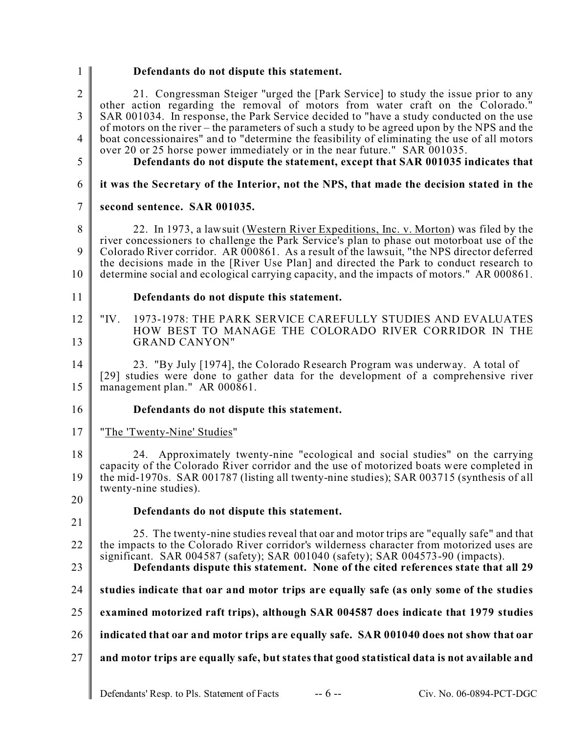| $\mathbf{1}$        | Defendants do not dispute this statement.                                                                                                                                                                                                                       |
|---------------------|-----------------------------------------------------------------------------------------------------------------------------------------------------------------------------------------------------------------------------------------------------------------|
| $\overline{2}$<br>3 | 21. Congressman Steiger "urged the [Park Service] to study the issue prior to any<br>other action regarding the removal of motors from water craft on the Colorado."<br>SAR 001034. In response, the Park Service decided to "have a study conducted on the use |
|                     | of motors on the river – the parameters of such a study to be agreed upon by the NPS and the                                                                                                                                                                    |
| $\overline{4}$      | boat concessionaires" and to "determine the feasibility of eliminating the use of all motors<br>over 20 or 25 horse power immediately or in the near future." SAR 001035.                                                                                       |
| 5                   | Defendants do not dispute the statement, except that SAR 001035 indicates that                                                                                                                                                                                  |
| 6                   | it was the Secretary of the Interior, not the NPS, that made the decision stated in the                                                                                                                                                                         |
| 7                   | second sentence. SAR 001035.                                                                                                                                                                                                                                    |
| 8                   | 22. In 1973, a lawsuit (Western River Expeditions, Inc. v. Morton) was filed by the                                                                                                                                                                             |
| 9                   | river concessioners to challenge the Park Service's plan to phase out motorboat use of the<br>Colorado River corridor. AR 000861. As a result of the lawsuit, "the NPS director deferred                                                                        |
| 10                  | the decisions made in the [River Use Plan] and directed the Park to conduct research to<br>determine social and ecological carrying capacity, and the impacts of motors." AR 000861.                                                                            |
| 11                  | Defendants do not dispute this statement.                                                                                                                                                                                                                       |
| 12<br>13            | "IV.<br>1973-1978: THE PARK SERVICE CAREFULLY STUDIES AND EVALUATES<br>HOW BEST TO MANAGE THE COLORADO RIVER CORRIDOR IN THE<br><b>GRAND CANYON"</b>                                                                                                            |
| 14                  |                                                                                                                                                                                                                                                                 |
| 15                  | 23. "By July [1974], the Colorado Research Program was underway. A total of<br>[29] studies were done to gather data for the development of a comprehensive river<br>management plan." AR 000861.                                                               |
| 16                  | Defendants do not dispute this statement.                                                                                                                                                                                                                       |
| 17                  | "The 'Twenty-Nine' Studies"                                                                                                                                                                                                                                     |
| 18                  | 24. Approximately twenty-nine "ecological and social studies" on the carrying<br>capacity of the Colorado River corridor and the use of motorized boats were completed in                                                                                       |
| 19                  | the mid-1970s. SAR 001787 (listing all twenty-nine studies); SAR 003715 (synthesis of all<br>twenty-nine studies).                                                                                                                                              |
| 20                  | Defendants do not dispute this statement.                                                                                                                                                                                                                       |
| 21                  | 25. The twenty-nine studies reveal that oar and motor trips are "equally safe" and that                                                                                                                                                                         |
| 22                  | the impacts to the Colorado River corridor's wilderness character from motorized uses are<br>significant. SAR 004587 (safety); SAR 001040 (safety); SAR 004573-90 (impacts).                                                                                    |
| 23                  | Defendants dispute this statement. None of the cited references state that all 29                                                                                                                                                                               |
| 24                  | studies indicate that oar and motor trips are equally safe (as only some of the studies                                                                                                                                                                         |
| 25                  | examined motorized raft trips), although SAR 004587 does indicate that 1979 studies                                                                                                                                                                             |
| 26                  | indicated that oar and motor trips are equally safe. SAR 001040 does not show that oar                                                                                                                                                                          |
| 27                  | and motor trips are equally safe, but states that good statistical data is not available and                                                                                                                                                                    |
|                     | $-6 -$<br>Defendants' Resp. to Pls. Statement of Facts<br>Civ. No. 06-0894-PCT-DGC                                                                                                                                                                              |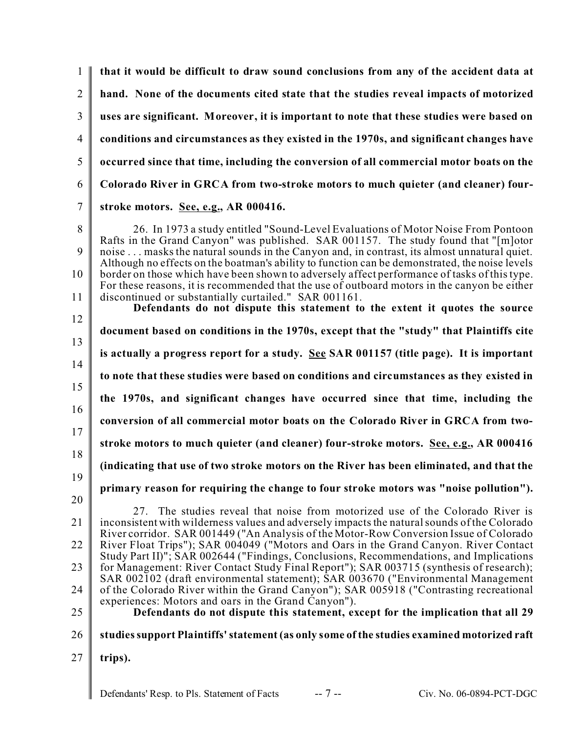| $\mathbf{1}$       | that it would be difficult to draw sound conclusions from any of the accident data at                                                                                                                                                                                                                                                                                                                                                                                                                                                                                                                                                                                                                             |
|--------------------|-------------------------------------------------------------------------------------------------------------------------------------------------------------------------------------------------------------------------------------------------------------------------------------------------------------------------------------------------------------------------------------------------------------------------------------------------------------------------------------------------------------------------------------------------------------------------------------------------------------------------------------------------------------------------------------------------------------------|
| $\overline{2}$     | hand. None of the documents cited state that the studies reveal impacts of motorized                                                                                                                                                                                                                                                                                                                                                                                                                                                                                                                                                                                                                              |
| 3                  | uses are significant. Moreover, it is important to note that these studies were based on                                                                                                                                                                                                                                                                                                                                                                                                                                                                                                                                                                                                                          |
| $\overline{4}$     | conditions and circumstances as they existed in the 1970s, and significant changes have                                                                                                                                                                                                                                                                                                                                                                                                                                                                                                                                                                                                                           |
| 5                  | occurred since that time, including the conversion of all commercial motor boats on the                                                                                                                                                                                                                                                                                                                                                                                                                                                                                                                                                                                                                           |
| 6                  | Colorado River in GRCA from two-stroke motors to much quieter (and cleaner) four-                                                                                                                                                                                                                                                                                                                                                                                                                                                                                                                                                                                                                                 |
| $\overline{7}$     | stroke motors. See, e.g., AR 000416.                                                                                                                                                                                                                                                                                                                                                                                                                                                                                                                                                                                                                                                                              |
| 8<br>9<br>10<br>11 | 26. In 1973 a study entitled "Sound-Level Evaluations of Motor Noise From Pontoon<br>Rafts in the Grand Canyon" was published. SAR 001157. The study found that "[m]otor<br>noise  masks the natural sounds in the Canyon and, in contrast, its almost unnatural quiet.<br>Although no effects on the boatman's ability to function can be demonstrated, the noise levels<br>border on those which have been shown to adversely affect performance of tasks of this type.<br>For these reasons, it is recommended that the use of outboard motors in the canyon be either<br>discontinued or substantially curtailed." SAR 001161.<br>Defendants do not dispute this statement to the extent it quotes the source |
| 12                 | document based on conditions in the 1970s, except that the "study" that Plaintiffs cite                                                                                                                                                                                                                                                                                                                                                                                                                                                                                                                                                                                                                           |
| 13<br>14           | is actually a progress report for a study. See SAR 001157 (title page). It is important                                                                                                                                                                                                                                                                                                                                                                                                                                                                                                                                                                                                                           |
| 15                 | to note that these studies were based on conditions and circumstances as they existed in                                                                                                                                                                                                                                                                                                                                                                                                                                                                                                                                                                                                                          |
| 16                 | the 1970s, and significant changes have occurred since that time, including the                                                                                                                                                                                                                                                                                                                                                                                                                                                                                                                                                                                                                                   |
| 17                 | conversion of all commercial motor boats on the Colorado River in GRCA from two-                                                                                                                                                                                                                                                                                                                                                                                                                                                                                                                                                                                                                                  |
| 18                 | stroke motors to much quieter (and cleaner) four-stroke motors. See, e.g., AR 000416                                                                                                                                                                                                                                                                                                                                                                                                                                                                                                                                                                                                                              |
| 19                 | (indicating that use of two stroke motors on the River has been eliminated, and that the                                                                                                                                                                                                                                                                                                                                                                                                                                                                                                                                                                                                                          |
| 20                 | primary reason for requiring the change to four stroke motors was "noise pollution").                                                                                                                                                                                                                                                                                                                                                                                                                                                                                                                                                                                                                             |
| 21                 | 27. The studies reveal that noise from motorized use of the Colorado River is<br>inconsistent with wilderness values and adversely impacts the natural sounds of the Colorado<br>River corridor. SAR 001449 ("An Analysis of the Motor-Row Conversion Issue of Colorado                                                                                                                                                                                                                                                                                                                                                                                                                                           |
| 22                 | River Float Trips"); SAR 004049 ("Motors and Oars in the Grand Canyon. River Contact<br>Study Part II)"; SAR 002644 ("Findings, Conclusions, Recommendations, and Implications                                                                                                                                                                                                                                                                                                                                                                                                                                                                                                                                    |
| 23                 | for Management: River Contact Study Final Report"); SAR 003715 (synthesis of research);<br>SAR 002102 (draft environmental statement); SAR 003670 ("Environmental Management                                                                                                                                                                                                                                                                                                                                                                                                                                                                                                                                      |
| 24                 | of the Colorado River within the Grand Canyon"); SAR 005918 ("Contrasting recreational<br>experiences: Motors and oars in the Grand Canyon").                                                                                                                                                                                                                                                                                                                                                                                                                                                                                                                                                                     |
| 25                 | Defendants do not dispute this statement, except for the implication that all 29                                                                                                                                                                                                                                                                                                                                                                                                                                                                                                                                                                                                                                  |
| 26                 | studies support Plaintiffs' statement (as only some of the studies examined motorized raft                                                                                                                                                                                                                                                                                                                                                                                                                                                                                                                                                                                                                        |
| 27                 | trips).                                                                                                                                                                                                                                                                                                                                                                                                                                                                                                                                                                                                                                                                                                           |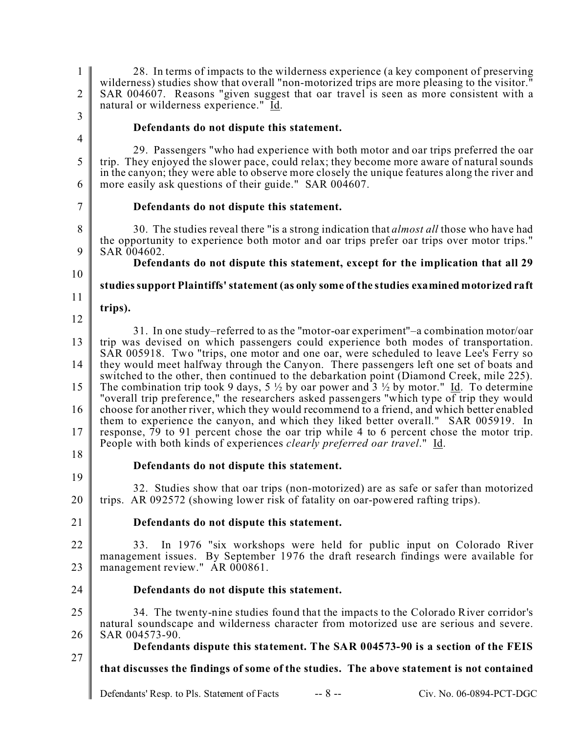| $\mathbf{1}$<br>$\mathbf{2}$<br>3 | 28. In terms of impacts to the wilderness experience (a key component of preserving<br>wilderness) studies show that overall "non-motorized trips are more pleasing to the visitor."<br>SAR 004607. Reasons "given suggest that oar travel is seen as more consistent with a<br>natural or wilderness experience." Id.                                            |
|-----------------------------------|-------------------------------------------------------------------------------------------------------------------------------------------------------------------------------------------------------------------------------------------------------------------------------------------------------------------------------------------------------------------|
| $\overline{4}$                    | Defendants do not dispute this statement.                                                                                                                                                                                                                                                                                                                         |
| 5                                 | 29. Passengers "who had experience with both motor and oar trips preferred the oar<br>trip. They enjoyed the slower pace, could relax; they become more aware of natural sounds<br>in the canyon; they were able to observe more closely the unique features along the river and                                                                                  |
| 6<br>7                            | more easily ask questions of their guide." SAR 004607.<br>Defendants do not dispute this statement.                                                                                                                                                                                                                                                               |
|                                   |                                                                                                                                                                                                                                                                                                                                                                   |
| 8<br>9                            | 30. The studies reveal there "is a strong indication that <i>almost all</i> those who have had<br>the opportunity to experience both motor and oar trips prefer oar trips over motor trips."<br>SAR 004602.                                                                                                                                                       |
|                                   | Defendants do not dispute this statement, except for the implication that all 29                                                                                                                                                                                                                                                                                  |
| 10                                | studies support Plaintiffs' statement (as only some of the studies examined motorized raft                                                                                                                                                                                                                                                                        |
| 11                                |                                                                                                                                                                                                                                                                                                                                                                   |
| 12                                | trips).                                                                                                                                                                                                                                                                                                                                                           |
|                                   | 31. In one study-referred to as the "motor-oar experiment"-a combination motor/oar                                                                                                                                                                                                                                                                                |
| 13                                | trip was devised on which passengers could experience both modes of transportation.<br>SAR 005918. Two "trips, one motor and one oar, were scheduled to leave Lee's Ferry so                                                                                                                                                                                      |
| 14                                | they would meet halfway through the Canyon. There passengers left one set of boats and<br>switched to the other, then continued to the debarkation point (Diamond Creek, mile 225).                                                                                                                                                                               |
| 15                                | The combination trip took 9 days, 5 $\frac{1}{2}$ by oar power and 3 $\frac{1}{2}$ by motor." Id. To determine<br>"overall trip preference," the researchers asked passengers "which type of trip they would                                                                                                                                                      |
| 16<br>17                          | choose for another river, which they would recommend to a friend, and which better enabled<br>them to experience the canyon, and which they liked better overall." SAR 005919. In<br>response, 79 to 91 percent chose the oar trip while 4 to 6 percent chose the motor trip.<br>People with both kinds of experiences <i>clearly preferred oar travel.</i> " Id. |
| 18                                |                                                                                                                                                                                                                                                                                                                                                                   |
| 19                                | Defendants do not dispute this statement.                                                                                                                                                                                                                                                                                                                         |
| 20                                | 32. Studies show that oar trips (non-motorized) are as safe or safer than motorized<br>trips. AR 092572 (showing lower risk of fatality on oar-powered rafting trips).                                                                                                                                                                                            |
| 21                                | Defendants do not dispute this statement.                                                                                                                                                                                                                                                                                                                         |
| 22                                | 33.<br>In 1976 "six workshops were held for public input on Colorado River                                                                                                                                                                                                                                                                                        |
| 23                                | management issues. By September 1976 the draft research findings were available for<br>management review." AR 000861.                                                                                                                                                                                                                                             |
| 24                                | Defendants do not dispute this statement.                                                                                                                                                                                                                                                                                                                         |
| 25                                | 34. The twenty-nine studies found that the impacts to the Colorado River corridor's<br>natural soundscape and wilderness character from motorized use are serious and severe.                                                                                                                                                                                     |
| 26                                | SAR 004573-90.<br>Defendants dispute this statement. The SAR 004573-90 is a section of the FEIS                                                                                                                                                                                                                                                                   |
| 27                                |                                                                                                                                                                                                                                                                                                                                                                   |
|                                   | that discusses the findings of some of the studies. The above statement is not contained                                                                                                                                                                                                                                                                          |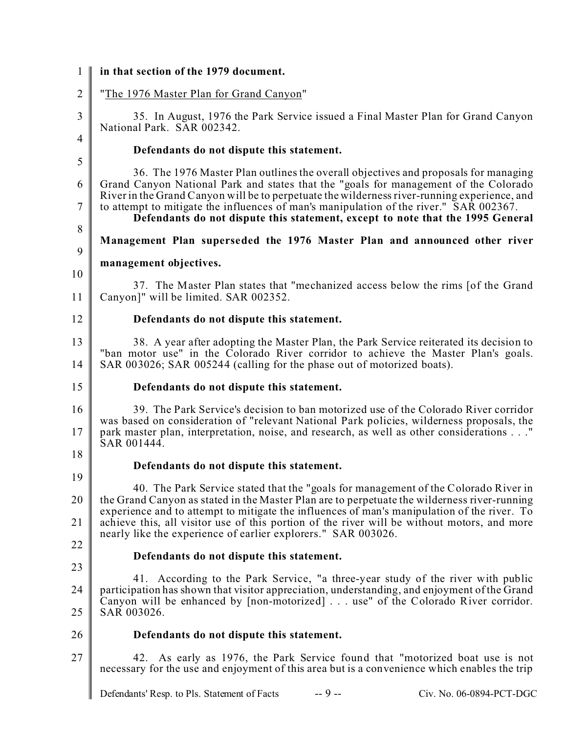| $\mathbf{1}$   | in that section of the 1979 document.                                                                                                                                                                                                                                              |
|----------------|------------------------------------------------------------------------------------------------------------------------------------------------------------------------------------------------------------------------------------------------------------------------------------|
| $\mathbf{2}$   | "The 1976 Master Plan for Grand Canyon"                                                                                                                                                                                                                                            |
| $\mathfrak{Z}$ | 35. In August, 1976 the Park Service issued a Final Master Plan for Grand Canyon<br>National Park. SAR 002342.                                                                                                                                                                     |
| $\overline{4}$ | Defendants do not dispute this statement.                                                                                                                                                                                                                                          |
| 5              | 36. The 1976 Master Plan outlines the overall objectives and proposals for managing                                                                                                                                                                                                |
| 6              | Grand Canyon National Park and states that the "goals for management of the Colorado"<br>River in the Grand Canyon will be to perpetuate the wilderness river-running experience, and                                                                                              |
| 7              | to attempt to mitigate the influences of man's manipulation of the river." SAR 002367.<br>Defendants do not dispute this statement, except to note that the 1995 General                                                                                                           |
| $8\,$<br>9     | Management Plan superseded the 1976 Master Plan and announced other river                                                                                                                                                                                                          |
| 10             | management objectives.                                                                                                                                                                                                                                                             |
| 11             | 37. The Master Plan states that "mechanized access below the rims [of the Grand<br>Canyon]" will be limited. SAR 002352.                                                                                                                                                           |
| 12             | Defendants do not dispute this statement.                                                                                                                                                                                                                                          |
| 13<br>14       | 38. A year after adopting the Master Plan, the Park Service reiterated its decision to<br>"ban motor use" in the Colorado River corridor to achieve the Master Plan's goals.<br>SAR 003026; SAR 005244 (calling for the phase out of motorized boats).                             |
| 15             | Defendants do not dispute this statement.                                                                                                                                                                                                                                          |
| 16<br>17       | 39. The Park Service's decision to ban motorized use of the Colorado River corridor<br>was based on consideration of "relevant National Park policies, wilderness proposals, the<br>park master plan, interpretation, noise, and research, as well as other considerations"        |
| 18             | SAR 001444.                                                                                                                                                                                                                                                                        |
| 19             | Defendants do not dispute this statement.                                                                                                                                                                                                                                          |
| 20             | 40. The Park Service stated that the "goals for management of the Colorado River in<br>the Grand Canyon as stated in the Master Plan are to perpetuate the wilderness river-running<br>experience and to attempt to mitigate the influences of man's manipulation of the river. To |
| 21             | achieve this, all visitor use of this portion of the river will be without motors, and more<br>nearly like the experience of earlier explorers." SAR 003026.                                                                                                                       |
| 22             |                                                                                                                                                                                                                                                                                    |
| 23             | Defendants do not dispute this statement.                                                                                                                                                                                                                                          |
| 24             | 41. According to the Park Service, "a three-year study of the river with public<br>participation has shown that visitor appreciation, understanding, and enjoyment of the Grand<br>Canyon will be enhanced by [non-motorized]  use" of the Colorado River corridor.                |
| 25             | SAR 003026.                                                                                                                                                                                                                                                                        |
| 26             | Defendants do not dispute this statement.                                                                                                                                                                                                                                          |
| 27             | 42. As early as 1976, the Park Service found that "motorized boat use is not<br>necessary for the use and enjoyment of this area but is a convenience which enables the trip                                                                                                       |
|                | $-9 -$<br>Defendants' Resp. to Pls. Statement of Facts<br>Civ. No. 06-0894-PCT-DGC                                                                                                                                                                                                 |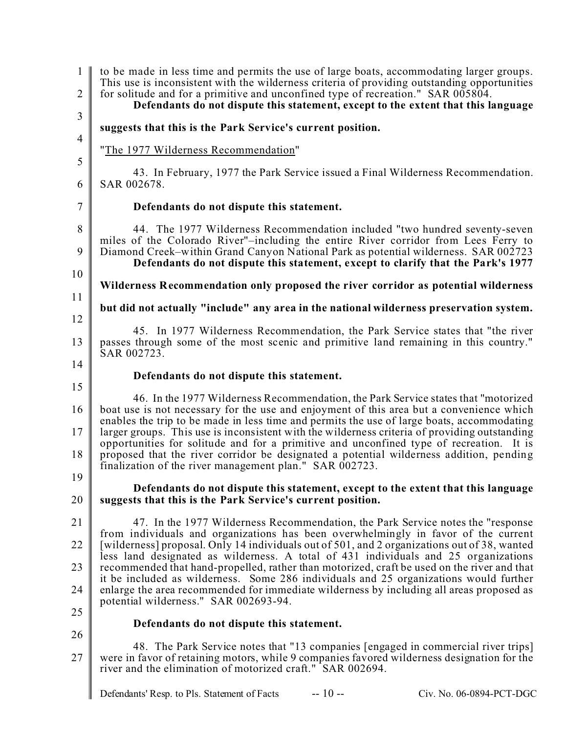| $\mathbf{1}$<br>$\overline{2}$<br>$\overline{3}$ | to be made in less time and permits the use of large boats, accommodating larger groups.<br>This use is inconsistent with the wilderness criteria of providing outstanding opportunities<br>for solitude and for a primitive and unconfined type of recreation." SAR 005804.<br>Defendants do not dispute this statement, except to the extent that this language                                                                                                                                                                                                    |
|--------------------------------------------------|----------------------------------------------------------------------------------------------------------------------------------------------------------------------------------------------------------------------------------------------------------------------------------------------------------------------------------------------------------------------------------------------------------------------------------------------------------------------------------------------------------------------------------------------------------------------|
| $\overline{4}$                                   | suggests that this is the Park Service's current position.                                                                                                                                                                                                                                                                                                                                                                                                                                                                                                           |
| 5                                                | "The 1977 Wilderness Recommendation"                                                                                                                                                                                                                                                                                                                                                                                                                                                                                                                                 |
| 6                                                | 43. In February, 1977 the Park Service issued a Final Wilderness Recommendation.<br>SAR 002678.                                                                                                                                                                                                                                                                                                                                                                                                                                                                      |
| $\overline{7}$                                   | Defendants do not dispute this statement.                                                                                                                                                                                                                                                                                                                                                                                                                                                                                                                            |
| 8<br>9                                           | 44. The 1977 Wilderness Recommendation included "two hundred seventy-seven<br>miles of the Colorado River"-including the entire River corridor from Lees Ferry to<br>Diamond Creek-within Grand Canyon National Park as potential wilderness. SAR 002723<br>Defendants do not dispute this statement, except to clarify that the Park's 1977                                                                                                                                                                                                                         |
| 10                                               | Wilderness Recommendation only proposed the river corridor as potential wilderness                                                                                                                                                                                                                                                                                                                                                                                                                                                                                   |
| 11                                               | but did not actually "include" any area in the national wilderness preservation system.                                                                                                                                                                                                                                                                                                                                                                                                                                                                              |
| 12<br>13                                         | 45. In 1977 Wilderness Recommendation, the Park Service states that "the river<br>passes through some of the most scenic and primitive land remaining in this country."<br>SAR 002723.                                                                                                                                                                                                                                                                                                                                                                               |
| 14                                               | Defendants do not dispute this statement.                                                                                                                                                                                                                                                                                                                                                                                                                                                                                                                            |
| 15<br>16<br>17<br>18                             | 46. In the 1977 Wilderness Recommendation, the Park Service states that "motorized"<br>boat use is not necessary for the use and enjoyment of this area but a convenience which<br>enables the trip to be made in less time and permits the use of large boats, accommodating<br>larger groups. This use is inconsistent with the wilderness criteria of providing outstanding<br>opportunities for solitude and for a primitive and unconfined type of recreation. It is<br>proposed that the river corridor be designated a potential wilderness addition, pending |
| 19                                               | finalization of the river management plan." SAR 002723.<br>Defendants do not dispute this statement, except to the extent that this language                                                                                                                                                                                                                                                                                                                                                                                                                         |
| 20                                               | suggests that this is the Park Service's current position.                                                                                                                                                                                                                                                                                                                                                                                                                                                                                                           |
| 21                                               | 47. In the 1977 Wilderness Recommendation, the Park Service notes the "response"<br>from individuals and organizations has been overwhelmingly in favor of the current                                                                                                                                                                                                                                                                                                                                                                                               |
| 22                                               | [wilderness] proposal. Only 14 individuals out of 501, and 2 organizations out of 38, wanted<br>less land designated as wilderness. A total of 431 individuals and 25 organizations                                                                                                                                                                                                                                                                                                                                                                                  |
| 23                                               | recommended that hand-propelled, rather than motorized, craft be used on the river and that<br>it be included as wilderness. Some 286 individuals and 25 organizations would further                                                                                                                                                                                                                                                                                                                                                                                 |
| 24                                               | enlarge the area recommended for immediate wilderness by including all areas proposed as<br>potential wilderness." SAR 002693-94.                                                                                                                                                                                                                                                                                                                                                                                                                                    |
| 25                                               | Defendants do not dispute this statement.                                                                                                                                                                                                                                                                                                                                                                                                                                                                                                                            |
| 26<br>27                                         | 48. The Park Service notes that "13 companies [engaged in commercial river trips]<br>were in favor of retaining motors, while 9 companies favored wilderness designation for the<br>river and the elimination of motorized craft." SAR 002694.                                                                                                                                                                                                                                                                                                                       |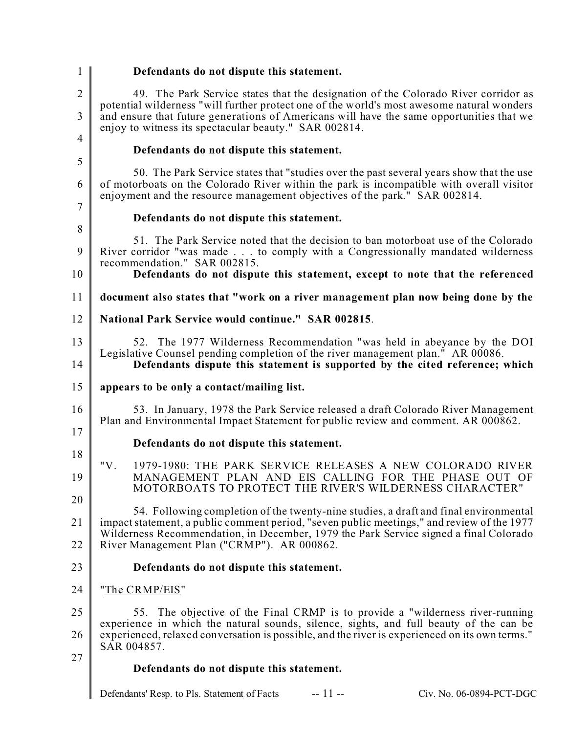| 1                 | Defendants do not dispute this statement.                                                                                                                                                                                                                                                                                             |
|-------------------|---------------------------------------------------------------------------------------------------------------------------------------------------------------------------------------------------------------------------------------------------------------------------------------------------------------------------------------|
| $\mathbf{2}$<br>3 | 49. The Park Service states that the designation of the Colorado River corridor as<br>potential wilderness "will further protect one of the world's most awesome natural wonders<br>and ensure that future generations of Americans will have the same opportunities that we<br>enjoy to witness its spectacular beauty." SAR 002814. |
| $\overline{4}$    | Defendants do not dispute this statement.                                                                                                                                                                                                                                                                                             |
| 5                 | 50. The Park Service states that "studies over the past several years show that the use                                                                                                                                                                                                                                               |
| 6                 | of motorboats on the Colorado River within the park is incompatible with overall visitor<br>enjoyment and the resource management objectives of the park." SAR 002814.                                                                                                                                                                |
| 7                 | Defendants do not dispute this statement.                                                                                                                                                                                                                                                                                             |
| 8<br>9            | 51. The Park Service noted that the decision to ban motorboat use of the Colorado<br>River corridor "was made to comply with a Congressionally mandated wilderness<br>recommendation." SAR 002815.                                                                                                                                    |
| 10                | Defendants do not dispute this statement, except to note that the referenced                                                                                                                                                                                                                                                          |
| 11                | document also states that "work on a river management plan now being done by the                                                                                                                                                                                                                                                      |
| 12                | National Park Service would continue." SAR 002815.                                                                                                                                                                                                                                                                                    |
| 13<br>14          | 52. The 1977 Wilderness Recommendation "was held in abeyance by the DOI<br>Legislative Counsel pending completion of the river management plan." AR 00086.<br>Defendants dispute this statement is supported by the cited reference; which                                                                                            |
| 15                | appears to be only a contact/mailing list.                                                                                                                                                                                                                                                                                            |
| 16                | 53. In January, 1978 the Park Service released a draft Colorado River Management<br>Plan and Environmental Impact Statement for public review and comment. AR 000862.                                                                                                                                                                 |
| 17                | Defendants do not dispute this statement.                                                                                                                                                                                                                                                                                             |
| 18<br>19          | 1979-1980: THE PARK SERVICE RELEASES A NEW COLORADO RIVER<br>"V.<br>MANAGEMENT PLAN AND EIS CALLING FOR THE PHASE OUT OF<br>MOTORBOATS TO PROTECT THE RIVER'S WILDERNESS CHARACTER"                                                                                                                                                   |
| 20                |                                                                                                                                                                                                                                                                                                                                       |
| 21                | 54. Following completion of the twenty-nine studies, a draft and final environmental<br>impact statement, a public comment period, "seven public meetings," and review of the 1977<br>Wilderness Recommendation, in December, 1979 the Park Service signed a final Colorado<br>River Management Plan ("CRMP"). AR 000862.             |
| 22                |                                                                                                                                                                                                                                                                                                                                       |
| 23                | Defendants do not dispute this statement.                                                                                                                                                                                                                                                                                             |
| 24                | "The CRMP/EIS"                                                                                                                                                                                                                                                                                                                        |
| 25                | 55. The objective of the Final CRMP is to provide a "wilderness river-running<br>experience in which the natural sounds, silence, sights, and full beauty of the can be                                                                                                                                                               |
| 26                | experienced, relaxed conversation is possible, and the river is experienced on its own terms."<br>SAR 004857.                                                                                                                                                                                                                         |
| 27                | Defendants do not dispute this statement.                                                                                                                                                                                                                                                                                             |
|                   | $-11 -$<br>Defendants' Resp. to Pls. Statement of Facts<br>Civ. No. 06-0894-PCT-DGC                                                                                                                                                                                                                                                   |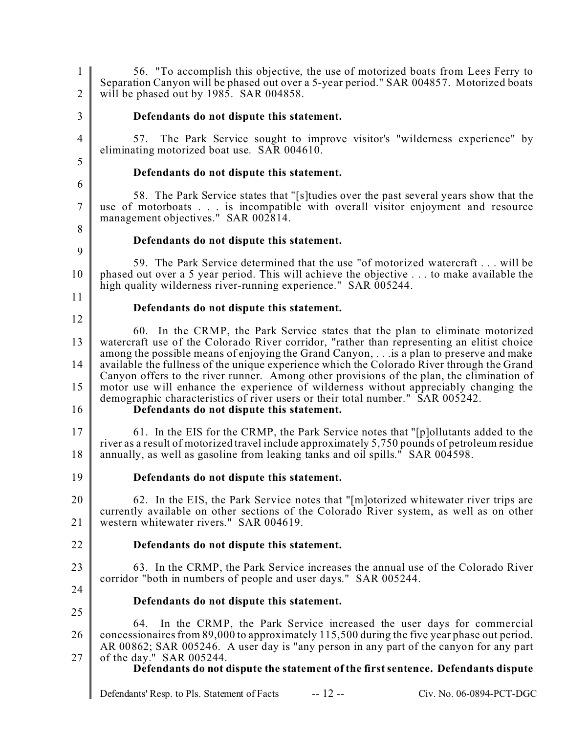1 2 3 4 5 6 7 8 9 10 11 12 13 14 15 16 17 18 19 20 21 22 23 24 25 26 27 56. "To accomplish this objective, the use of motorized boats from Lees Ferry to Separation Canyon will be phased out over a 5-year period." SAR 004857. Motorized boats will be phased out by 1985. SAR 004858. **Defendants do not dispute this statement.** 57. The Park Service sought to improve visitor's "wilderness experience" by eliminating motorized boat use. SAR 004610. **Defendants do not dispute this statement.** 58. The Park Service states that "[s]tudies over the past several years show that the use of motorboats . . . is incompatible with overall visitor enjoyment and resource management objectives." SAR 002814. **Defendants do not dispute this statement.** 59. The Park Service determined that the use "of motorized watercraft . . . will be phased out over a 5 year period. This will achieve the objective . . . to make available the high quality wilderness river-running experience." SAR 005244. **Defendants do not dispute this statement.** 60. In the CRMP, the Park Service states that the plan to eliminate motorized watercraft use of the Colorado River corridor, "rather than representing an elitist choice among the possible means of enjoying the Grand Canyon, . . .is a plan to preserve and make available the fullness of the unique experience which the Colorado River through the Grand Canyon offers to the river runner. Among other provisions of the plan, the elimination of motor use will enhance the experience of wilderness without appreciably changing the demographic characteristics of river users or their total number." SAR 005242. **Defendants do not dispute this statement.** 61. In the EIS for the CRMP, the Park Service notes that "[p]ollutants added to the river as a result of motorized travel include approximately 5,750 pounds of petroleum residue annually, as well as gasoline from leaking tanks and oil spills." SAR 004598. **Defendants do not dispute this statement.** 62. In the EIS, the Park Service notes that "[m]otorized whitewater river trips are currently available on other sections of the Colorado River system, as well as on other western whitewater rivers." SAR 004619. **Defendants do not dispute this statement.** 63. In the CRMP, the Park Service increases the annual use of the Colorado River corridor "both in numbers of people and user days." SAR 005244. **Defendants do not dispute this statement.** 64. In the CRMP, the Park Service increased the user days for commercial concessionaires from 89,000 to approximately 115,500 during the five year phase out period. AR 00862; SAR 005246. A user day is "any person in any part of the canyon for any part of the day." SAR 005244. **Defendants do not dispute the statement of the first sentence. Defendants dispute**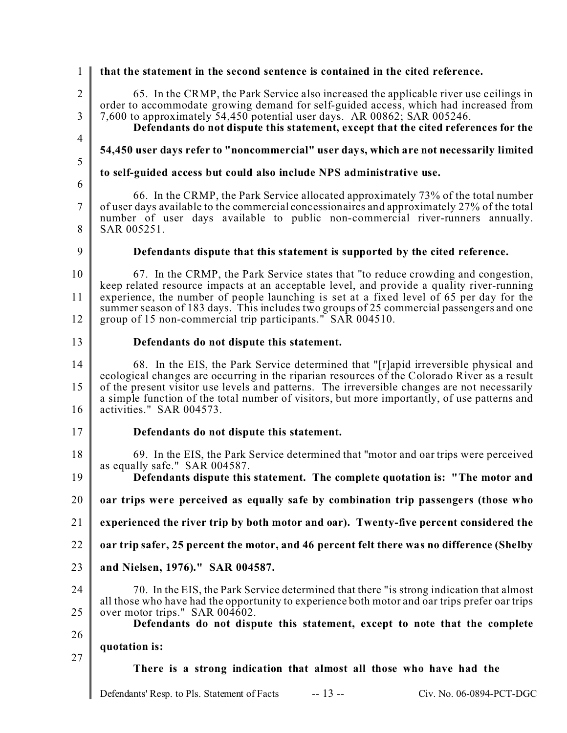| 1                   | that the statement in the second sentence is contained in the cited reference.                                                                                                                                                                                                                                           |  |
|---------------------|--------------------------------------------------------------------------------------------------------------------------------------------------------------------------------------------------------------------------------------------------------------------------------------------------------------------------|--|
| $\sqrt{2}$<br>3     | 65. In the CRMP, the Park Service also increased the applicable river use ceilings in<br>order to accommodate growing demand for self-guided access, which had increased from<br>7,600 to approximately 54,450 potential user days. AR 00862; SAR 005246.                                                                |  |
| 4                   | Defendants do not dispute this statement, except that the cited references for the                                                                                                                                                                                                                                       |  |
| 5                   | 54,450 user days refer to "noncommercial" user days, which are not necessarily limited                                                                                                                                                                                                                                   |  |
| 6                   | to self-guided access but could also include NPS administrative use.                                                                                                                                                                                                                                                     |  |
| $\overline{7}$<br>8 | 66. In the CRMP, the Park Service allocated approximately 73% of the total number<br>of user days available to the commercial concessionaires and approximately 27% of the total<br>number of user days available to public non-commercial river-runners annually.<br>SAR 005251.                                        |  |
|                     |                                                                                                                                                                                                                                                                                                                          |  |
| 9                   | Defendants dispute that this statement is supported by the cited reference.                                                                                                                                                                                                                                              |  |
| 10                  | 67. In the CRMP, the Park Service states that "to reduce crowding and congestion,<br>keep related resource impacts at an acceptable level, and provide a quality river-running                                                                                                                                           |  |
| 11                  | experience, the number of people launching is set at a fixed level of 65 per day for the<br>summer season of 183 days. This includes two groups of 25 commercial passengers and one                                                                                                                                      |  |
| 12                  | group of 15 non-commercial trip participants." SAR 004510.                                                                                                                                                                                                                                                               |  |
| 13                  | Defendants do not dispute this statement.                                                                                                                                                                                                                                                                                |  |
| 14                  | 68. In the EIS, the Park Service determined that "[r]apid irreversible physical and                                                                                                                                                                                                                                      |  |
| 15<br>16            | ecological changes are occurring in the riparian resources of the Colorado River as a result<br>of the present visitor use levels and patterns. The irreversible changes are not necessarily<br>a simple function of the total number of visitors, but more importantly, of use patterns and<br>activities." SAR 004573. |  |
| 17                  | Defendants do not dispute this statement.                                                                                                                                                                                                                                                                                |  |
| 18                  | 69. In the EIS, the Park Service determined that "motor and oar trips were perceived                                                                                                                                                                                                                                     |  |
| 19                  | as equally safe." SAR 004587.<br>Defendants dispute this statement. The complete quotation is: "The motor and                                                                                                                                                                                                            |  |
| 20                  | oar trips were perceived as equally safe by combination trip passengers (those who                                                                                                                                                                                                                                       |  |
| 21                  | experienced the river trip by both motor and oar). Twenty-five percent considered the                                                                                                                                                                                                                                    |  |
| 22                  | oar trip safer, 25 percent the motor, and 46 percent felt there was no difference (Shelby                                                                                                                                                                                                                                |  |
| 23                  | and Nielsen, 1976)." SAR 004587.                                                                                                                                                                                                                                                                                         |  |
| 24                  | 70. In the EIS, the Park Service determined that there "is strong indication that almost                                                                                                                                                                                                                                 |  |
| 25                  | all those who have had the opportunity to experience both motor and oar trips prefer oar trips<br>over motor trips." SAR $00\overline{4602}$ .                                                                                                                                                                           |  |
| 26                  | Defendants do not dispute this statement, except to note that the complete                                                                                                                                                                                                                                               |  |
| 27                  | quotation is:                                                                                                                                                                                                                                                                                                            |  |
|                     | There is a strong indication that almost all those who have had the                                                                                                                                                                                                                                                      |  |
|                     | $-13 -$<br>Defendants' Resp. to Pls. Statement of Facts<br>Civ. No. 06-0894-PCT-DGC                                                                                                                                                                                                                                      |  |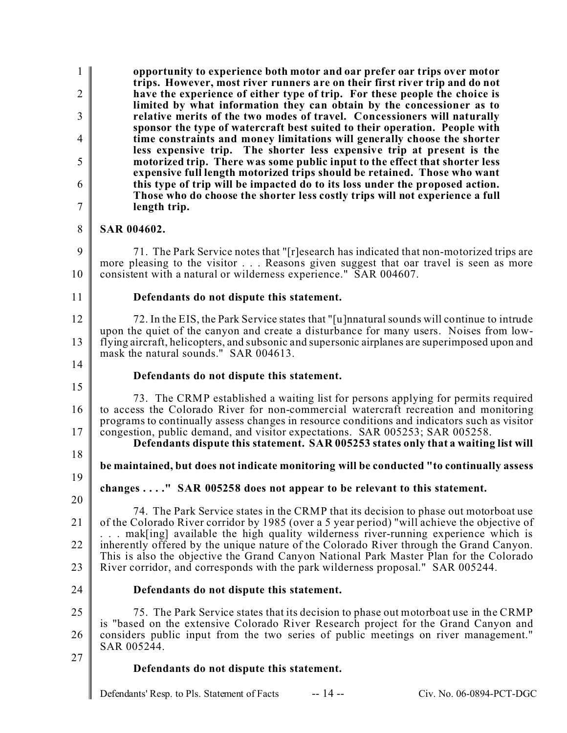1  $\mathfrak{D}$ 3 4 5 6 7 8 9 10 11 12 13 14 15 16 17 18 19 20 21 22 23 24 25 26 27 **opportunity to experience both motor and oar prefer oar trips over motor trips. However, most river runners are on their first river trip and do not have the experience of either type of trip. For these people the choice is limited by what information they can obtain by the concessioner as to relative merits of the two modes of travel. Concessioners will naturally sponsor the type of watercraft best suited to their operation. People with time constraints and money limitations will generally choose the shorter less expensive trip. The shorter less expensive trip at present is the motorized trip. There was some public input to the effect that shorter less expensive full length motorized trips should be retained. Those who want this type of trip will be impacted do to its loss under the proposed action. Those who do choose the shorter less costly trips will not experience a full length trip. SAR 004602.** 71. The Park Service notes that "[r]esearch has indicated that non-motorized trips are more pleasing to the visitor . . . Reasons given suggest that oar travel is seen as more consistent with a natural or wilderness experience." SAR 004607. **Defendants do not dispute this statement.** 72. In the EIS, the Park Service states that "[u]nnatural sounds will continue to intrude upon the quiet of the canyon and create a disturbance for many users. Noises from lowflying aircraft, helicopters, and subsonic and supersonic airplanes are superimposed upon and mask the natural sounds." SAR 004613. **Defendants do not dispute this statement.** 73. The CRMP established a waiting list for persons applying for permits required to access the Colorado River for non-commercial watercraft recreation and monitoring programs to continually assess changes in resource conditions and indicators such as visitor congestion, public demand, and visitor expectations. SAR 005253; SAR 005258. **Defendants dispute this statement. SAR 005253 states only that a waiting list will be maintained, but does not indicate monitoring will be conducted "to continually assess changes . . . ." SAR 005258 does not appear to be relevant to this statement.** 74. The Park Service states in the CRMP that its decision to phase out motorboat use of the Colorado River corridor by 1985 (over a 5 year period) "will achieve the objective of ... mak[ing] available the high quality wilderness river-running experience which is inherently offered by the unique nature of the Colorado River through the Grand Canyon. This is also the objective the Grand Canyon National Park Master Plan for the Colorado River corridor, and corresponds with the park wilderness proposal." SAR 005244. **Defendants do not dispute this statement.** 75. The Park Service states that its decision to phase out motorboat use in the CRMP is "based on the extensive Colorado River Research project for the Grand Canyon and considers public input from the two series of public meetings on river management." SAR 005244. **Defendants do not dispute this statement.**

Defendants' Resp. to Pls. Statement of Facts -- 14 -- Civ. No. 06-0894-PCT-DGC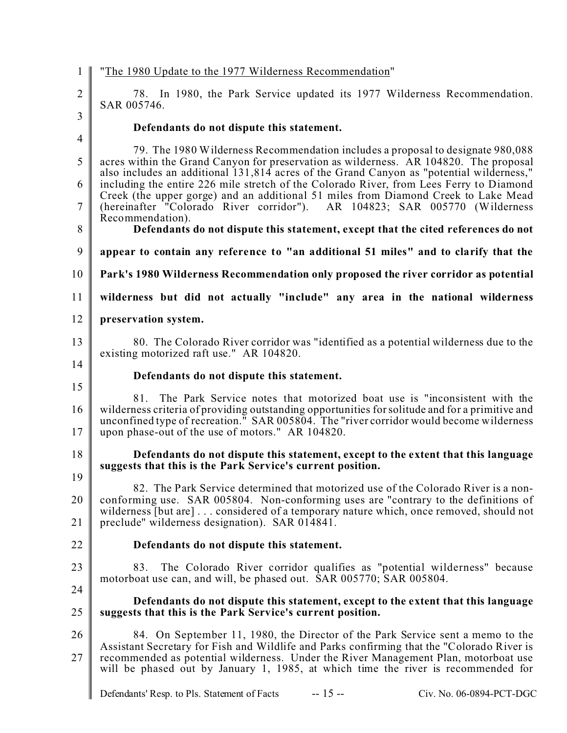| $\mathbf{1}$                                         | "The 1980 Update to the 1977 Wilderness Recommendation"                                                                                                                                                                                                                                                                           |
|------------------------------------------------------|-----------------------------------------------------------------------------------------------------------------------------------------------------------------------------------------------------------------------------------------------------------------------------------------------------------------------------------|
| $\overline{2}$                                       | 78. In 1980, the Park Service updated its 1977 Wilderness Recommendation.<br>SAR 005746.                                                                                                                                                                                                                                          |
| $\overline{3}$                                       | Defendants do not dispute this statement.                                                                                                                                                                                                                                                                                         |
| $\overline{4}$                                       | 79. The 1980 Wilderness Recommendation includes a proposal to designate 980,088                                                                                                                                                                                                                                                   |
| 5                                                    | acres within the Grand Canyon for preservation as wilderness. AR 104820. The proposal<br>also includes an additional 131,814 acres of the Grand Canyon as "potential wilderness,"                                                                                                                                                 |
| 6<br>$\tau$                                          | including the entire 226 mile stretch of the Colorado River, from Lees Ferry to Diamond<br>Creek (the upper gorge) and an additional 51 miles from Diamond Creek to Lake Mead<br>(hereinafter "Colorado River corridor"). AR 104823; SAR 005770 (Wilderness                                                                       |
|                                                      | Recommendation).                                                                                                                                                                                                                                                                                                                  |
| 8                                                    | Defendants do not dispute this statement, except that the cited references do not                                                                                                                                                                                                                                                 |
| 9                                                    | appear to contain any reference to "an additional 51 miles" and to clarify that the                                                                                                                                                                                                                                               |
| 10                                                   | Park's 1980 Wilderness Recommendation only proposed the river corridor as potential                                                                                                                                                                                                                                               |
| 11                                                   | wilderness but did not actually "include" any area in the national wilderness                                                                                                                                                                                                                                                     |
| 12                                                   | preservation system.                                                                                                                                                                                                                                                                                                              |
| 13                                                   | 80. The Colorado River corridor was "identified as a potential wilderness due to the<br>existing motorized raft use." AR 104820.                                                                                                                                                                                                  |
| 14                                                   |                                                                                                                                                                                                                                                                                                                                   |
| 15                                                   | Defendants do not dispute this statement.                                                                                                                                                                                                                                                                                         |
| 16<br>17                                             | The Park Service notes that motorized boat use is "inconsistent with the<br>81.<br>wilderness criteria of providing outstanding opportunities for solitude and for a primitive and<br>unconfined type of recreation." SAR 005804. The "river corridor would become wilderness<br>upon phase-out of the use of motors." AR 104820. |
| 18                                                   | Defendants do not dispute this statement, except to the extent that this language<br>suggests that this is the Park Service's current position.                                                                                                                                                                                   |
| 19                                                   | 82. The Park Service determined that motorized use of the Colorado River is a non-                                                                                                                                                                                                                                                |
| 20                                                   | conforming use. SAR 005804. Non-conforming uses are "contrary to the definitions of<br>wilderness [but are] considered of a temporary nature which, once removed, should not                                                                                                                                                      |
| 21<br>preclude" wilderness designation). SAR 014841. |                                                                                                                                                                                                                                                                                                                                   |
| 22                                                   | Defendants do not dispute this statement.                                                                                                                                                                                                                                                                                         |
| 23                                                   | 83. The Colorado River corridor qualifies as "potential wilderness" because                                                                                                                                                                                                                                                       |
| 24                                                   | motorboat use can, and will, be phased out. SAR 005770; SAR 005804.                                                                                                                                                                                                                                                               |
| 25                                                   | Defendants do not dispute this statement, except to the extent that this language<br>suggests that this is the Park Service's current position.                                                                                                                                                                                   |
| 26                                                   | 84. On September 11, 1980, the Director of the Park Service sent a memo to the                                                                                                                                                                                                                                                    |
| 27                                                   | Assistant Secretary for Fish and Wildlife and Parks confirming that the "Colorado River is<br>recommended as potential wilderness. Under the River Management Plan, motorboat use<br>will be phased out by January 1, 1985, at which time the river is recommended for                                                            |
|                                                      |                                                                                                                                                                                                                                                                                                                                   |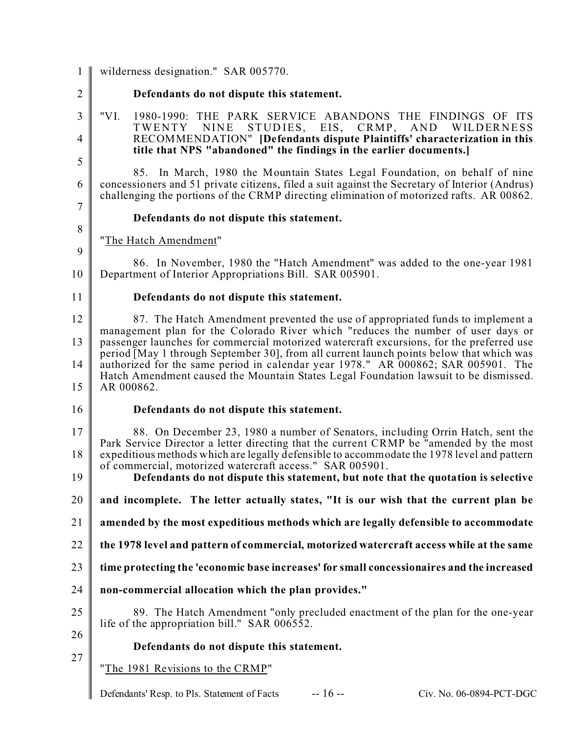1 wilderness designation." SAR 005770.

 $\mathfrak{D}$ 

3

# **Defendants do not dispute this statement.**

- 4
- 5

6

85. In March, 1980 the Mountain States Legal Foundation, on behalf of nine concessioners and 51 private citizens, filed a suit against the Secretary of Interior (Andrus) challenging the portions of the CRMP directing elimination of motorized rafts. AR 00862.

RECOMMENDATION" **[Defendants dispute Plaintiffs' characterization in this**

"VI. 1980-1990: THE PARK SERVICE ABANDONS THE FINDINGS OF ITS<br>TWENTY NINE STUDIES, EIS, CRMP, AND WILDERNESS

**title that NPS "abandoned" the findings in the earlier documents.]**

EIS, CRMP,

7 8

9

### **Defendants do not dispute this statement.**

"The Hatch Amendment"

10 86. In November, 1980 the "Hatch Amendment" was added to the one-year 1981 Department of Interior Appropriations Bill. SAR 005901.

11

#### **Defendants do not dispute this statement.**

12 13 14 15 87. The Hatch Amendment prevented the use of appropriated funds to implement a management plan for the Colorado River which "reduces the number of user days or passenger launches for commercial motorized watercraft excursions, for the preferred use period [May 1 through September 30], from all current launch points below that which was authorized for the same period in calendar year 1978." AR 000862; SAR 005901. The Hatch Amendment caused the Mountain States Legal Foundation lawsuit to be dismissed. AR 000862.

- 16
- 

#### **Defendants do not dispute this statement.**

17 18 88. On December 23, 1980 a number of Senators, including Orrin Hatch, sent the Park Service Director a letter directing that the current CRMP be "amended by the most expeditious methods which are legally defensible to accommodate the 1978 level and pattern of commercial, motorized watercraft access." SAR 005901.

19 **Defendants do not dispute this statement, but note that the quotation is selective**

20 **and incomplete. The letter actually states, "It is our wish that the current plan be**

- 21 **amended by the most expeditious methods which are legally defensible to accommodate**
- 22 **the 1978 level and pattern of commercial, motorized watercraft access while at the same**
- 23 **time protecting the 'economic base increases' for small concessionaires and the increased**
- 24 **non-commercial allocation which the plan provides."**
- 25 89. The Hatch Amendment "only precluded enactment of the plan for the one-year life of the appropriation bill." SAR 006552.
- 26

27

#### **Defendants do not dispute this statement.**

"The 1981 Revisions to the CRMP"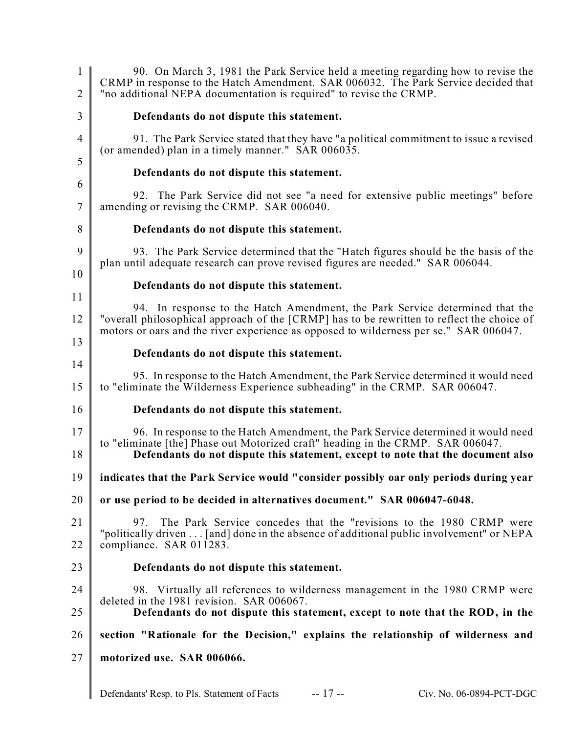| 1<br>$\overline{2}$ | 90. On March 3, 1981 the Park Service held a meeting regarding how to revise the<br>CRMP in response to the Hatch Amendment. SAR 006032. The Park Service decided that<br>"no additional NEPA documentation is required" to revise the CRMP.            |
|---------------------|---------------------------------------------------------------------------------------------------------------------------------------------------------------------------------------------------------------------------------------------------------|
| 3                   | Defendants do not dispute this statement.                                                                                                                                                                                                               |
| $\overline{4}$      | 91. The Park Service stated that they have "a political commitment to issue a revised<br>(or amended) plan in a timely manner." SAR 006035.                                                                                                             |
| 5                   | Defendants do not dispute this statement.                                                                                                                                                                                                               |
| 6<br>7              | 92. The Park Service did not see "a need for extensive public meetings" before<br>amending or revising the CRMP. SAR 006040.                                                                                                                            |
| 8                   | Defendants do not dispute this statement.                                                                                                                                                                                                               |
| 9                   | 93. The Park Service determined that the "Hatch figures should be the basis of the<br>plan until adequate research can prove revised figures are needed." SAR 006044.                                                                                   |
| 10                  | Defendants do not dispute this statement.                                                                                                                                                                                                               |
| 11<br>12            | 94. In response to the Hatch Amendment, the Park Service determined that the<br>"overall philosophical approach of the [CRMP] has to be rewritten to reflect the choice of                                                                              |
| 13                  | motors or oars and the river experience as opposed to wilderness per se." SAR 006047.                                                                                                                                                                   |
| 14                  | Defendants do not dispute this statement.                                                                                                                                                                                                               |
| 15                  | 95. In response to the Hatch Amendment, the Park Service determined it would need<br>to "eliminate the Wilderness Experience subheading" in the CRMP. SAR 006047.                                                                                       |
| 16                  | Defendants do not dispute this statement.                                                                                                                                                                                                               |
| 17<br>18            | 96. In response to the Hatch Amendment, the Park Service determined it would need<br>to "eliminate [the] Phase out Motorized craft" heading in the CRMP. SAR 006047.<br>Defendants do not dispute this statement, except to note that the document also |
| 19                  | indicates that the Park Service would "consider possibly oar only periods during year                                                                                                                                                                   |
| 20                  | or use period to be decided in alternatives document." SAR 006047-6048.                                                                                                                                                                                 |
| 21<br>22            | The Park Service concedes that the "revisions to the 1980 CRMP were<br>97.<br>"politically driven [and] done in the absence of additional public involvement" or NEPA<br>compliance. SAR 011283.                                                        |
| 23                  | Defendants do not dispute this statement.                                                                                                                                                                                                               |
| 24                  | 98. Virtually all references to wilderness management in the 1980 CRMP were                                                                                                                                                                             |
| 25                  | deleted in the 1981 revision. SAR 006067.<br>Defendants do not dispute this statement, except to note that the ROD, in the                                                                                                                              |
| 26                  | section "Rationale for the Decision," explains the relationship of wilderness and                                                                                                                                                                       |
| 27                  | motorized use. SAR 006066.                                                                                                                                                                                                                              |
|                     |                                                                                                                                                                                                                                                         |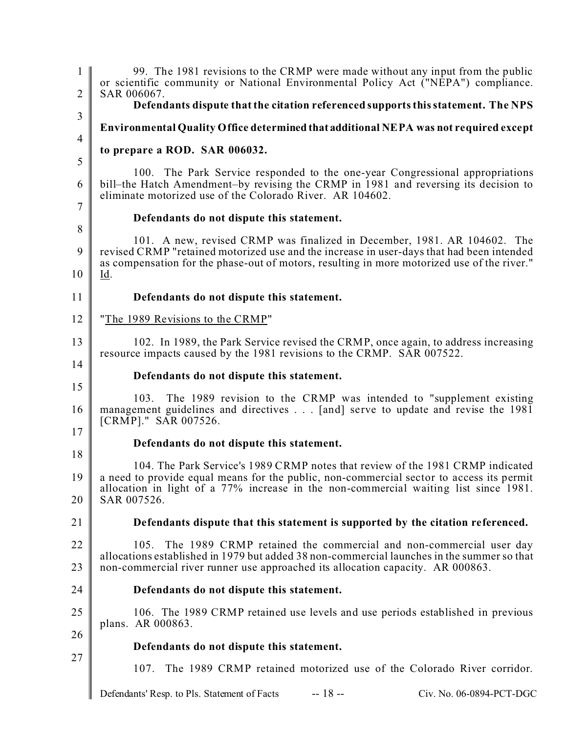1  $\mathfrak{D}$ 3 4 5 6 7 8 9 10 11 12 13 14 15 16 17 18 19 20 21 22 23 24 25 26 27 Defendants' Resp. to Pls. Statement of Facts -- 18 -- Civ. No. 06-0894-PCT-DGC 99. The 1981 revisions to the CRMP were made without any input from the public or scientific community or National Environmental Policy Act ("NEPA") compliance. SAR 006067. **Defendants dispute that the citation referenced supports this statement. The NPS Environmental Quality Office determined that additional NEPA was not required except to prepare a ROD. SAR 006032.** 100. The Park Service responded to the one-year Congressional appropriations bill–the Hatch Amendment–by revising the CRMP in 1981 and reversing its decision to eliminate motorized use of the Colorado River. AR 104602. **Defendants do not dispute this statement.** 101. A new, revised CRMP was finalized in December, 1981. AR 104602. The revised CRMP "retained motorized use and the increase in user-days that had been intended as compensation for the phase-out of motors, resulting in more motorized use of the river." Id. **Defendants do not dispute this statement.** "The 1989 Revisions to the CRMP" 102. In 1989, the Park Service revised the CRMP, once again, to address increasing resource impacts caused by the 1981 revisions to the CRMP. SAR 007522. **Defendants do not dispute this statement.** 103. The 1989 revision to the CRMP was intended to "supplement existing management guidelines and directives . . . [and] serve to update and revise the 1981 [CRMP]." SAR 007526. **Defendants do not dispute this statement.** 104. The Park Service's 1989 CRMP notes that review of the 1981 CRMP indicated a need to provide equal means for the public, non-commercial sector to access its permit allocation in light of a 77% increase in the non-commercial waiting list since 1981. SAR 007526. **Defendants dispute that this statement is supported by the citation referenced.** 105. The 1989 CRMP retained the commercial and non-commercial user day allocations established in 1979 but added 38 non-commercial launches in the summer so that non-commercial river runner use approached its allocation capacity. AR 000863. **Defendants do not dispute this statement.** 106. The 1989 CRMP retained use levels and use periods established in previous plans. AR 000863. **Defendants do not dispute this statement.** 107. The 1989 CRMP retained motorized use of the Colorado River corridor.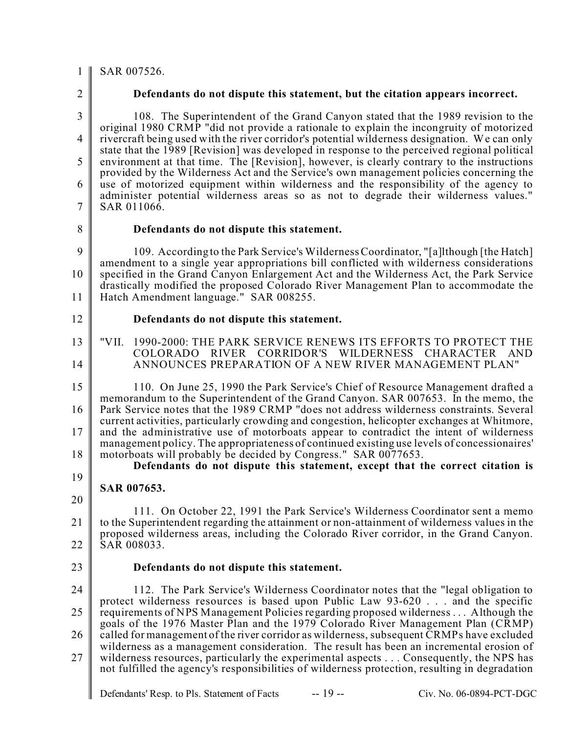#### 1 SAR 007526.

 $\mathfrak{D}$ 

#### **Defendants do not dispute this statement, but the citation appears incorrect.**

3 4 5 6 7 108. The Superintendent of the Grand Canyon stated that the 1989 revision to the original 1980 CRMP "did not provide a rationale to explain the incongruity of motorized rivercraft being used with the river corridor's potential wilderness designation. We can only state that the 1989 [Revision] was developed in response to the perceived regional political environment at that time. The [Revision], however, is clearly contrary to the instructions provided by the Wilderness Act and the Service's own management policies concerning the use of motorized equipment within wilderness and the responsibility of the agency to administer potential wilderness areas so as not to degrade their wilderness values." SAR 011066.

8

#### **Defendants do not dispute this statement.**

9 10 11 109. According to the Park Service's Wilderness Coordinator, "[a]lthough [the Hatch] amendment to a single year appropriations bill conflicted with wilderness considerations specified in the Grand Canyon Enlargement Act and the Wilderness Act, the Park Service drastically modified the proposed Colorado River Management Plan to accommodate the Hatch Amendment language." SAR 008255.

12

#### **Defendants do not dispute this statement.**

- 13 14 "VII. 1990-2000: THE PARK SERVICE RENEWS ITS EFFORTS TO PROTECT THE COLORADO RIVER CORRIDOR'S WILDERNESS CHARACTER AND ANNOUNCES PREPARATION OF A NEW RIVER MANAGEMENT PLAN"
- 15 16 17 18 110. On June 25, 1990 the Park Service's Chief of Resource Management drafted a memorandum to the Superintendent of the Grand Canyon. SAR 007653. In the memo, the Park Service notes that the 1989 CRMP "does not address wilderness constraints. Several current activities, particularly crowding and congestion, helicopter exchanges at Whitmore, and the administrative use of motorboats appear to contradict the intent of wilderness management policy. The appropriateness of continued existing use levels of concessionaires' motorboats will probably be decided by Congress." SAR 0077653.
	- **Defendants do not dispute this statement, except that the correct citation is**
- 19

#### **SAR 007653.**

- 20 21 22 111. On October 22, 1991 the Park Service's Wilderness Coordinator sent a memo to the Superintendent regarding the attainment or non-attainment of wilderness values in the proposed wilderness areas, including the Colorado River corridor, in the Grand Canyon. SAR 008033.
- 23

#### **Defendants do not dispute this statement.**

24 25 26 27 112. The Park Service's Wilderness Coordinator notes that the "legal obligation to protect wilderness resources is based upon Public Law 93-620 . . . and the specific requirements of NPS Management Policies regarding proposed wilderness . . . Although the goals of the 1976 Master Plan and the 1979 Colorado River Management Plan (CRMP) called for management of the river corridor as wilderness, subsequent CRMPs have excluded wilderness as a management consideration. The result has been an incremental erosion of wilderness resources, particularly the experimental aspects . . . Consequently, the NPS has not fulfilled the agency's responsibilities of wilderness protection, resulting in degradation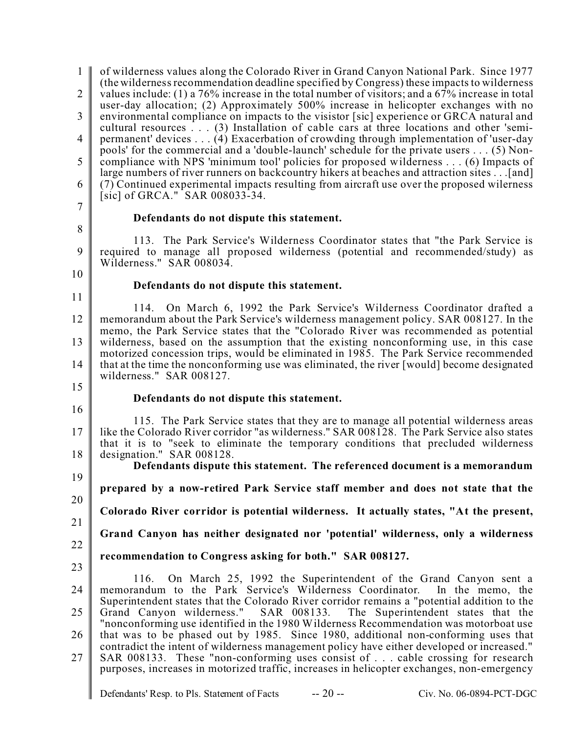| $\mathbf{1}$<br>$\overline{2}$<br>3 | of wilderness values along the Colorado River in Grand Canyon National Park. Since 1977<br>(the wilderness recommendation deadline specified by Congress) these impacts to wilderness<br>values include: (1) a 76% increase in the total number of visitors; and a 67% increase in total<br>user-day allocation; (2) Approximately 500% increase in helicopter exchanges with no<br>environmental compliance on impacts to the visistor [sic] experience or GRCA natural and<br>cultural resources (3) Installation of cable cars at three locations and other 'semi- |
|-------------------------------------|-----------------------------------------------------------------------------------------------------------------------------------------------------------------------------------------------------------------------------------------------------------------------------------------------------------------------------------------------------------------------------------------------------------------------------------------------------------------------------------------------------------------------------------------------------------------------|
| 4                                   | permanent' devices (4) Exacerbation of crowding through implementation of 'user-day<br>pools' for the commercial and a 'double-launch' schedule for the private users (5) Non-                                                                                                                                                                                                                                                                                                                                                                                        |
| 5                                   | compliance with NPS 'minimum tool' policies for proposed wilderness (6) Impacts of<br>large numbers of river runners on backcountry hikers at beaches and attraction sites [and]                                                                                                                                                                                                                                                                                                                                                                                      |
| 6                                   | (7) Continued experimental impacts resulting from aircraft use over the proposed wilerness<br>$[sic]$ of GRCA." SAR 008033-34.                                                                                                                                                                                                                                                                                                                                                                                                                                        |
| 7                                   | Defendants do not dispute this statement.                                                                                                                                                                                                                                                                                                                                                                                                                                                                                                                             |
| 8                                   |                                                                                                                                                                                                                                                                                                                                                                                                                                                                                                                                                                       |
| 9                                   | 113. The Park Service's Wilderness Coordinator states that "the Park Service is<br>required to manage all proposed wilderness (potential and recommended/study) as<br>Wilderness." SAR 008034.                                                                                                                                                                                                                                                                                                                                                                        |
| 10                                  | Defendants do not dispute this statement.                                                                                                                                                                                                                                                                                                                                                                                                                                                                                                                             |
| 11                                  |                                                                                                                                                                                                                                                                                                                                                                                                                                                                                                                                                                       |
| 12                                  | On March 6, 1992 the Park Service's Wilderness Coordinator drafted a<br>114.<br>memorandum about the Park Service's wilderness management policy. SAR 008127. In the<br>memo, the Park Service states that the "Colorado River was recommended as potential                                                                                                                                                                                                                                                                                                           |
| 13                                  | wilderness, based on the assumption that the existing nonconforming use, in this case<br>motorized concession trips, would be eliminated in 1985. The Park Service recommended                                                                                                                                                                                                                                                                                                                                                                                        |
| 14                                  | that at the time the nonconforming use was eliminated, the river [would] become designated<br>wilderness." SAR 008127.                                                                                                                                                                                                                                                                                                                                                                                                                                                |
| 15                                  | Defendants do not dispute this statement.                                                                                                                                                                                                                                                                                                                                                                                                                                                                                                                             |
| 16                                  |                                                                                                                                                                                                                                                                                                                                                                                                                                                                                                                                                                       |
| 17<br>18                            | 115. The Park Service states that they are to manage all potential wilderness areas<br>like the Colorado River corridor "as wilderness." SAR 008128. The Park Service also states<br>that it is to "seek to eliminate the temporary conditions that precluded wilderness<br>designation." SAR 008128.                                                                                                                                                                                                                                                                 |
|                                     | Defendants dispute this statement. The referenced document is a memorandum                                                                                                                                                                                                                                                                                                                                                                                                                                                                                            |
| 19<br>20                            | prepared by a now-retired Park Service staff member and does not state that the                                                                                                                                                                                                                                                                                                                                                                                                                                                                                       |
|                                     | Colorado River corridor is potential wilderness. It actually states, "At the present,                                                                                                                                                                                                                                                                                                                                                                                                                                                                                 |
| 21                                  | Grand Canyon has neither designated nor 'potential' wilderness, only a wilderness                                                                                                                                                                                                                                                                                                                                                                                                                                                                                     |
| 22                                  | recommendation to Congress asking for both." SAR 008127.                                                                                                                                                                                                                                                                                                                                                                                                                                                                                                              |
| 23                                  | 116. On March 25, 1992 the Superintendent of the Grand Canyon sent a                                                                                                                                                                                                                                                                                                                                                                                                                                                                                                  |
| 24                                  | memorandum to the Park Service's Wilderness Coordinator.<br>In the memo, the                                                                                                                                                                                                                                                                                                                                                                                                                                                                                          |
| 25                                  | Superintendent states that the Colorado River corridor remains a "potential addition to the<br>Grand Canyon wilderness." SAR 008133. The Superintendent states that the                                                                                                                                                                                                                                                                                                                                                                                               |
| 26                                  | "nonconforming use identified in the 1980 Wilderness Recommendation was motorboat use<br>that was to be phased out by 1985. Since 1980, additional non-conforming uses that                                                                                                                                                                                                                                                                                                                                                                                           |
| 27                                  | contradict the intent of wilderness management policy have either developed or increased."<br>SAR 008133. These "non-conforming uses consist of cable crossing for research<br>purposes, increases in motorized traffic, increases in helicopter exchanges, non-emergency                                                                                                                                                                                                                                                                                             |
|                                     | $-20-$<br>Defendants' Resp. to Pls. Statement of Facts<br>Civ. No. 06-0894-PCT-DGC                                                                                                                                                                                                                                                                                                                                                                                                                                                                                    |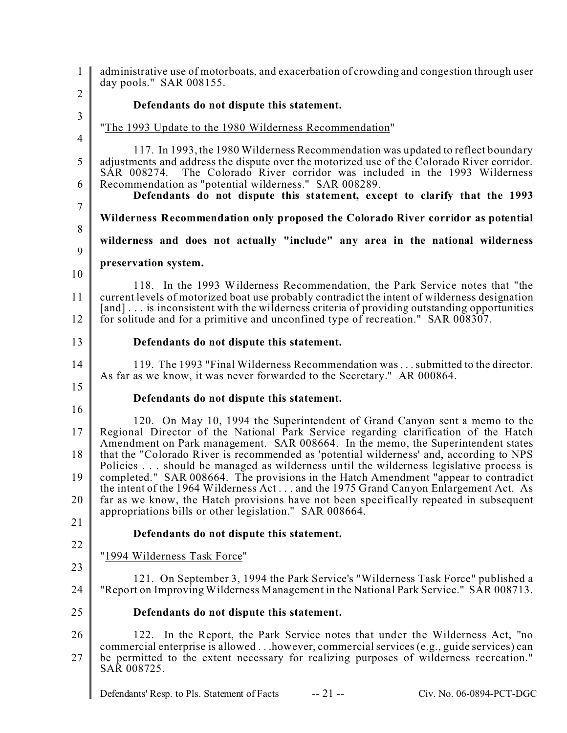1  $\mathfrak{D}$ 3 4 5 6 7 8 9 10 11 12 13 14 15 16 17 18 19 20 21 22 23 24 25 26 27 Defendants' Resp. to Pls. Statement of Facts -- 21 -- Civ. No. 06-0894-PCT-DGC administrative use of motorboats, and exacerbation of crowding and congestion through user day pools." SAR 008155. **Defendants do not dispute this statement.** "The 1993 Update to the 1980 Wilderness Recommendation" 117. In 1993, the 1980 Wilderness Recommendation was updated to reflect boundary adjustments and address the dispute over the motorized use of the Colorado River corridor. SAR 008274. The Colorado River corridor was included in the 1993 Wilderness Recommendation as "potential wilderness." SAR 008289. **Defendants do not dispute this statement, except to clarify that the 1993 Wilderness Recommendation only proposed the Colorado River corridor as potential wilderness and does not actually "include" any area in the national wilderness preservation system.** 118. In the 1993 Wilderness Recommendation, the Park Service notes that "the current levels of motorized boat use probably contradict the intent of wilderness designation [and] . . . is inconsistent with the wilderness criteria of providing outstanding opportunities for solitude and for a primitive and unconfined type of recreation." SAR 008307. **Defendants do not dispute this statement.** 119. The 1993 "Final Wilderness Recommendation was . . . submitted to the director. As far as we know, it was never forwarded to the Secretary." AR 000864. **Defendants do not dispute this statement.** 120. On May 10, 1994 the Superintendent of Grand Canyon sent a memo to the Regional Director of the National Park Service regarding clarification of the Hatch Amendment on Park management. SAR 008664. In the memo, the Superintendent states that the "Colorado River is recommended as 'potential wilderness' and, according to NPS Policies . . . should be managed as wilderness until the wilderness legislative process is completed." SAR 008664. The provisions in the Hatch Amendment "appear to contradict the intent of the 1964 Wilderness Act . . . and the 1975 Grand Canyon Enlargement Act. As far as we know, the Hatch provisions have not been specifically repeated in subsequent appropriations bills or other legislation." SAR 008664. **Defendants do not dispute this statement.** "1994 Wilderness Task Force" 121. On September 3, 1994 the Park Service's "Wilderness Task Force" published a "Report on Improving Wilderness Management in the National Park Service." SAR 008713. **Defendants do not dispute this statement.** 122. In the Report, the Park Service notes that under the Wilderness Act, "no commercial enterprise is allowed . . .however, commercial services (e.g., guide services) can be permitted to the extent necessary for realizing purposes of wilderness recreation." SAR 008725.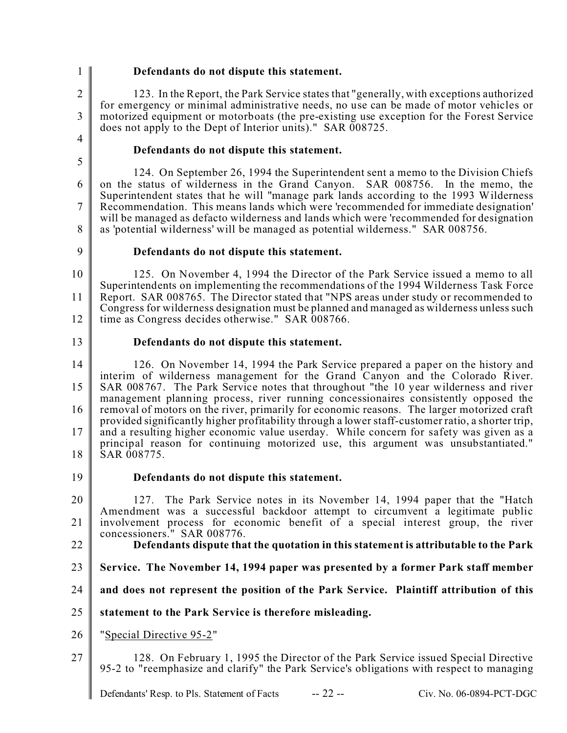1  $\mathfrak{D}$ 

3

### **Defendants do not dispute this statement.**

123. In the Report, the Park Service states that "generally, with exceptions authorized for emergency or minimal administrative needs, no use can be made of motor vehicles or motorized equipment or motorboats (the pre-existing use exception for the Forest Service does not apply to the Dept of Interior units)." SAR 008725.

4 5

### **Defendants do not dispute this statement.**

6 7 8 124. On September 26, 1994 the Superintendent sent a memo to the Division Chiefs on the status of wilderness in the Grand Canyon. SAR 008756. In the memo, the Superintendent states that he will "manage park lands according to the 1993 Wilderness Recommendation. This means lands which were 'recommended for immediate designation' will be managed as defacto wilderness and lands which were 'recommended for designation as 'potential wilderness' will be managed as potential wilderness." SAR 008756.

9

13

#### **Defendants do not dispute this statement.**

10 11 12 125. On November 4, 1994 the Director of the Park Service issued a memo to all Superintendents on implementing the recommendations of the 1994 Wilderness Task Force Report. SAR 008765. The Director stated that "NPS areas under study or recommended to Congress for wilderness designation must be planned and managed as wilderness unless such time as Congress decides otherwise." SAR 008766.

### **Defendants do not dispute this statement.**

14 15 16 17 18 126. On November 14, 1994 the Park Service prepared a paper on the history and interim of wilderness management for the Grand Canyon and the Colorado River. SAR 008767. The Park Service notes that throughout "the 10 year wilderness and river management planning process, river running concessionaires consistently opposed the removal of motors on the river, primarily for economic reasons. The larger motorized craft provided significantly higher profitability through a lower staff-customer ratio, a shorter trip, and a resulting higher economic value userday. While concern for safety was given as a principal reason for continuing motorized use, this argument was unsubstantiated." SAR 008775.

19 **Defendants do not dispute this statement.**

20 21 127. The Park Service notes in its November 14, 1994 paper that the "Hatch Amendment was a successful backdoor attempt to circumvent a legitimate public involvement process for economic benefit of a special interest group, the river concessioners." SAR 008776.

- 22
- **Defendants dispute that the quotation in this statement is attributable to the Park**
- 23 **Service. The November 14, 1994 paper was presented by a former Park staff member**
- 24 **and does not represent the position of the Park Service. Plaintiff attribution of this**
- 25 **statement to the Park Service is therefore misleading.**
- 26 "Special Directive 95-2"
- 27 128. On February 1, 1995 the Director of the Park Service issued Special Directive 95-2 to "reemphasize and clarify" the Park Service's obligations with respect to managing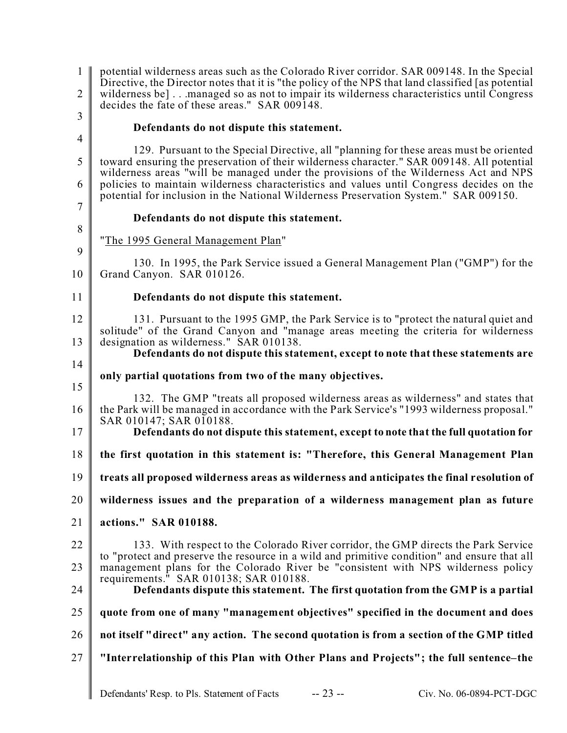1  $\mathcal{L}$ 3 potential wilderness areas such as the Colorado River corridor. SAR 009148. In the Special Directive, the Director notes that it is "the policy of the NPS that land classified [as potential wilderness be] . . .managed so as not to impair its wilderness characteristics until Congress decides the fate of these areas." SAR 009148.

4 5

8

9

11

#### **Defendants do not dispute this statement.**

6 7 129. Pursuant to the Special Directive, all "planning for these areas must be oriented toward ensuring the preservation of their wilderness character." SAR 009148. All potential wilderness areas "will be managed under the provisions of the Wilderness Act and NPS policies to maintain wilderness characteristics and values until Congress decides on the potential for inclusion in the National Wilderness Preservation System." SAR 009150.

# **Defendants do not dispute this statement.**

"The 1995 General Management Plan"

10 130. In 1995, the Park Service issued a General Management Plan ("GMP") for the Grand Canyon. SAR 010126.

### **Defendants do not dispute this statement.**

12 13 131. Pursuant to the 1995 GMP, the Park Service is to "protect the natural quiet and solitude" of the Grand Canyon and "manage areas meeting the criteria for wilderness designation as wilderness." SAR 010138.

14 15

# **Defendants do not dispute this statement, except to note that these statements are**

# **only partial quotations from two of the many objectives.**

16 132. The GMP "treats all proposed wilderness areas as wilderness" and states that the Park will be managed in accordance with the Park Service's "1993 wilderness proposal." SAR 010147; SAR 010188.

17 **Defendants do not dispute this statement, except to note that the full quotation for**

18 **the first quotation in this statement is: "Therefore, this General Management Plan**

19 **treats all proposed wilderness areas as wilderness and anticipates the final resolution of**

20 **wilderness issues and the preparation of a wilderness management plan as future**

21 **actions." SAR 010188.**

22 23 133. With respect to the Colorado River corridor, the GMP directs the Park Service to "protect and preserve the resource in a wild and primitive condition" and ensure that all management plans for the Colorado River be "consistent with NPS wilderness policy requirements." SAR 010138; SAR 010188. **Defendants dispute this statement. The first quotation from the GMP is a partial**

24

25 **quote from one of many "management objectives" specified in the document and does**

- 26 **not itself "direct" any action. The second quotation is from a section of the GMP titled**
- 27 **"Interrelationship of this Plan with Other Plans and Projects"; the full sentence–the**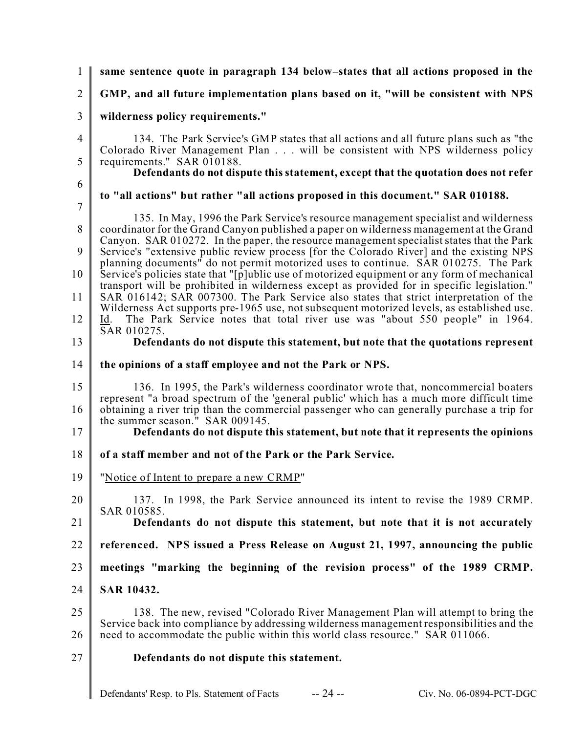| 1                              | same sentence quote in paragraph 134 below-states that all actions proposed in the                                                                                                                                                                                                                                                                                                                                                                                                                                                                                                                                                                                       |
|--------------------------------|--------------------------------------------------------------------------------------------------------------------------------------------------------------------------------------------------------------------------------------------------------------------------------------------------------------------------------------------------------------------------------------------------------------------------------------------------------------------------------------------------------------------------------------------------------------------------------------------------------------------------------------------------------------------------|
| $\overline{2}$                 | GMP, and all future implementation plans based on it, "will be consistent with NPS                                                                                                                                                                                                                                                                                                                                                                                                                                                                                                                                                                                       |
| 3                              | wilderness policy requirements."                                                                                                                                                                                                                                                                                                                                                                                                                                                                                                                                                                                                                                         |
| $\overline{4}$                 | 134. The Park Service's GMP states that all actions and all future plans such as "the<br>Colorado River Management Plan will be consistent with NPS wilderness policy                                                                                                                                                                                                                                                                                                                                                                                                                                                                                                    |
| 5                              | requirements." SAR 010188.<br>Defendants do not dispute this statement, except that the quotation does not refer                                                                                                                                                                                                                                                                                                                                                                                                                                                                                                                                                         |
| 6                              | to "all actions" but rather "all actions proposed in this document." SAR 010188.                                                                                                                                                                                                                                                                                                                                                                                                                                                                                                                                                                                         |
| $\overline{7}$<br>8<br>9<br>10 | 135. In May, 1996 the Park Service's resource management specialist and wilderness<br>coordinator for the Grand Canyon published a paper on wilderness management at the Grand<br>Canyon. SAR 010272. In the paper, the resource management specialist states that the Park<br>Service's "extensive public review process [for the Colorado River] and the existing NPS<br>planning documents <sup>"</sup> do not permit motorized uses to continue. SAR 010275. The Park<br>Service's policies state that "[p]ublic use of motorized equipment or any form of mechanical<br>transport will be prohibited in wilderness except as provided for in specific legislation." |
| 11<br>12                       | SAR 016142; SAR 007300. The Park Service also states that strict interpretation of the<br>Wilderness Act supports pre-1965 use, not subsequent motorized levels, as established use.<br>The Park Service notes that total river use was "about 550 people" in 1964.<br>Id.<br>SAR 010275.                                                                                                                                                                                                                                                                                                                                                                                |
| 13                             | Defendants do not dispute this statement, but note that the quotations represent                                                                                                                                                                                                                                                                                                                                                                                                                                                                                                                                                                                         |
| 14                             | the opinions of a staff employee and not the Park or NPS.                                                                                                                                                                                                                                                                                                                                                                                                                                                                                                                                                                                                                |
| 15<br>16                       | 136. In 1995, the Park's wilderness coordinator wrote that, noncommercial boaters<br>represent "a broad spectrum of the 'general public' which has a much more difficult time<br>obtaining a river trip than the commercial passenger who can generally purchase a trip for<br>the summer season." SAR 009145.                                                                                                                                                                                                                                                                                                                                                           |
| 17                             | Defendants do not dispute this statement, but note that it represents the opinions                                                                                                                                                                                                                                                                                                                                                                                                                                                                                                                                                                                       |
| 18                             | of a staff member and not of the Park or the Park Service.                                                                                                                                                                                                                                                                                                                                                                                                                                                                                                                                                                                                               |
| 19                             | "Notice of Intent to prepare a new CRMP"                                                                                                                                                                                                                                                                                                                                                                                                                                                                                                                                                                                                                                 |
| 20                             | 137. In 1998, the Park Service announced its intent to revise the 1989 CRMP.                                                                                                                                                                                                                                                                                                                                                                                                                                                                                                                                                                                             |
| 21                             | SAR 010585.<br>Defendants do not dispute this statement, but note that it is not accurately                                                                                                                                                                                                                                                                                                                                                                                                                                                                                                                                                                              |
| 22                             | referenced. NPS issued a Press Release on August 21, 1997, announcing the public                                                                                                                                                                                                                                                                                                                                                                                                                                                                                                                                                                                         |
| 23                             | meetings "marking the beginning of the revision process" of the 1989 CRMP.                                                                                                                                                                                                                                                                                                                                                                                                                                                                                                                                                                                               |
| 24                             | <b>SAR 10432.</b>                                                                                                                                                                                                                                                                                                                                                                                                                                                                                                                                                                                                                                                        |
| 25                             | 138. The new, revised "Colorado River Management Plan will attempt to bring the                                                                                                                                                                                                                                                                                                                                                                                                                                                                                                                                                                                          |
| 26                             | Service back into compliance by addressing wilderness management responsibilities and the<br>need to accommodate the public within this world class resource." SAR 011066.                                                                                                                                                                                                                                                                                                                                                                                                                                                                                               |
| 27                             | Defendants do not dispute this statement.                                                                                                                                                                                                                                                                                                                                                                                                                                                                                                                                                                                                                                |
|                                |                                                                                                                                                                                                                                                                                                                                                                                                                                                                                                                                                                                                                                                                          |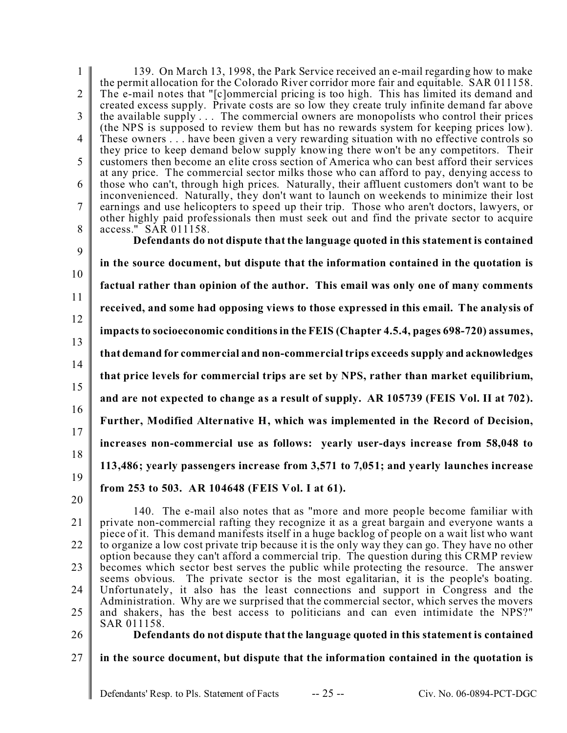| $\mathbf{1}$   | 139. On March 13, 1998, the Park Service received an e-mail regarding how to make                                                                                                               |
|----------------|-------------------------------------------------------------------------------------------------------------------------------------------------------------------------------------------------|
| $\overline{2}$ | the permit allocation for the Colorado River corridor more fair and equitable. SAR 011158.                                                                                                      |
|                | The e-mail notes that "[c]ommercial pricing is too high. This has limited its demand and<br>created excess supply. Private costs are so low they create truly infinite demand far above         |
| 3              | the available supply  The commercial owners are monopolists who control their prices                                                                                                            |
|                | (the NPS is supposed to review them but has no rewards system for keeping prices low).                                                                                                          |
| $\overline{4}$ | These owners have been given a very rewarding situation with no effective controls so                                                                                                           |
|                | they price to keep demand below supply knowing there won't be any competitors. Their                                                                                                            |
| 5              | customers then become an elite cross section of America who can best afford their services                                                                                                      |
|                | at any price. The commercial sector milks those who can afford to pay, denying access to                                                                                                        |
| 6              | those who can't, through high prices. Naturally, their affluent customers don't want to be<br>inconvenienced. Naturally, they don't want to launch on weekends to minimize their lost           |
| $\tau$         | earnings and use helicopters to speed up their trip. Those who aren't doctors, lawyers, or                                                                                                      |
|                | other highly paid professionals then must seek out and find the private sector to acquire                                                                                                       |
| 8              | access." SAR 011158.                                                                                                                                                                            |
|                | Defendants do not dispute that the language quoted in this statement is contained                                                                                                               |
| 9              |                                                                                                                                                                                                 |
| 10             | in the source document, but dispute that the information contained in the quotation is                                                                                                          |
|                | factual rather than opinion of the author. This email was only one of many comments                                                                                                             |
| 11             |                                                                                                                                                                                                 |
|                | received, and some had opposing views to those expressed in this email. The analysis of                                                                                                         |
| 12             |                                                                                                                                                                                                 |
| 13             | impacts to socioeconomic conditions in the FEIS (Chapter 4.5.4, pages 698-720) assumes,                                                                                                         |
|                | that demand for commercial and non-commercial trips exceeds supply and acknowledges                                                                                                             |
| 14             |                                                                                                                                                                                                 |
|                | that price levels for commercial trips are set by NPS, rather than market equilibrium,                                                                                                          |
| 15             | and are not expected to change as a result of supply. AR 105739 (FEIS Vol. II at 702).                                                                                                          |
| 16             |                                                                                                                                                                                                 |
|                | Further, Modified Alternative H, which was implemented in the Record of Decision,                                                                                                               |
| 17             |                                                                                                                                                                                                 |
|                | increases non-commercial use as follows: yearly user-days increase from 58,048 to                                                                                                               |
| 18             | 113,486; yearly passengers increase from 3,571 to 7,051; and yearly launches increase                                                                                                           |
| 19             |                                                                                                                                                                                                 |
|                | from 253 to 503. AR 104648 (FEIS Vol. I at 61).                                                                                                                                                 |
| 20             |                                                                                                                                                                                                 |
|                | 140. The e-mail also notes that as "more and more people become familiar with                                                                                                                   |
| 21             | private non-commercial rafting they recognize it as a great bargain and everyone wants a                                                                                                        |
| 22             | piece of it. This demand manifests itself in a huge backlog of people on a wait list who want<br>to organize a low cost private trip because it is the only way they can go. They have no other |
|                | option because they can't afford a commercial trip. The question during this CRMP review                                                                                                        |
| 23             | becomes which sector best serves the public while protecting the resource. The answer                                                                                                           |
|                | seems obvious. The private sector is the most egalitarian, it is the people's boating.                                                                                                          |
| 24             | Unfortunately, it also has the least connections and support in Congress and the                                                                                                                |
|                | Administration. Why are we surprised that the commercial sector, which serves the movers                                                                                                        |
| 25             | and shakers, has the best access to politicians and can even intimidate the NPS?"<br>SAR 011158.                                                                                                |
| 26             | Defendants do not dispute that the language quoted in this statement is contained                                                                                                               |

26

27

 $\parallel$ 

**in the source document, but dispute that the information contained in the quotation is**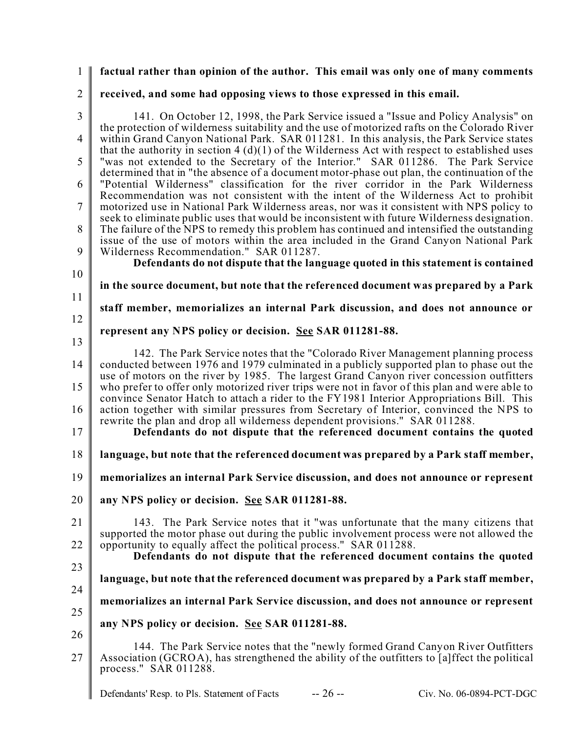#### 1 **factual rather than opinion of the author. This email was only one of many comments**

# 2 **received, and some had opposing views to those expressed in this email.**

| 141. On October 12, 1998, the Park Service issued a "Issue and Policy Analysis" on<br>the protection of wilderness suitability and the use of motorized rafts on the Colorado River<br>within Grand Canyon National Park. SAR 011281. In this analysis, the Park Service states<br>that the authority in section $4(d)(1)$ of the Wilderness Act with respect to established uses<br>"was not extended to the Secretary of the Interior." SAR 011286. The Park Service<br>determined that in "the absence of a document motor-phase out plan, the continuation of the<br>"Potential Wilderness" classification for the river corridor in the Park Wilderness<br>Recommendation was not consistent with the intent of the Wilderness Act to prohibit<br>motorized use in National Park Wilderness areas, nor was it consistent with NPS policy to<br>seek to eliminate public uses that would be inconsistent with future Wilderness designation.<br>The failure of the NPS to remedy this problem has continued and intensified the outstanding<br>issue of the use of motors within the area included in the Grand Canyon National Park<br>Wilderness Recommendation." SAR 011287.<br>Defendants do not dispute that the language quoted in this statement is contained |
|--------------------------------------------------------------------------------------------------------------------------------------------------------------------------------------------------------------------------------------------------------------------------------------------------------------------------------------------------------------------------------------------------------------------------------------------------------------------------------------------------------------------------------------------------------------------------------------------------------------------------------------------------------------------------------------------------------------------------------------------------------------------------------------------------------------------------------------------------------------------------------------------------------------------------------------------------------------------------------------------------------------------------------------------------------------------------------------------------------------------------------------------------------------------------------------------------------------------------------------------------------------------------|
| in the source document, but note that the referenced document was prepared by a Park                                                                                                                                                                                                                                                                                                                                                                                                                                                                                                                                                                                                                                                                                                                                                                                                                                                                                                                                                                                                                                                                                                                                                                                     |
| staff member, memorializes an internal Park discussion, and does not announce or                                                                                                                                                                                                                                                                                                                                                                                                                                                                                                                                                                                                                                                                                                                                                                                                                                                                                                                                                                                                                                                                                                                                                                                         |
| represent any NPS policy or decision. See SAR 011281-88.                                                                                                                                                                                                                                                                                                                                                                                                                                                                                                                                                                                                                                                                                                                                                                                                                                                                                                                                                                                                                                                                                                                                                                                                                 |
| 142. The Park Service notes that the "Colorado River Management planning process"<br>conducted between 1976 and 1979 culminated in a publicly supported plan to phase out the<br>use of motors on the river by 1985. The largest Grand Canyon river concession outfitters                                                                                                                                                                                                                                                                                                                                                                                                                                                                                                                                                                                                                                                                                                                                                                                                                                                                                                                                                                                                |
| who prefer to offer only motorized river trips were not in favor of this plan and were able to<br>convince Senator Hatch to attach a rider to the FY1981 Interior Appropriations Bill. This                                                                                                                                                                                                                                                                                                                                                                                                                                                                                                                                                                                                                                                                                                                                                                                                                                                                                                                                                                                                                                                                              |
| action together with similar pressures from Secretary of Interior, convinced the NPS to<br>rewrite the plan and drop all wilderness dependent provisions." SAR 011288.<br>Defendants do not dispute that the referenced document contains the quoted                                                                                                                                                                                                                                                                                                                                                                                                                                                                                                                                                                                                                                                                                                                                                                                                                                                                                                                                                                                                                     |
| language, but note that the referenced document was prepared by a Park staff member,                                                                                                                                                                                                                                                                                                                                                                                                                                                                                                                                                                                                                                                                                                                                                                                                                                                                                                                                                                                                                                                                                                                                                                                     |
| memorializes an internal Park Service discussion, and does not announce or represent                                                                                                                                                                                                                                                                                                                                                                                                                                                                                                                                                                                                                                                                                                                                                                                                                                                                                                                                                                                                                                                                                                                                                                                     |
| any NPS policy or decision. See SAR 011281-88.                                                                                                                                                                                                                                                                                                                                                                                                                                                                                                                                                                                                                                                                                                                                                                                                                                                                                                                                                                                                                                                                                                                                                                                                                           |
| 143. The Park Service notes that it "was unfortunate that the many citizens that<br>supported the motor phase out during the public involvement process were not allowed the                                                                                                                                                                                                                                                                                                                                                                                                                                                                                                                                                                                                                                                                                                                                                                                                                                                                                                                                                                                                                                                                                             |
| opportunity to equally affect the political process." SAR 011288.<br>Defendants do not dispute that the referenced document contains the quoted                                                                                                                                                                                                                                                                                                                                                                                                                                                                                                                                                                                                                                                                                                                                                                                                                                                                                                                                                                                                                                                                                                                          |
| language, but note that the referenced document was prepared by a Park staff member,                                                                                                                                                                                                                                                                                                                                                                                                                                                                                                                                                                                                                                                                                                                                                                                                                                                                                                                                                                                                                                                                                                                                                                                     |
| memorializes an internal Park Service discussion, and does not announce or represent                                                                                                                                                                                                                                                                                                                                                                                                                                                                                                                                                                                                                                                                                                                                                                                                                                                                                                                                                                                                                                                                                                                                                                                     |
| any NPS policy or decision. See SAR 011281-88.                                                                                                                                                                                                                                                                                                                                                                                                                                                                                                                                                                                                                                                                                                                                                                                                                                                                                                                                                                                                                                                                                                                                                                                                                           |
| 144. The Park Service notes that the "newly formed Grand Canyon River Outfitters"<br>Association (GCROA), has strengthened the ability of the outfitters to [a] ffect the political<br>process." SAR 011288.                                                                                                                                                                                                                                                                                                                                                                                                                                                                                                                                                                                                                                                                                                                                                                                                                                                                                                                                                                                                                                                             |
|                                                                                                                                                                                                                                                                                                                                                                                                                                                                                                                                                                                                                                                                                                                                                                                                                                                                                                                                                                                                                                                                                                                                                                                                                                                                          |

Defendants' Resp. to Pls. Statement of Facts -- 26 -- Civ. No. 06-0894-PCT-DGC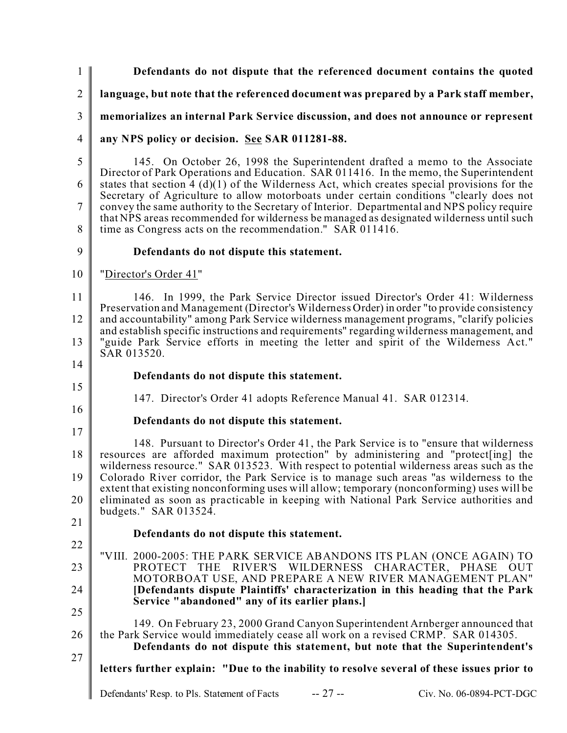1  $\mathfrak{D}$ 3 4 5 6 7 8 9 10 11 12 13 14 15 16 17 18 19 20 21 22 23 24 25 26 27 **Defendants do not dispute that the referenced document contains the quoted language, but note that the referenced document was prepared by a Park staff member, memorializes an internal Park Service discussion, and does not announce or represent any NPS policy or decision. See SAR 011281-88.** 145. On October 26, 1998 the Superintendent drafted a memo to the Associate Director of Park Operations and Education. SAR 011416. In the memo, the Superintendent states that section  $\frac{4}{9}(1)$  of the Wilderness Act, which creates special provisions for the Secretary of Agriculture to allow motorboats under certain conditions "clearly does not convey the same authority to the Secretary of Interior. Departmental and NPS policy require that NPS areas recommended for wilderness be managed as designated wilderness until such time as Congress acts on the recommendation." SAR 011416. **Defendants do not dispute this statement.** "Director's Order 41" 146. In 1999, the Park Service Director issued Director's Order 41: Wilderness Preservation and Management (Director's Wilderness Order) in order "to provide consistency and accountability" among Park Service wilderness management programs, "clarify policies and establish specific instructions and requirements" regarding wilderness management, and "guide Park Service efforts in meeting the letter and spirit of the Wilderness Act." SAR 013520. **Defendants do not dispute this statement.** 147. Director's Order 41 adopts Reference Manual 41. SAR 012314. **Defendants do not dispute this statement.** 148. Pursuant to Director's Order 41, the Park Service is to "ensure that wilderness resources are afforded maximum protection" by administering and "protect[ing] the wilderness resource." SAR 013523. With respect to potential wilderness areas such as the Colorado River corridor, the Park Service is to manage such areas "as wilderness to the extent that existing nonconforming uses will allow; temporary (nonconforming) uses will be eliminated as soon as practicable in keeping with National Park Service authorities and budgets." SAR 013524. **Defendants do not dispute this statement.** "VIII. 2000-2005: THE PARK SERVICE ABANDONS ITS PLAN (ONCE AGAIN) TO PROTECT THE RIVER'S WILDERNESS CHARACTER, PHASE OUT MOTORBOAT USE, AND PREPARE A NEW RIVER MANAGEMENT PLAN" **[Defendants dispute Plaintiffs' characterization in this heading that the Park Service "abandoned" any of its earlier plans.]** 149. On February 23, 2000 Grand Canyon Superintendent Arnberger announced that the Park Service would immediately cease all work on a revised CRMP. SAR 014305. **Defendants do not dispute this statement, but note that the Superintendent's letters further explain: "Due to the inability to resolve several of these issues prior to**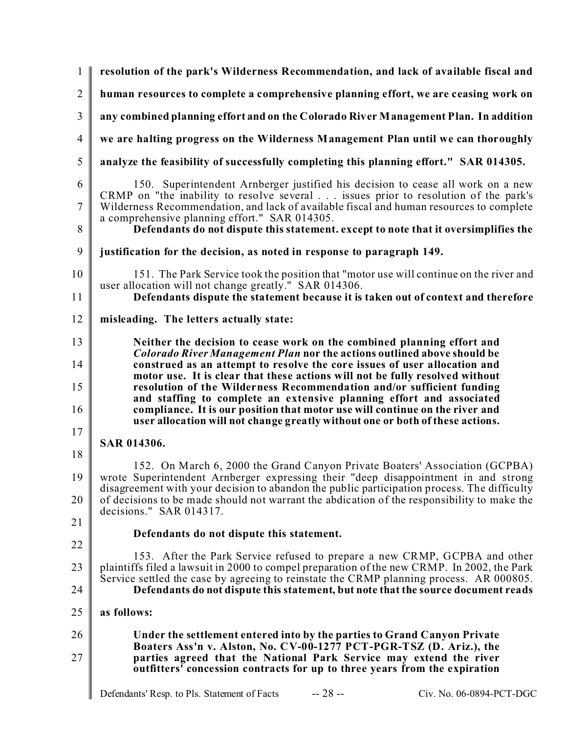| $\mathbf{1}$   | resolution of the park's Wilderness Recommendation, and lack of available fiscal and                                                                                                                                                                             |
|----------------|------------------------------------------------------------------------------------------------------------------------------------------------------------------------------------------------------------------------------------------------------------------|
| $\overline{2}$ | human resources to complete a comprehensive planning effort, we are ceasing work on                                                                                                                                                                              |
| 3              | any combined planning effort and on the Colorado River Management Plan. In addition                                                                                                                                                                              |
| $\overline{4}$ | we are halting progress on the Wilderness Management Plan until we can thoroughly                                                                                                                                                                                |
| 5              | analyze the feasibility of successfully completing this planning effort." SAR 014305.                                                                                                                                                                            |
| 6<br>7         | 150. Superintendent Arnberger justified his decision to cease all work on a new<br>CRMP on "the inability to resolve several issues prior to resolution of the park's<br>Wilderness Recommendation, and lack of available fiscal and human resources to complete |
| 8              | a comprehensive planning effort." SAR 014305.<br>Defendants do not dispute this statement. except to note that it oversimplifies the                                                                                                                             |
| 9              | justification for the decision, as noted in response to paragraph 149.                                                                                                                                                                                           |
| 10             | 151. The Park Service took the position that "motor use will continue on the river and<br>user allocation will not change greatly." SAR 014306.                                                                                                                  |
| 11             | Defendants dispute the statement because it is taken out of context and therefore                                                                                                                                                                                |
| 12             | misleading. The letters actually state:                                                                                                                                                                                                                          |
| 13             | Neither the decision to cease work on the combined planning effort and<br><b>Colorado River Management Plan nor the actions outlined above should be</b>                                                                                                         |
| 14             | construed as an attempt to resolve the core issues of user allocation and<br>motor use. It is clear that these actions will not be fully resolved without                                                                                                        |
| 15<br>16       | resolution of the Wilderness Recommendation and/or sufficient funding<br>and staffing to complete an extensive planning effort and associated<br>compliance. It is our position that motor use will continue on the river and                                    |
|                | user allocation will not change greatly without one or both of these actions.                                                                                                                                                                                    |
| 17<br>18       | SAR 014306.                                                                                                                                                                                                                                                      |
|                | 152. On March 6, 2000 the Grand Canyon Private Boaters' Association (GCPBA)                                                                                                                                                                                      |
| 19             | wrote Superintendent Arnberger expressing their "deep disappointment in and strong<br>disagreement with your decision to abandon the public participation process. The difficulty                                                                                |
| 20             | of decisions to be made should not warrant the abdication of the responsibility to make the<br>decisions." SAR 014317.                                                                                                                                           |
| 21             | Defendants do not dispute this statement.                                                                                                                                                                                                                        |
| 22             | 153. After the Park Service refused to prepare a new CRMP, GCPBA and other                                                                                                                                                                                       |
| 23             | plaintiffs filed a lawsuit in 2000 to compel preparation of the new CRMP. In 2002, the Park<br>Service settled the case by agreeing to reinstate the CRMP planning process. AR 000805.                                                                           |
| 24             | Defendants do not dispute this statement, but note that the source document reads                                                                                                                                                                                |
| 25             | as follows:                                                                                                                                                                                                                                                      |
| 26             | Under the settlement entered into by the parties to Grand Canyon Private<br>Boaters Ass'n v. Alston, No. CV-00-1277 PCT-PGR-TSZ (D. Ariz.), the                                                                                                                  |
| 27             | parties agreed that the National Park Service may extend the river<br>outfitters' concession contracts for up to three years from the expiration                                                                                                                 |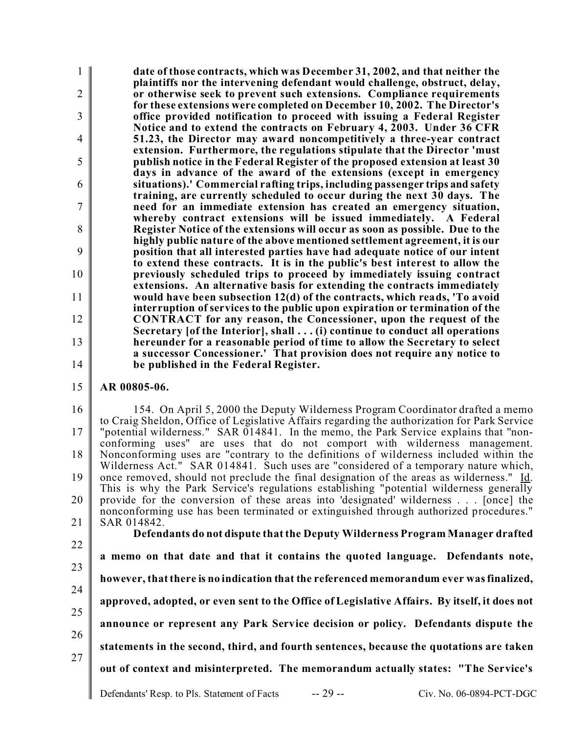1  $\mathfrak{D}$ 3 4 5 6 7 8 9 10 11 12 13 14 **date of those contracts, which was December 31, 2002, and that neither the plaintiffs nor the intervening defendant would challenge, obstruct, delay, or otherwise seek to prevent such extensions. Compliance requirements for these extensions were completed on December 10, 2002. The Director's office provided notification to proceed with issuing a Federal Register Notice and to extend the contracts on February 4, 2003. Under 36 CFR 51.23, the Director may award noncompetitively a three-year contract extension. Furthermore, the regulations stipulate that the Director 'must publish notice in the Federal Register of the proposed extension at least 30 days in advance of the award of the extensions (except in emergency situations).' Commercial rafting trips, including passenger trips and safety training, are currently scheduled to occur during the next 30 days. The need for an immediate extension has created an emergency situation, whereby contract extensions will be issued immediately. A Federal Register Notice of the extensions will occur as soon as possible. Due to the highly public nature of the above mentioned settlement agreement, it is our position that all interested parties have had adequate notice of our intent to extend these contracts. It is in the public's best interest to allow the previously scheduled trips to proceed by immediately issuing contract extensions. An alternative basis for extending the contracts immediately would have been subsection 12(d) of the contracts, which reads, 'To avoid interruption of services to the public upon expiration or termination of the CONTRACT for any reason, the Concessioner, upon the request of the Secretary [of the Interior], shall . . . (i) continue to conduct all operations hereunder for a reasonable period of time to allow the Secretary to select a successor Concessioner.' That provision does not require any notice to be published in the Federal Register.**

15 **AR 00805-06.**

16 17 18 19 20 21 154. On April 5, 2000 the Deputy Wilderness Program Coordinator drafted a memo to Craig Sheldon, Office of Legislative Affairs regarding the authorization for Park Service "potential wilderness." SAR 014841. In the memo, the Park Service explains that "nonconforming uses" are uses that do not comport with wilderness management. Nonconforming uses are "contrary to the definitions of wilderness included within the Wilderness Act." SAR 014841. Such uses are "considered of a temporary nature which, once removed, should not preclude the final designation of the areas as wilderness." Id. This is why the Park Service's regulations establishing "potential wilderness generally provide for the conversion of these areas into 'designated' wilderness . . . [once] the nonconforming use has been terminated or extinguished through authorized procedures." SAR 014842. **Defendants do not dispute that the Deputy Wilderness Program Manager drafted**

22 23 24 25 26 27 **a memo on that date and that it contains the quoted language. Defendants note, however, that there is no indication that the referenced memorandum ever was finalized, approved, adopted, or even sent to the Office of Legislative Affairs. By itself, it does not announce or represent any Park Service decision or policy. Defendants dispute the statements in the second, third, and fourth sentences, because the quotations are taken out of context and misinterpreted. The memorandum actually states: "The Service's**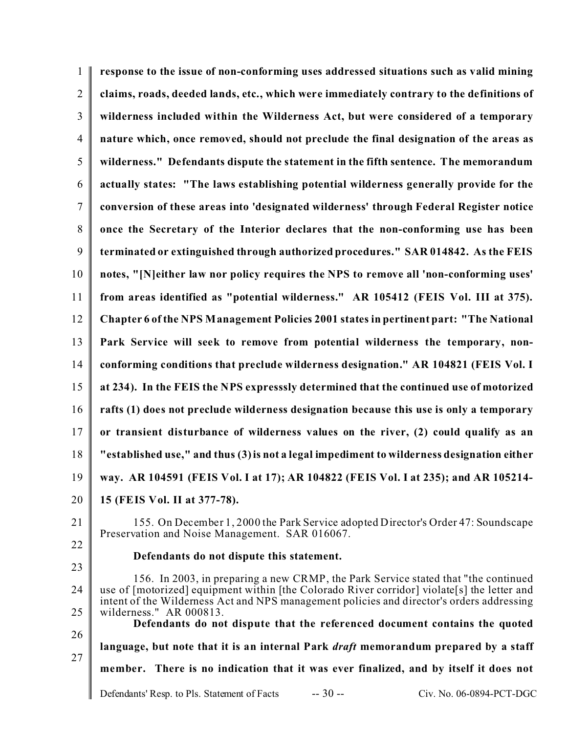| $\mathbf{1}$   | response to the issue of non-conforming uses addressed situations such as valid mining                                                                                                                                                                                                                     |
|----------------|------------------------------------------------------------------------------------------------------------------------------------------------------------------------------------------------------------------------------------------------------------------------------------------------------------|
| $\overline{2}$ | claims, roads, deeded lands, etc., which were immediately contrary to the definitions of                                                                                                                                                                                                                   |
| 3              | wilderness included within the Wilderness Act, but were considered of a temporary                                                                                                                                                                                                                          |
| $\overline{4}$ | nature which, once removed, should not preclude the final designation of the areas as                                                                                                                                                                                                                      |
| 5              | wilderness." Defendants dispute the statement in the fifth sentence. The memorandum                                                                                                                                                                                                                        |
| 6              | actually states: "The laws establishing potential wilderness generally provide for the                                                                                                                                                                                                                     |
| 7              | conversion of these areas into 'designated wilderness' through Federal Register notice                                                                                                                                                                                                                     |
| 8              | once the Secretary of the Interior declares that the non-conforming use has been                                                                                                                                                                                                                           |
| 9              | terminated or extinguished through authorized procedures." SAR 014842. As the FEIS                                                                                                                                                                                                                         |
| 10             | notes, "[N]either law nor policy requires the NPS to remove all 'non-conforming uses'                                                                                                                                                                                                                      |
| 11             | from areas identified as "potential wilderness." AR 105412 (FEIS Vol. III at 375).                                                                                                                                                                                                                         |
| 12             | Chapter 6 of the NPS Management Policies 2001 states in pertinent part: "The National                                                                                                                                                                                                                      |
| 13             | Park Service will seek to remove from potential wilderness the temporary, non-                                                                                                                                                                                                                             |
| 14             | conforming conditions that preclude wilderness designation." AR 104821 (FEIS Vol. I                                                                                                                                                                                                                        |
| 15             | at 234). In the FEIS the NPS expresssly determined that the continued use of motorized                                                                                                                                                                                                                     |
| 16             | rafts (1) does not preclude wilderness designation because this use is only a temporary                                                                                                                                                                                                                    |
| 17             | or transient disturbance of wilderness values on the river, (2) could qualify as an                                                                                                                                                                                                                        |
| 18             | "established use," and thus (3) is not a legal impediment to wilderness designation either                                                                                                                                                                                                                 |
| 19             | way. AR 104591 (FEIS Vol. I at 17); AR 104822 (FEIS Vol. I at 235); and AR 105214-                                                                                                                                                                                                                         |
| 20             | 15 (FEIS Vol. II at 377-78).                                                                                                                                                                                                                                                                               |
| 21             | 155. On December 1, 2000 the Park Service adopted Director's Order 47: Soundscape<br>Preservation and Noise Management. SAR 016067.                                                                                                                                                                        |
| 22             | Defendants do not dispute this statement.                                                                                                                                                                                                                                                                  |
| 23<br>24<br>25 | 156. In 2003, in preparing a new CRMP, the Park Service stated that "the continued"<br>use of [motorized] equipment within [the Colorado River corridor] violate[s] the letter and<br>intent of the Wilderness Act and NPS management policies and director's orders addressing<br>wilderness." AR 000813. |
| 26             | Defendants do not dispute that the referenced document contains the quoted                                                                                                                                                                                                                                 |
| 27             | language, but note that it is an internal Park <i>draft</i> memorandum prepared by a staff                                                                                                                                                                                                                 |
|                | member. There is no indication that it was ever finalized, and by itself it does not                                                                                                                                                                                                                       |
|                | $-30-$<br>Defendants' Resp. to Pls. Statement of Facts<br>Civ. No. 06-0894-PCT-DGC                                                                                                                                                                                                                         |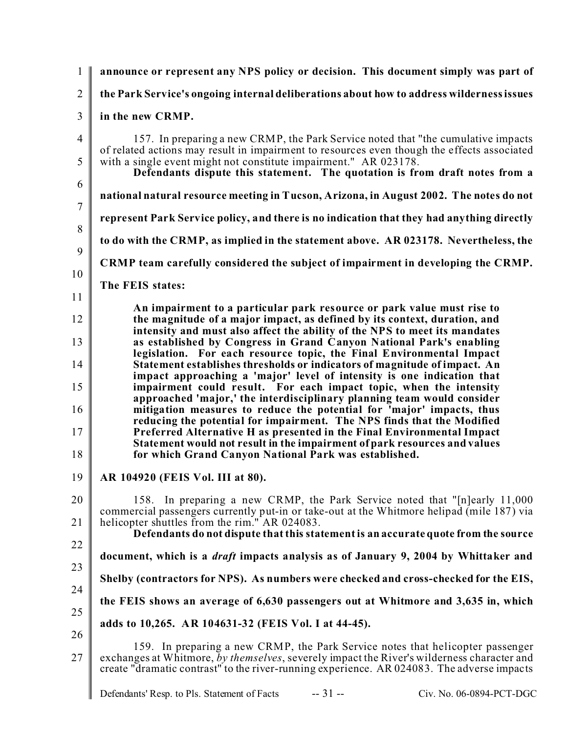| $\mathbf{1}$   | announce or represent any NPS policy or decision. This document simply was part of                                                                                                                                                                                         |
|----------------|----------------------------------------------------------------------------------------------------------------------------------------------------------------------------------------------------------------------------------------------------------------------------|
| $\overline{2}$ | the Park Service's ongoing internal deliberations about how to address wilderness issues                                                                                                                                                                                   |
| 3              | in the new CRMP.                                                                                                                                                                                                                                                           |
| $\overline{4}$ | 157. In preparing a new CRMP, the Park Service noted that "the cumulative impacts"<br>of related actions may result in impairment to resources even though the effects associated                                                                                          |
| 5<br>6         | with a single event might not constitute impairment." AR 023178.<br>Defendants dispute this statement. The quotation is from draft notes from a                                                                                                                            |
| $\overline{7}$ | national natural resource meeting in Tucson, Arizona, in August 2002. The notes do not                                                                                                                                                                                     |
| 8              | represent Park Service policy, and there is no indication that they had anything directly                                                                                                                                                                                  |
| 9              | to do with the CRMP, as implied in the statement above. AR 023178. Nevertheless, the                                                                                                                                                                                       |
| 10             | CRMP team carefully considered the subject of impairment in developing the CRMP.                                                                                                                                                                                           |
| 11             | The FEIS states:                                                                                                                                                                                                                                                           |
| 12             | An impairment to a particular park resource or park value must rise to<br>the magnitude of a major impact, as defined by its context, duration, and                                                                                                                        |
| 13             | intensity and must also affect the ability of the NPS to meet its mandates<br>as established by Congress in Grand Canyon National Park's enabling<br>legislation. For each resource topic, the Final Environmental Impact                                                  |
| 14             | Statement establishes thresholds or indicators of magnitude of impact. An<br>impact approaching a 'major' level of intensity is one indication that                                                                                                                        |
| 15<br>16       | impairment could result. For each impact topic, when the intensity<br>approached 'major,' the interdisciplinary planning team would consider<br>mitigation measures to reduce the potential for 'major' impacts, thus                                                      |
| 17             | reducing the potential for impairment. The NPS finds that the Modified<br>Preferred Alternative H as presented in the Final Environmental Impact<br>Statement would not result in the impairment of park resources and values                                              |
| 18             | for which Grand Canyon National Park was established.                                                                                                                                                                                                                      |
| 19             | AR 104920 (FEIS Vol. III at 80).                                                                                                                                                                                                                                           |
| 20<br>21       | In preparing a new CRMP, the Park Service noted that "[n]early 11,000<br>158.<br>commercial passengers currently put-in or take-out at the Whitmore helipad (mile 187) via<br>helicopter shuttles from the rim." AR 024083.                                                |
| 22             | Defendants do not dispute that this statement is an accurate quote from the source                                                                                                                                                                                         |
| 23             | document, which is a <i>draft</i> impacts analysis as of January 9, 2004 by Whittaker and                                                                                                                                                                                  |
| 24             | Shelby (contractors for NPS). As numbers were checked and cross-checked for the EIS,                                                                                                                                                                                       |
| 25             | the FEIS shows an average of 6,630 passengers out at Whitmore and 3,635 in, which                                                                                                                                                                                          |
| 26             | adds to 10,265. AR 104631-32 (FEIS Vol. I at 44-45).                                                                                                                                                                                                                       |
| 27             | 159. In preparing a new CRMP, the Park Service notes that helicopter passenger<br>exchanges at Whitmore, by themselves, severely impact the River's wilderness character and<br>create "dramatic contrast" to the river-running experience. AR 024083. The adverse impacts |
|                | $-31 -$<br>Civ. No. 06-0894-PCT-DGC<br>Defendants' Resp. to Pls. Statement of Facts                                                                                                                                                                                        |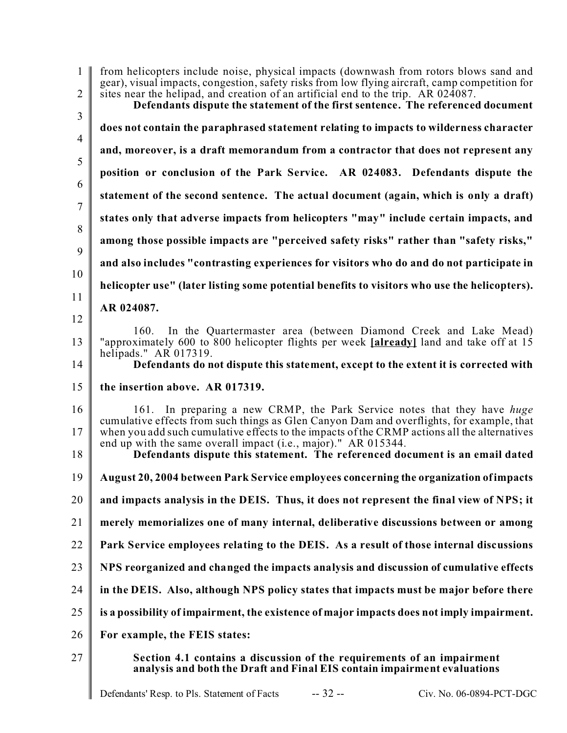| $\mathbf{1}$<br>$\overline{2}$ | from helicopters include noise, physical impacts (downwash from rotors blows sand and<br>gear), visual impacts, congestion, safety risks from low flying aircraft, camp competition for<br>sites near the helipad, and creation of an artificial end to the trip. AR 024087.<br>Defendants dispute the statement of the first sentence. The referenced document |
|--------------------------------|-----------------------------------------------------------------------------------------------------------------------------------------------------------------------------------------------------------------------------------------------------------------------------------------------------------------------------------------------------------------|
| $\mathfrak{Z}$                 | does not contain the paraphrased statement relating to impacts to wilderness character                                                                                                                                                                                                                                                                          |
| $\overline{4}$<br>5            | and, moreover, is a draft memorandum from a contractor that does not represent any                                                                                                                                                                                                                                                                              |
| 6                              | position or conclusion of the Park Service. AR 024083. Defendants dispute the                                                                                                                                                                                                                                                                                   |
| $\overline{7}$                 | statement of the second sentence. The actual document (again, which is only a draft)                                                                                                                                                                                                                                                                            |
| 8                              | states only that adverse impacts from helicopters "may" include certain impacts, and                                                                                                                                                                                                                                                                            |
| 9                              | among those possible impacts are "perceived safety risks" rather than "safety risks,"                                                                                                                                                                                                                                                                           |
| 10                             | and also includes "contrasting experiences for visitors who do and do not participate in                                                                                                                                                                                                                                                                        |
| 11                             | helicopter use" (later listing some potential benefits to visitors who use the helicopters).                                                                                                                                                                                                                                                                    |
| 12                             | AR 024087.                                                                                                                                                                                                                                                                                                                                                      |
| 13                             | In the Quartermaster area (between Diamond Creek and Lake Mead)<br>160.<br>"approximately 600 to 800 helicopter flights per week [already] land and take off at 15<br>helipads." AR $017319$ .                                                                                                                                                                  |
| 14                             | Defendants do not dispute this statement, except to the extent it is corrected with                                                                                                                                                                                                                                                                             |
| 15                             | the insertion above. AR 017319.                                                                                                                                                                                                                                                                                                                                 |
| 16<br>17                       | 161. In preparing a new CRMP, the Park Service notes that they have huge<br>cumulative effects from such things as Glen Canyon Dam and overflights, for example, that<br>when you add such cumulative effects to the impacts of the CRMP actions all the alternatives                                                                                           |
| 18                             | end up with the same overall impact (i.e., major)." AR 015344.<br>Defendants dispute this statement. The referenced document is an email dated                                                                                                                                                                                                                  |
| 19                             | August 20, 2004 between Park Service employees concerning the organization of impacts                                                                                                                                                                                                                                                                           |
| 20                             | and impacts analysis in the DEIS. Thus, it does not represent the final view of NPS; it                                                                                                                                                                                                                                                                         |
| 21                             | merely memorializes one of many internal, deliberative discussions between or among                                                                                                                                                                                                                                                                             |
| 22                             | Park Service employees relating to the DEIS. As a result of those internal discussions                                                                                                                                                                                                                                                                          |
| 23                             | NPS reorganized and changed the impacts analysis and discussion of cumulative effects                                                                                                                                                                                                                                                                           |
| 24                             | in the DEIS. Also, although NPS policy states that impacts must be major before there                                                                                                                                                                                                                                                                           |
| 25                             | is a possibility of impairment, the existence of major impacts does not imply impairment.                                                                                                                                                                                                                                                                       |
| 26                             | For example, the FEIS states:                                                                                                                                                                                                                                                                                                                                   |
| 27                             | Section 4.1 contains a discussion of the requirements of an impairment<br>analysis and both the Draft and Final EIS contain impairment evaluations                                                                                                                                                                                                              |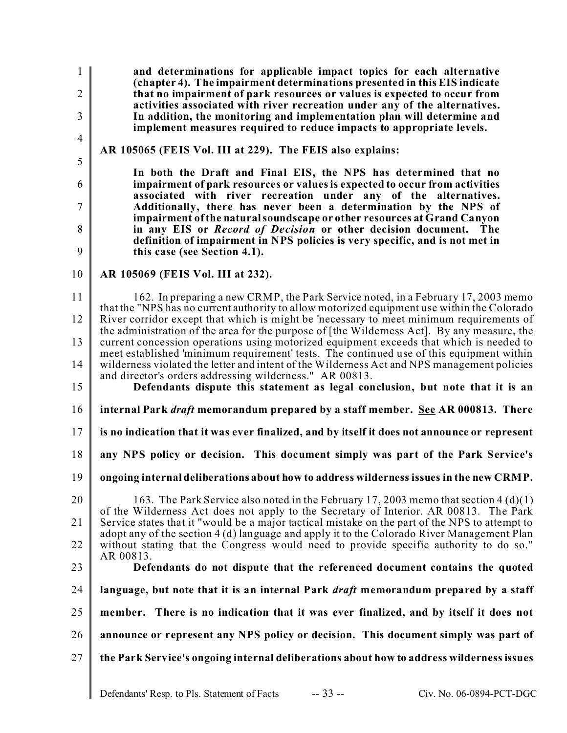**and determinations for applicable impact topics for each alternative (chapter 4). The impairment determinations presented in this EIS indicate that no impairment of park resources or values is expected to occur from activities associated with river recreation under any of the alternatives. In addition, the monitoring and implementation plan will determine and implement measures required to reduce impacts to appropriate levels.**

4 5

6

7

8

9

1

 $\mathfrak{D}$ 

3

**AR 105065 (FEIS Vol. III at 229). The FEIS also explains:**

**In both the Draft and Final EIS, the NPS has determined that no impairment of park resources or values is expected to occur from activities associated with river recreation under any of the alternatives. Additionally, there has never been a determination by the NPS of impairment of the natural soundscape or other resources at Grand Canyon in any EIS or** *Record of Decision* **or other decision document. The definition of impairment in NPS policies is very specific, and is not met in this case (see Section 4.1).**

10 **AR 105069 (FEIS Vol. III at 232).**

11 12 13 14 162. In preparing a new CRMP, the Park Service noted, in a February 17, 2003 memo that the "NPS has no current authority to allow motorized equipment use within the Colorado River corridor except that which is might be 'necessary to meet minimum requirements of the administration of the area for the purpose of [the Wilderness Act]. By any measure, the current concession operations using motorized equipment exceeds that which is needed to meet established 'minimum requirement' tests. The continued use of this equipment within wilderness violated the letter and intent of the Wilderness Act and NPS management policies and director's orders addressing wilderness." AR 00813.

15 **Defendants dispute this statement as legal conclusion, but note that it is an**

16 **internal Park** *draft* **memorandum prepared by a staff member. See AR 000813. There**

17 **is no indication that it was ever finalized, and by itself it does not announce or represent**

18 **any NPS policy or decision. This document simply was part of the Park Service's**

19 **ongoing internal deliberations about how to address wilderness issues in the new CRMP.**

20 21 22 163. The Park Service also noted in the February 17, 2003 memo that section 4 (d)(1) of the Wilderness Act does not apply to the Secretary of Interior. AR 00813. The Park Service states that it "would be a major tactical mistake on the part of the NPS to attempt to adopt any of the section 4 (d) language and apply it to the Colorado River Management Plan without stating that the Congress would need to provide specific authority to do so." AR 00813.

#### 23 **Defendants do not dispute that the referenced document contains the quoted**

24 **language, but note that it is an internal Park** *draft* **memorandum prepared by a staff**

25 **member. There is no indication that it was ever finalized, and by itself it does not**

- 26 **announce or represent any NPS policy or decision. This document simply was part of**
- 27 **the Park Service's ongoing internal deliberations about how to address wilderness issues**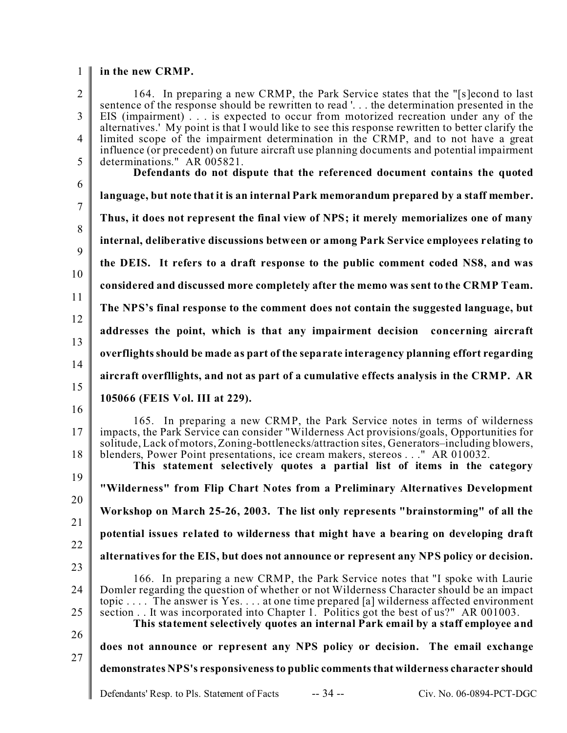#### 1 **in the new CRMP.**

| $\overline{2}$       | 164. In preparing a new CRMP, the Park Service states that the "[s]econd to last<br>sentence of the response should be rewritten to read ' the determination presented in the                                                                                                                                                                                                                                                               |
|----------------------|---------------------------------------------------------------------------------------------------------------------------------------------------------------------------------------------------------------------------------------------------------------------------------------------------------------------------------------------------------------------------------------------------------------------------------------------|
| $\overline{3}$       | EIS (impairment) is expected to occur from motorized recreation under any of the                                                                                                                                                                                                                                                                                                                                                            |
| $\overline{4}$       | alternatives.' My point is that I would like to see this response rewritten to better clarify the<br>limited scope of the impairment determination in the CRMP, and to not have a great                                                                                                                                                                                                                                                     |
| 5                    | influence (or precedent) on future aircraft use planning documents and potential impairment<br>determinations." AR 005821.                                                                                                                                                                                                                                                                                                                  |
|                      | Defendants do not dispute that the referenced document contains the quoted                                                                                                                                                                                                                                                                                                                                                                  |
| 6                    | language, but note that it is an internal Park memorandum prepared by a staff member.                                                                                                                                                                                                                                                                                                                                                       |
| $7\phantom{.0}$<br>8 | Thus, it does not represent the final view of NPS; it merely memorializes one of many                                                                                                                                                                                                                                                                                                                                                       |
| 9                    | internal, deliberative discussions between or among Park Service employees relating to                                                                                                                                                                                                                                                                                                                                                      |
| 10                   | the DEIS. It refers to a draft response to the public comment coded NS8, and was                                                                                                                                                                                                                                                                                                                                                            |
| 11                   | considered and discussed more completely after the memo was sent to the CRMP Team.                                                                                                                                                                                                                                                                                                                                                          |
| 12                   | The NPS's final response to the comment does not contain the suggested language, but                                                                                                                                                                                                                                                                                                                                                        |
| 13                   | addresses the point, which is that any impairment decision concerning aircraft                                                                                                                                                                                                                                                                                                                                                              |
| 14                   | overflights should be made as part of the separate interagency planning effort regarding                                                                                                                                                                                                                                                                                                                                                    |
| 15                   | aircraft overfllights, and not as part of a cumulative effects analysis in the CRMP. AR                                                                                                                                                                                                                                                                                                                                                     |
| 16                   | 105066 (FEIS Vol. III at 229).                                                                                                                                                                                                                                                                                                                                                                                                              |
| 17<br>18             | 165. In preparing a new CRMP, the Park Service notes in terms of wilderness<br>impacts, the Park Service can consider "Wilderness Act provisions/goals, Opportunities for<br>solitude, Lack of motors, Zoning-bottlenecks/attraction sites, Generators-including blowers,<br>blenders, Power Point presentations, ice cream makers, stereos " AR 010032.<br>This statement selectively quotes a partial list of items in the category       |
| 19<br>20             | "Wilderness" from Flip Chart Notes from a Preliminary Alternatives Development                                                                                                                                                                                                                                                                                                                                                              |
|                      | Workshop on March 25-26, 2003. The list only represents "brainstorming" of all the                                                                                                                                                                                                                                                                                                                                                          |
| 21                   | potential issues related to wilderness that might have a bearing on developing draft                                                                                                                                                                                                                                                                                                                                                        |
| 22                   | alternatives for the EIS, but does not announce or represent any NPS policy or decision.                                                                                                                                                                                                                                                                                                                                                    |
| 23<br>24<br>25<br>26 | 166. In preparing a new CRMP, the Park Service notes that "I spoke with Laurie<br>Domler regarding the question of whether or not Wilderness Character should be an impact<br>topic  The answer is Yes at one time prepared [a] wilderness affected environment<br>section It was incorporated into Chapter 1. Politics got the best of us?" AR 001003.<br>This statement selectively quotes an internal Park email by a staff employee and |
| 27                   | does not announce or represent any NPS policy or decision. The email exchange                                                                                                                                                                                                                                                                                                                                                               |
|                      | demonstrates NPS's responsiveness to public comments that wilderness character should                                                                                                                                                                                                                                                                                                                                                       |
|                      | $-34-$<br>Civ. No. 06-0894-PCT-DGC<br>Defendants' Resp. to Pls. Statement of Facts                                                                                                                                                                                                                                                                                                                                                          |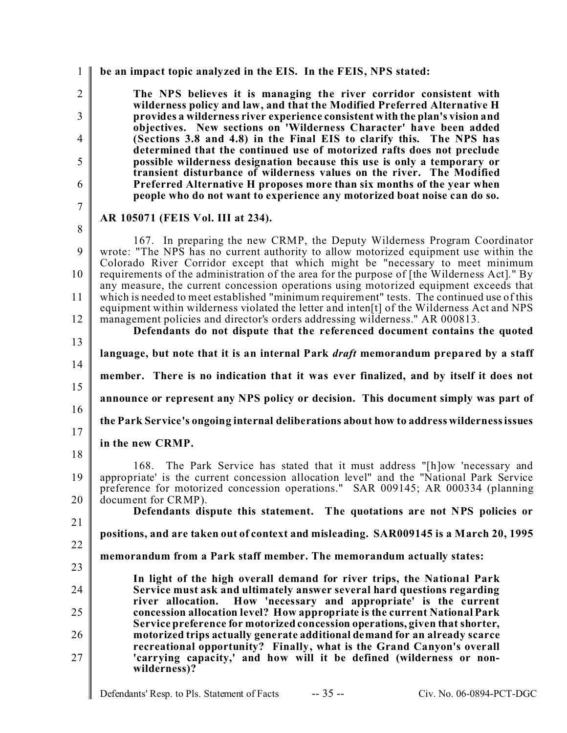| $\mathbf{1}$        | be an impact topic analyzed in the EIS. In the FEIS, NPS stated:                                                                                                                                                                                              |
|---------------------|---------------------------------------------------------------------------------------------------------------------------------------------------------------------------------------------------------------------------------------------------------------|
| $\overline{2}$<br>3 | The NPS believes it is managing the river corridor consistent with<br>wilderness policy and law, and that the Modified Preferred Alternative H<br>provides a wilderness river experience consistent with the plan's vision and                                |
| $\overline{4}$      | objectives. New sections on 'Wilderness Character' have been added<br>(Sections 3.8 and 4.8) in the Final EIS to clarify this. The NPS has                                                                                                                    |
| 5                   | determined that the continued use of motorized rafts does not preclude<br>possible wilderness designation because this use is only a temporary or                                                                                                             |
| 6                   | transient disturbance of wilderness values on the river. The Modified<br>Preferred Alternative H proposes more than six months of the year when<br>people who do not want to experience any motorized boat noise can do so.                                   |
| $\overline{7}$      | AR 105071 (FEIS Vol. III at 234).                                                                                                                                                                                                                             |
| $8\,$               |                                                                                                                                                                                                                                                               |
| 9                   | 167. In preparing the new CRMP, the Deputy Wilderness Program Coordinator<br>wrote: "The NPS has no current authority to allow motorized equipment use within the<br>Colorado River Corridor except that which might be "necessary to meet minimum            |
| 10                  | requirements of the administration of the area for the purpose of [the Wilderness Act]." By<br>any measure, the current concession operations using motorized equipment exceeds that                                                                          |
| 11                  | which is needed to meet established "minimum requirement" tests. The continued use of this<br>equipment within wilderness violated the letter and inten <sup>[t]</sup> of the Wilderness Act and NPS                                                          |
| 12                  | management policies and director's orders addressing wilderness." AR 000813.<br>Defendants do not dispute that the referenced document contains the quoted                                                                                                    |
| 13                  | language, but note that it is an internal Park <i>draft</i> memorandum prepared by a staff                                                                                                                                                                    |
| 14                  | member. There is no indication that it was ever finalized, and by itself it does not                                                                                                                                                                          |
| 15                  |                                                                                                                                                                                                                                                               |
| 16                  | announce or represent any NPS policy or decision. This document simply was part of                                                                                                                                                                            |
| 17                  | the Park Service's ongoing internal deliberations about how to address wilderness issues                                                                                                                                                                      |
| 18                  | in the new CRMP.                                                                                                                                                                                                                                              |
| 19                  | The Park Service has stated that it must address "[h]ow 'necessary and<br>168.<br>appropriate' is the current concession allocation level" and the "National Park Service<br>preference for motorized concession operations." SAR 009145; AR 000334 (planning |
| 20                  | document for CRMP).<br>Defendants dispute this statement. The quotations are not NPS policies or                                                                                                                                                              |
| 21                  | positions, and are taken out of context and misleading. SAR009145 is a March 20, 1995                                                                                                                                                                         |
| 22                  | memorandum from a Park staff member. The memorandum actually states:                                                                                                                                                                                          |
| 23                  | In light of the high overall demand for river trips, the National Park                                                                                                                                                                                        |
| 24                  | Service must ask and ultimately answer several hard questions regarding<br>How 'necessary and appropriate' is the current<br>river allocation.                                                                                                                |
| 25                  | concession allocation level? How appropriate is the current National Park<br>Service preference for motorized concession operations, given that shorter,                                                                                                      |
| 26                  | motorized trips actually generate additional demand for an already scarce<br>recreational opportunity? Finally, what is the Grand Canyon's overall                                                                                                            |
| 27                  | 'carrying capacity,' and how will it be defined (wilderness or non-<br>wilderness)?                                                                                                                                                                           |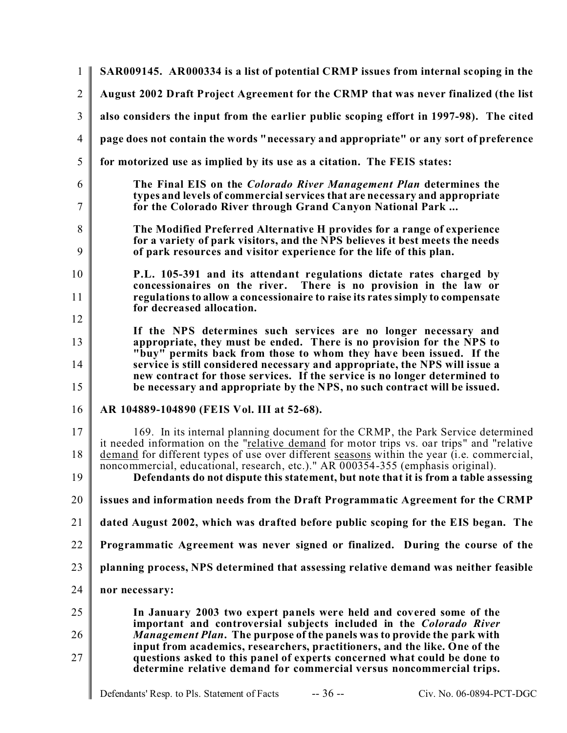| 1              | SAR009145. AR000334 is a list of potential CRMP issues from internal scoping in the                                                                                                                                                                                                                                                                                                                                                                      |
|----------------|----------------------------------------------------------------------------------------------------------------------------------------------------------------------------------------------------------------------------------------------------------------------------------------------------------------------------------------------------------------------------------------------------------------------------------------------------------|
| $\overline{2}$ | August 2002 Draft Project Agreement for the CRMP that was never finalized (the list                                                                                                                                                                                                                                                                                                                                                                      |
| 3              | also considers the input from the earlier public scoping effort in 1997-98). The cited                                                                                                                                                                                                                                                                                                                                                                   |
| $\overline{4}$ | page does not contain the words "necessary and appropriate" or any sort of preference                                                                                                                                                                                                                                                                                                                                                                    |
| 5              | for motorized use as implied by its use as a citation. The FEIS states:                                                                                                                                                                                                                                                                                                                                                                                  |
| 6<br>7         | The Final EIS on the <i>Colorado River Management Plan</i> determines the<br>types and levels of commercial services that are necessary and appropriate<br>for the Colorado River through Grand Canyon National Park                                                                                                                                                                                                                                     |
| 8<br>9         | The Modified Preferred Alternative H provides for a range of experience<br>for a variety of park visitors, and the NPS believes it best meets the needs<br>of park resources and visitor experience for the life of this plan.                                                                                                                                                                                                                           |
| 10<br>11       | P.L. 105-391 and its attendant regulations dictate rates charged by<br>concessionaires on the river. There is no provision in the law or<br>regulations to allow a concessionaire to raise its rates simply to compensate<br>for decreased allocation.                                                                                                                                                                                                   |
| 12<br>13<br>14 | If the NPS determines such services are no longer necessary and<br>appropriate, they must be ended. There is no provision for the NPS to<br>"buy" permits back from those to whom they have been issued. If the<br>service is still considered necessary and appropriate, the NPS will issue a                                                                                                                                                           |
| 15             | new contract for those services. If the service is no longer determined to<br>be necessary and appropriate by the NPS, no such contract will be issued.                                                                                                                                                                                                                                                                                                  |
| 16             | AR 104889-104890 (FEIS Vol. III at 52-68).                                                                                                                                                                                                                                                                                                                                                                                                               |
| 17<br>18<br>19 | 169. In its internal planning document for the CRMP, the Park Service determined<br>it needed information on the "relative demand for motor trips vs. oar trips" and "relative<br>demand for different types of use over different seasons within the year (i.e. commercial,<br>noncommercial, educational, research, etc.)." AR 000354-355 (emphasis original).<br>Defendants do not dispute this statement, but note that it is from a table assessing |
| 20             | issues and information needs from the Draft Programmatic Agreement for the CRMP                                                                                                                                                                                                                                                                                                                                                                          |
| 21             | dated August 2002, which was drafted before public scoping for the EIS began. The                                                                                                                                                                                                                                                                                                                                                                        |
| 22             | Programmatic Agreement was never signed or finalized. During the course of the                                                                                                                                                                                                                                                                                                                                                                           |
| 23             | planning process, NPS determined that assessing relative demand was neither feasible                                                                                                                                                                                                                                                                                                                                                                     |
| 24             | nor necessary:                                                                                                                                                                                                                                                                                                                                                                                                                                           |
| 25             | In January 2003 two expert panels were held and covered some of the<br>important and controversial subjects included in the Colorado River                                                                                                                                                                                                                                                                                                               |
| 26<br>27       | <i>Management Plan.</i> The purpose of the panels was to provide the park with<br>input from academics, researchers, practitioners, and the like. One of the<br>questions asked to this panel of experts concerned what could be done to<br>determine relative demand for commercial versus noncommercial trips.                                                                                                                                         |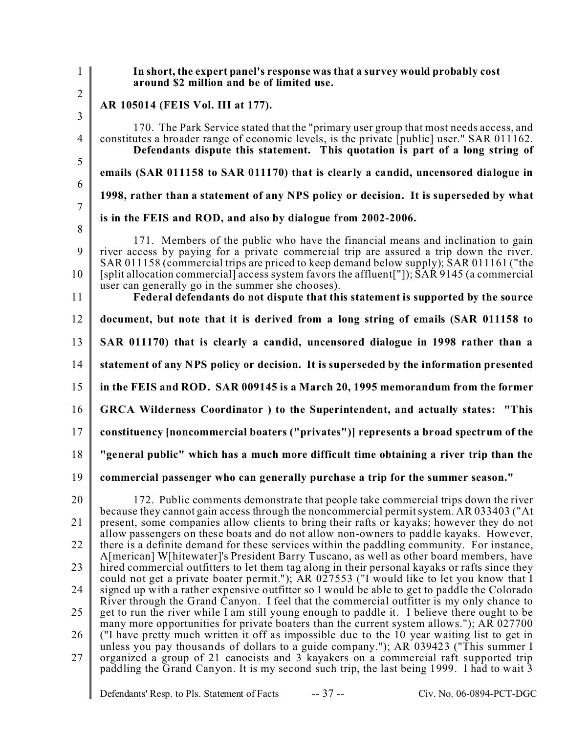1 2 3 4 5 6 7 8 9 10 11 12 13 14 15 16 17 18 19 20 21 22 23 24 25 26 27 Defendants' Resp. to Pls. Statement of Facts -- 37 -- Civ. No. 06-0894-PCT-DGC **In short, the expert panel's response was that a survey would probably cost around \$2 million and be of limited use. AR 105014 (FEIS Vol. III at 177).** 170. The Park Service stated that the "primary user group that most needs access, and constitutes a broader range of economic levels, is the private [public] user." SAR 011162. **Defendants dispute this statement. This quotation is part of a long string of emails (SAR 011158 to SAR 011170) that is clearly a candid, uncensored dialogue in 1998, rather than a statement of any NPS policy or decision. It is superseded by what is in the FEIS and ROD, and also by dialogue from 2002-2006.** 171. Members of the public who have the financial means and inclination to gain river access by paying for a private commercial trip are assured a trip down the river. SAR 011158 (commercial trips are priced to keep demand below supply); SAR 011161 ("the [split allocation commercial] access system favors the affluent["]); SAR 9145 (a commercial user can generally go in the summer she chooses). **Federal defendants do not dispute that this statement is supported by the source document, but note that it is derived from a long string of emails (SAR 011158 to SAR 011170) that is clearly a candid, uncensored dialogue in 1998 rather than a statement of any NPS policy or decision. It is superseded by the information presented in the FEIS and ROD. SAR 009145 is a March 20, 1995 memorandum from the former GRCA Wilderness Coordinator ) to the Superintendent, and actually states: "This constituency [noncommercial boaters ("privates")] represents a broad spectrum of the "general public" which has a much more difficult time obtaining a river trip than the commercial passenger who can generally purchase a trip for the summer season."** 172. Public comments demonstrate that people take commercial trips down the river because they cannot gain access through the noncommercial permit system. AR 033403 ("At present, some companies allow clients to bring their rafts or kayaks; however they do not allow passengers on these boats and do not allow non-owners to paddle kayaks. However, there is a definite demand for these services within the paddling community. For instance, A[merican] W[hitewater]'s President Barry Tuscano, as well as other board members, have hired commercial outfitters to let them tag along in their personal kayaks or rafts since they could not get a private boater permit."); AR 027553 ("I would like to let you know that I signed up with a rather expensive outfitter so I would be able to get to paddle the Colorado River through the Grand Canyon. I feel that the commercial outfitter is my only chance to get to run the river while I am still young enough to paddle it. I believe there ought to be many more opportunities for private boaters than the current system allows."); AR 027700 ("I have pretty much written it off as impossible due to the 10 year waiting list to get in unless you pay thousands of dollars to a guide company."); AR 039423 ("This summer I organized a group of 21 canoeists and 3 kayakers on a commercial raft supported trip paddling the Grand Canyon. It is my second such trip, the last being 1999. I had to wait 3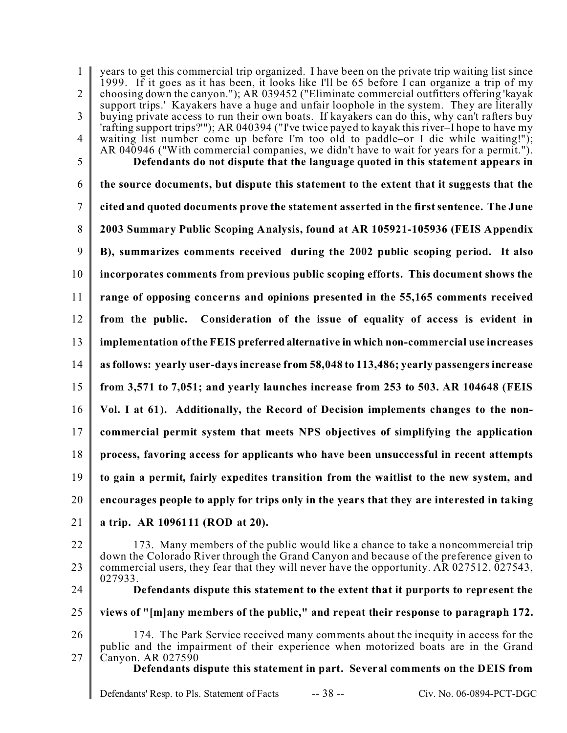1  $\mathfrak{D}$ 3 4 5 6 7 8 9 10 11 12 13 14 15 16 17 18 19 20 21 years to get this commercial trip organized. I have been on the private trip waiting list since 1999. If it goes as it has been, it looks like I'll be 65 before I can organize a trip of my choosing down the canyon."); AR 039452 ("Eliminate commercial outfitters offering 'kayak support trips.' Kayakers have a huge and unfair loophole in the system. They are literally buying private access to run their own boats. If kayakers can do this, why can't rafters buy 'rafting support trips?'"); AR 040394 ("I've twice payed to kayak this river–I hope to have my waiting list number come up before I'm too old to paddle–or I die while waiting!"); AR 040946 ("With commercial companies, we didn't have to wait for years for a permit."). **Defendants do not dispute that the language quoted in this statement appears in the source documents, but dispute this statement to the extent that it suggests that the cited and quoted documents prove the statement asserted in the first sentence. The June 2003 Summary Public Scoping Analysis, found at AR 105921-105936 (FEIS Appendix B), summarizes comments received during the 2002 public scoping period. It also incorporates comments from previous public scoping efforts. This document shows the range of opposing concerns and opinions presented in the 55,165 comments received from the public. Consideration of the issue of equality of access is evident in implementation of the FEIS preferred alternative in which non-commercial use increases as follows: yearly user-days increase from 58,048 to 113,486; yearly passengers increase from 3,571 to 7,051; and yearly launches increase from 253 to 503. AR 104648 (FEIS Vol. I at 61). Additionally, the Record of Decision implements changes to the noncommercial permit system that meets NPS objectives of simplifying the application process, favoring access for applicants who have been unsuccessful in recent attempts to gain a permit, fairly expedites transition from the waitlist to the new system, and encourages people to apply for trips only in the years that they are interested in taking a trip. AR 1096111 (ROD at 20).**

22 23 173. Many members of the public would like a chance to take a noncommercial trip down the Colorado River through the Grand Canyon and because of the preference given to commercial users, they fear that they will never have the opportunity. AR 027512, 027543, 027933. **Defendants dispute this statement to the extent that it purports to represent the**

- 24
- 25
- **views of "[m]any members of the public," and repeat their response to paragraph 172.**
- 26
- 27

174. The Park Service received many comments about the inequity in access for the public and the impairment of their experience when motorized boats are in the Grand Canyon. AR 027590

**Defendants dispute this statement in part. Several comments on the DEIS from**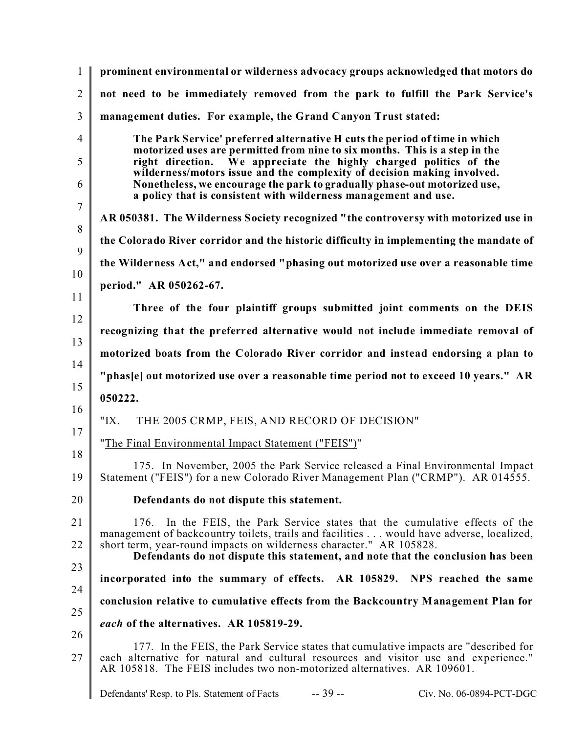| $\mathbf{1}$   | prominent environmental or wilderness advocacy groups acknowledged that motors do                                                                                                                                                                       |
|----------------|---------------------------------------------------------------------------------------------------------------------------------------------------------------------------------------------------------------------------------------------------------|
| $\overline{2}$ | not need to be immediately removed from the park to fulfill the Park Service's                                                                                                                                                                          |
| 3              | management duties. For example, the Grand Canyon Trust stated:                                                                                                                                                                                          |
| $\overline{4}$ | The Park Service' preferred alternative H cuts the period of time in which                                                                                                                                                                              |
| 5              | motorized uses are permitted from nine to six months. This is a step in the<br>right direction. We appreciate the highly charged politics of the<br>wilderness/motors issue and the complexity of decision making involved.                             |
| 6              | Nonetheless, we encourage the park to gradually phase-out motorized use,<br>a policy that is consistent with wilderness management and use.                                                                                                             |
| $\overline{7}$ | AR 050381. The Wilderness Society recognized "the controversy with motorized use in                                                                                                                                                                     |
| 8              | the Colorado River corridor and the historic difficulty in implementing the mandate of                                                                                                                                                                  |
| 9              | the Wilderness Act," and endorsed "phasing out motorized use over a reasonable time                                                                                                                                                                     |
| 10<br>11       | period." AR 050262-67.                                                                                                                                                                                                                                  |
| 12             | Three of the four plaintiff groups submitted joint comments on the DEIS                                                                                                                                                                                 |
| 13             | recognizing that the preferred alternative would not include immediate removal of                                                                                                                                                                       |
| 14             | motorized boats from the Colorado River corridor and instead endorsing a plan to                                                                                                                                                                        |
| 15             | "phas[e] out motorized use over a reasonable time period not to exceed 10 years." AR                                                                                                                                                                    |
| 16             | 050222.                                                                                                                                                                                                                                                 |
| 17             | " $IX.$<br>THE 2005 CRMP, FEIS, AND RECORD OF DECISION"                                                                                                                                                                                                 |
| 18             | "The Final Environmental Impact Statement ("FEIS")"                                                                                                                                                                                                     |
| 19             | 175. In November, 2005 the Park Service released a Final Environmental Impact<br>Statement ("FEIS") for a new Colorado River Management Plan ("CRMP"). AR 014555.                                                                                       |
| 20             | Defendants do not dispute this statement.                                                                                                                                                                                                               |
| 21<br>22       | In the FEIS, the Park Service states that the cumulative effects of the<br>176.<br>management of backcountry toilets, trails and facilities  would have adverse, localized,<br>short term, year-round impacts on wilderness character." AR 105828.      |
| 23             | Defendants do not dispute this statement, and note that the conclusion has been                                                                                                                                                                         |
| 24             | incorporated into the summary of effects. AR 105829. NPS reached the same                                                                                                                                                                               |
| 25             | conclusion relative to cumulative effects from the Backcountry Management Plan for                                                                                                                                                                      |
| 26             | each of the alternatives. AR 105819-29.                                                                                                                                                                                                                 |
| 27             | 177. In the FEIS, the Park Service states that cumulative impacts are "described for<br>each alternative for natural and cultural resources and visitor use and experience."<br>AR 105818. The FEIS includes two non-motorized alternatives. AR 109601. |
|                | $-39-$<br>Defendants' Resp. to Pls. Statement of Facts<br>Civ. No. 06-0894-PCT-DGC                                                                                                                                                                      |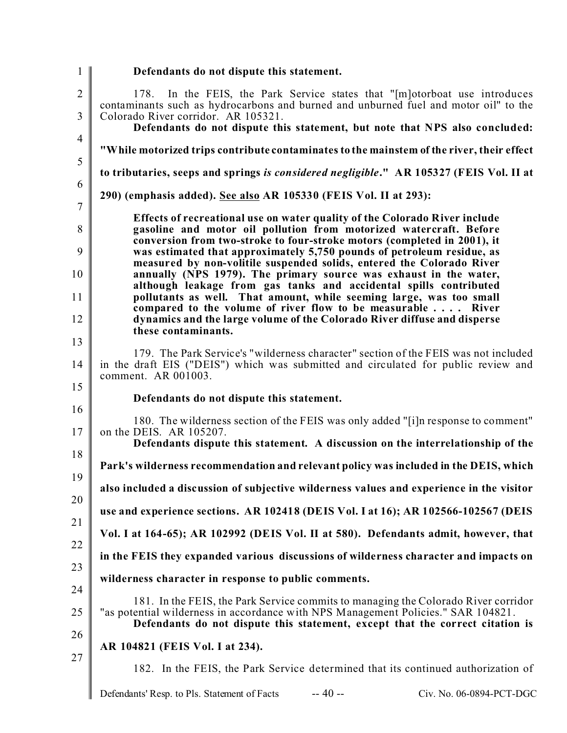| $\mathbf{1}$        | Defendants do not dispute this statement.                                                                                                                                                                                                                |
|---------------------|----------------------------------------------------------------------------------------------------------------------------------------------------------------------------------------------------------------------------------------------------------|
| $\overline{2}$      | In the FEIS, the Park Service states that "[m] otorboat use introduces<br>178.<br>contaminants such as hydrocarbons and burned and unburned fuel and motor oil" to the                                                                                   |
| 3                   | Colorado River corridor. AR 105321.<br>Defendants do not dispute this statement, but note that NPS also concluded:                                                                                                                                       |
| $\overline{4}$      | "While motorized trips contribute contaminates to the mainstem of the river, their effect                                                                                                                                                                |
| $\mathfrak s$       | to tributaries, seeps and springs is considered negligible." AR 105327 (FEIS Vol. II at                                                                                                                                                                  |
| 6<br>$\overline{7}$ | 290) (emphasis added). See also AR 105330 (FEIS Vol. II at 293):                                                                                                                                                                                         |
| 8                   | Effects of recreational use on water quality of the Colorado River include<br>gasoline and motor oil pollution from motorized watercraft. Before<br>conversion from two-stroke to four-stroke motors (completed in 2001), it                             |
| 9                   | was estimated that approximately 5,750 pounds of petroleum residue, as<br>measured by non-volitile suspended solids, entered the Colorado River                                                                                                          |
| 10<br>11            | annually (NPS 1979). The primary source was exhaust in the water,<br>although leakage from gas tanks and accidental spills contributed<br>pollutants as well. That amount, while seeming large, was too small                                            |
| 12                  | compared to the volume of river flow to be measurable River<br>dynamics and the large volume of the Colorado River diffuse and disperse                                                                                                                  |
| 13                  | these contaminants.                                                                                                                                                                                                                                      |
| 14                  | 179. The Park Service's "wilderness character" section of the FEIS was not included<br>in the draft EIS ("DEIS") which was submitted and circulated for public review and<br>comment. AR 001003.                                                         |
| 15<br>16            | Defendants do not dispute this statement.                                                                                                                                                                                                                |
| 17                  | 180. The wilderness section of the FEIS was only added "[i]n response to comment"<br>on the DEIS. AR 105207.<br>Defendants dispute this statement. A discussion on the interrelationship of the                                                          |
| 18                  | Park's wilderness recommendation and relevant policy was included in the DEIS, which                                                                                                                                                                     |
| 19                  | also included a discussion of subjective wilderness values and experience in the visitor                                                                                                                                                                 |
| 20                  | use and experience sections. AR 102418 (DEIS Vol. I at 16); AR 102566-102567 (DEIS                                                                                                                                                                       |
| 21<br>22            | Vol. I at 164-65); AR 102992 (DEIS Vol. II at 580). Defendants admit, however, that                                                                                                                                                                      |
| 23                  | in the FEIS they expanded various discussions of wilderness character and impacts on                                                                                                                                                                     |
| 24                  | wilderness character in response to public comments.                                                                                                                                                                                                     |
| 25                  | 181. In the FEIS, the Park Service commits to managing the Colorado River corridor<br>"as potential wilderness in accordance with NPS Management Policies." SAR 104821.<br>Defendants do not dispute this statement, except that the correct citation is |
| 26                  | AR 104821 (FEIS Vol. I at 234).                                                                                                                                                                                                                          |
| 27                  | 182. In the FEIS, the Park Service determined that its continued authorization of                                                                                                                                                                        |
|                     | $-40 -$<br>Defendants' Resp. to Pls. Statement of Facts<br>Civ. No. 06-0894-PCT-DGC                                                                                                                                                                      |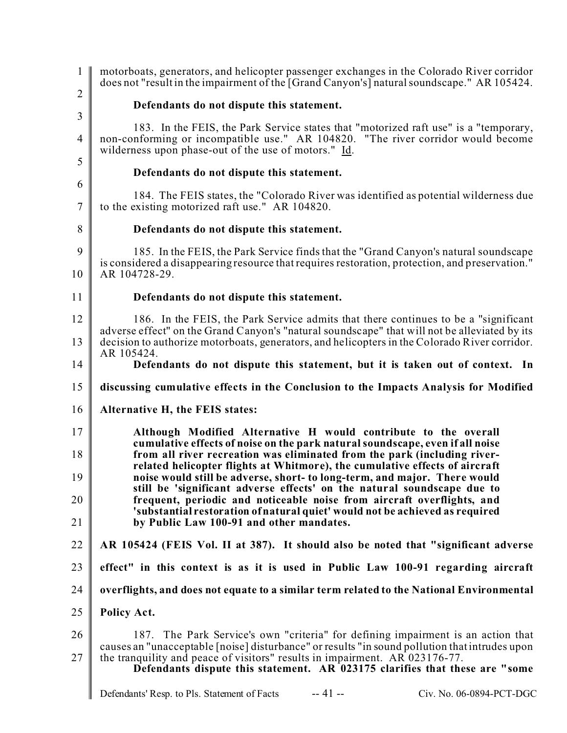| $\mathbf{1}$        | motorboats, generators, and helicopter passenger exchanges in the Colorado River corridor<br>does not "result in the impairment of the [Grand Canyon's] natural soundscape." AR 105424.                      |
|---------------------|--------------------------------------------------------------------------------------------------------------------------------------------------------------------------------------------------------------|
| $\overline{2}$      | Defendants do not dispute this statement.                                                                                                                                                                    |
| $\mathfrak{Z}$      | 183. In the FEIS, the Park Service states that "motorized raft use" is a "temporary,                                                                                                                         |
| $\overline{4}$      | non-conforming or incompatible use." AR 104820. "The river corridor would become<br>wilderness upon phase-out of the use of motors." Id.                                                                     |
| 5                   | Defendants do not dispute this statement.                                                                                                                                                                    |
| 6<br>$\overline{7}$ | 184. The FEIS states, the "Colorado River was identified as potential wilderness due<br>to the existing motorized raft use." AR 104820.                                                                      |
| 8                   | Defendants do not dispute this statement.                                                                                                                                                                    |
| 9<br>10             | 185. In the FEIS, the Park Service finds that the "Grand Canyon's natural soundscape"<br>is considered a disappearing resource that requires restoration, protection, and preservation."<br>AR 104728-29.    |
| 11                  | Defendants do not dispute this statement.                                                                                                                                                                    |
| 12                  | 186. In the FEIS, the Park Service admits that there continues to be a "significant                                                                                                                          |
| 13                  | adverse effect" on the Grand Canyon's "natural soundscape" that will not be alleviated by its<br>decision to authorize motorboats, generators, and helicopters in the Colorado River corridor.<br>AR 105424. |
| 14                  | Defendants do not dispute this statement, but it is taken out of context. In                                                                                                                                 |
| 15                  | discussing cumulative effects in the Conclusion to the Impacts Analysis for Modified                                                                                                                         |
| 16                  | Alternative H, the FEIS states:                                                                                                                                                                              |
| 17                  | Although Modified Alternative H would contribute to the overall<br>cumulative effects of noise on the park natural soundscape, even if all noise                                                             |
| 18                  | from all river recreation was eliminated from the park (including river-<br>related helicopter flights at Whitmore), the cumulative effects of aircraft                                                      |
| 19                  | noise would still be adverse, short- to long-term, and major. There would<br>still be 'significant adverse effects' on the natural soundscape due to                                                         |
| 20<br>21            | frequent, periodic and noticeable noise from aircraft overflights, and<br>'substantial restoration of natural quiet' would not be achieved as required                                                       |
| 22                  | by Public Law 100-91 and other mandates.<br>AR 105424 (FEIS Vol. II at 387). It should also be noted that "significant adverse                                                                               |
| 23                  | effect" in this context is as it is used in Public Law 100-91 regarding aircraft                                                                                                                             |
| 24                  |                                                                                                                                                                                                              |
|                     | overflights, and does not equate to a similar term related to the National Environmental                                                                                                                     |
| 25                  | Policy Act.                                                                                                                                                                                                  |
| 26                  | 187. The Park Service's own "criteria" for defining impairment is an action that<br>causes an "unacceptable [noise] disturbance" or results "in sound pollution that intrudes upon                           |
| 27                  | the tranquility and peace of visitors" results in impairment. AR 023176-77.<br>Defendants dispute this statement. AR 023175 clarifies that these are "some                                                   |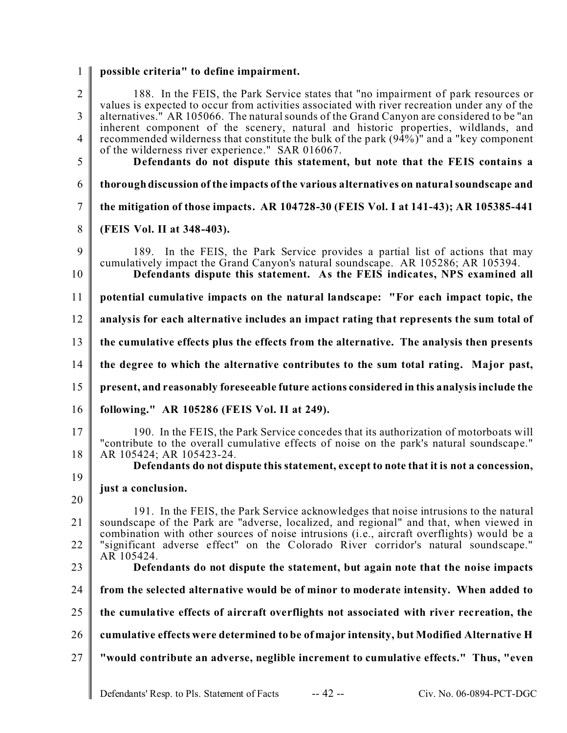1 **possible criteria" to define impairment.**

| $\overline{2}$<br>3<br>$\overline{4}$<br>5 | 188. In the FEIS, the Park Service states that "no impairment of park resources or<br>values is expected to occur from activities associated with river recreation under any of the<br>alternatives." AR 105066. The natural sounds of the Grand Canyon are considered to be "an<br>inherent component of the scenery, natural and historic properties, wildlands, and<br>recommended wilderness that constitute the bulk of the park (94%)" and a "key component<br>of the wilderness river experience." SAR 016067.<br>Defendants do not dispute this statement, but note that the FEIS contains a |
|--------------------------------------------|------------------------------------------------------------------------------------------------------------------------------------------------------------------------------------------------------------------------------------------------------------------------------------------------------------------------------------------------------------------------------------------------------------------------------------------------------------------------------------------------------------------------------------------------------------------------------------------------------|
| 6                                          | thorough discussion of the impacts of the various alternatives on natural soundscape and                                                                                                                                                                                                                                                                                                                                                                                                                                                                                                             |
| $\overline{7}$                             | the mitigation of those impacts. AR 104728-30 (FEIS Vol. I at 141-43); AR 105385-441                                                                                                                                                                                                                                                                                                                                                                                                                                                                                                                 |
| 8                                          | (FEIS Vol. II at 348-403).                                                                                                                                                                                                                                                                                                                                                                                                                                                                                                                                                                           |
| 9<br>10                                    | 189. In the FEIS, the Park Service provides a partial list of actions that may<br>cumulatively impact the Grand Canyon's natural soundscape. AR 105286; AR 105394.<br>Defendants dispute this statement. As the FEIS indicates, NPS examined all                                                                                                                                                                                                                                                                                                                                                     |
| 11                                         | potential cumulative impacts on the natural landscape: "For each impact topic, the                                                                                                                                                                                                                                                                                                                                                                                                                                                                                                                   |
| 12                                         | analysis for each alternative includes an impact rating that represents the sum total of                                                                                                                                                                                                                                                                                                                                                                                                                                                                                                             |
| 13                                         | the cumulative effects plus the effects from the alternative. The analysis then presents                                                                                                                                                                                                                                                                                                                                                                                                                                                                                                             |
| 14                                         | the degree to which the alternative contributes to the sum total rating. Major past,                                                                                                                                                                                                                                                                                                                                                                                                                                                                                                                 |
| 15                                         | present, and reasonably foreseeable future actions considered in this analysis include the                                                                                                                                                                                                                                                                                                                                                                                                                                                                                                           |
| 16                                         | following." AR 105286 (FEIS Vol. II at 249).                                                                                                                                                                                                                                                                                                                                                                                                                                                                                                                                                         |
| 17<br>18                                   | 190. In the FEIS, the Park Service concedes that its authorization of motorboats will<br>"contribute to the overall cumulative effects of noise on the park's natural soundscape."<br>AR 105424; AR 105423-24.<br>Defendants do not dispute this statement, except to note that it is not a concession,                                                                                                                                                                                                                                                                                              |
| 19                                         | just a conclusion.                                                                                                                                                                                                                                                                                                                                                                                                                                                                                                                                                                                   |
| 20                                         | 191. In the FEIS, the Park Service acknowledges that noise intrusions to the natural                                                                                                                                                                                                                                                                                                                                                                                                                                                                                                                 |
| 21                                         | soundscape of the Park are "adverse, localized, and regional" and that, when viewed in<br>combination with other sources of noise intrusions (i.e., aircraft overflights) would be a                                                                                                                                                                                                                                                                                                                                                                                                                 |
| 22                                         | "significant adverse effect" on the Colorado River corridor's natural soundscape."<br>AR 105424.                                                                                                                                                                                                                                                                                                                                                                                                                                                                                                     |
| 23                                         | Defendants do not dispute the statement, but again note that the noise impacts                                                                                                                                                                                                                                                                                                                                                                                                                                                                                                                       |
| 24                                         | from the selected alternative would be of minor to moderate intensity. When added to                                                                                                                                                                                                                                                                                                                                                                                                                                                                                                                 |
| 25                                         | the cumulative effects of aircraft overflights not associated with river recreation, the                                                                                                                                                                                                                                                                                                                                                                                                                                                                                                             |
| 26                                         | cumulative effects were determined to be of major intensity, but Modified Alternative H                                                                                                                                                                                                                                                                                                                                                                                                                                                                                                              |
| 27                                         | "would contribute an adverse, neglible increment to cumulative effects." Thus, "even                                                                                                                                                                                                                                                                                                                                                                                                                                                                                                                 |
|                                            |                                                                                                                                                                                                                                                                                                                                                                                                                                                                                                                                                                                                      |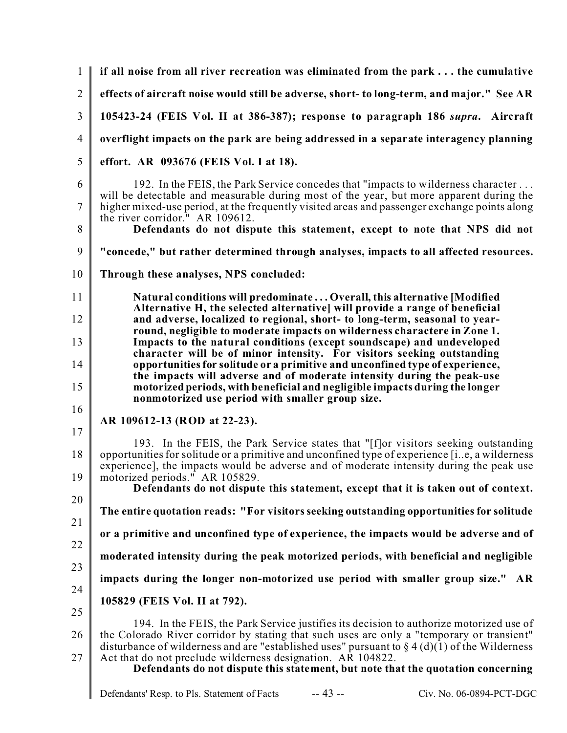1  $\mathfrak{D}$ 3 4 5 6 7 8 9 10 11 12 13 14 15 16 17 18 19 20 21 22 23 24 25 26 27 **if all noise from all river recreation was eliminated from the park . . . the cumulative effects of aircraft noise would still be adverse, short- to long-term, and major." See AR 105423-24 (FEIS Vol. II at 386-387); response to paragraph 186** *supra***. Aircraft overflight impacts on the park are being addressed in a separate interagency planning effort. AR 093676 (FEIS Vol. I at 18).** 192. In the FEIS, the Park Service concedes that "impacts to wilderness character . . . will be detectable and measurable during most of the year, but more apparent during the higher mixed-use period, at the frequently visited areas and passenger exchange points along the river corridor." AR 109612. **Defendants do not dispute this statement, except to note that NPS did not "concede," but rather determined through analyses, impacts to all affected resources. Through these analyses, NPS concluded: Natural conditions will predominate . . . Overall, this alternative [Modified Alternative H, the selected alternative] will provide a range of beneficial and adverse, localized to regional, short- to long-term, seasonal to yearround, negligible to moderate impacts on wilderness charactere in Zone 1. Impacts to the natural conditions (except soundscape) and undeveloped character will be of minor intensity. For visitors seeking outstanding opportunities for solitude or a primitive and unconfined type of experience, the impacts will adverse and of moderate intensity during the peak-use motorized periods, with beneficial and negligible impacts during the longer nonmotorized use period with smaller group size. AR 109612-13 (ROD at 22-23).** 193. In the FEIS, the Park Service states that "[f]or visitors seeking outstanding opportunities for solitude or a primitive and unconfined type of experience [i..e, a wilderness experience], the impacts would be adverse and of moderate intensity during the peak use motorized periods." AR 105829. **Defendants do not dispute this statement, except that it is taken out of context. The entire quotation reads: "For visitors seeking outstanding opportunities for solitude or a primitive and unconfined type of experience, the impacts would be adverse and of moderated intensity during the peak motorized periods, with beneficial and negligible impacts during the longer non-motorized use period with smaller group size." AR 105829 (FEIS Vol. II at 792).** 194. In the FEIS, the Park Service justifies its decision to authorize motorized use of the Colorado River corridor by stating that such uses are only a "temporary or transient" disturbance of wilderness and are "established uses" pursuant to  $\S 4(d)(1)$  of the Wilderness Act that do not preclude wilderness designation. AR 104822. **Defendants do not dispute this statement, but note that the quotation concerning**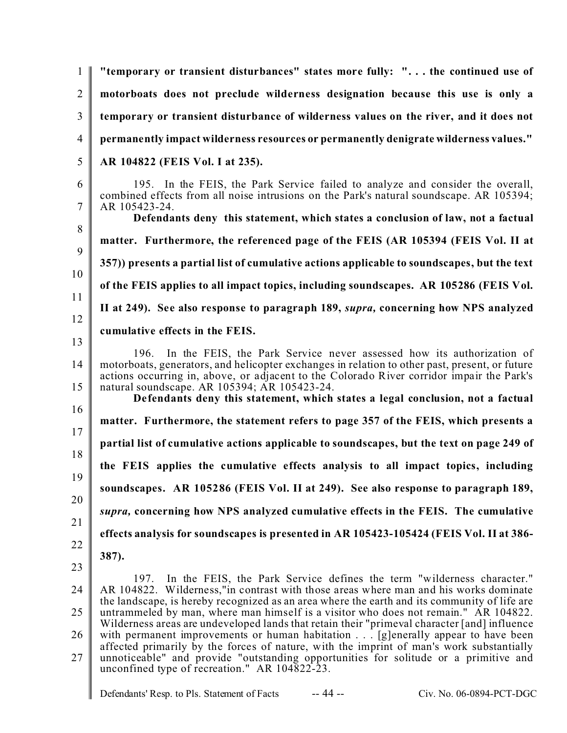1  $\mathfrak{D}$ 3 4 5 6 7 8 9 10 11 12 13 14 15 16 17 18 19 20 21 22 23 24 25 26 27 **"temporary or transient disturbances" states more fully: ". . . the continued use of motorboats does not preclude wilderness designation because this use is only a temporary or transient disturbance of wilderness values on the river, and it does not permanently impact wilderness resources or permanently denigrate wilderness values." AR 104822 (FEIS Vol. I at 235).** 195. In the FEIS, the Park Service failed to analyze and consider the overall, combined effects from all noise intrusions on the Park's natural soundscape. AR 105394; AR 105423-24. **Defendants deny this statement, which states a conclusion of law, not a factual matter. Furthermore, the referenced page of the FEIS (AR 105394 (FEIS Vol. II at 357)) presents a partial list of cumulative actions applicable to soundscapes, but the text of the FEIS applies to all impact topics, including soundscapes. AR 105286 (FEIS Vol. II at 249). See also response to paragraph 189,** *supra,* **concerning how NPS analyzed cumulative effects in the FEIS.** 196. In the FEIS, the Park Service never assessed how its authorization of motorboats, generators, and helicopter exchanges in relation to other past, present, or future actions occurring in, above, or adjacent to the Colorado River corridor impair the Park's natural soundscape. AR 105394; AR 105423-24. **Defendants deny this statement, which states a legal conclusion, not a factual matter. Furthermore, the statement refers to page 357 of the FEIS, which presents a partial list of cumulative actions applicable to soundscapes, but the text on page 249 of the FEIS applies the cumulative effects analysis to all impact topics, including soundscapes. AR 105286 (FEIS Vol. II at 249). See also response to paragraph 189,** *supra,* **concerning how NPS analyzed cumulative effects in the FEIS. The cumulative effects analysis for soundscapes is presented in AR 105423-105424 (FEIS Vol. II at 386- 387).** 197. In the FEIS, the Park Service defines the term "wilderness character." AR 104822. Wilderness,"in contrast with those areas where man and his works dominate the landscape, is hereby recognized as an area where the earth and its community of life are untrammeled by man, where man himself is a visitor who does not remain." AR 104822. Wilderness areas are undeveloped lands that retain their "primeval character [and] influence with permanent improvements or human habitation . . . [g]enerally appear to have been affected primarily by the forces of nature, with the imprint of man's work substantially unnoticeable" and provide "outstanding opportunities for solitude or a primitive and unconfined type of recreation." AR 104822-23.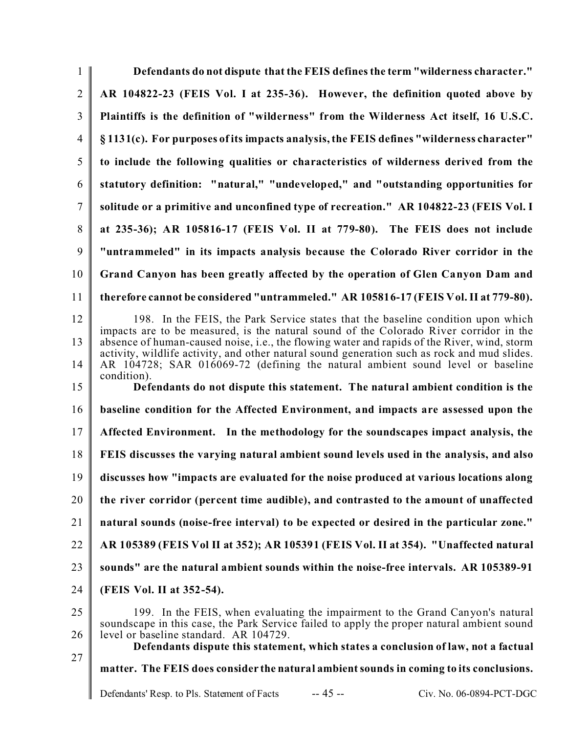| Defendants do not dispute that the FEIS defines the term "wilderness character."                                                                                                            |
|---------------------------------------------------------------------------------------------------------------------------------------------------------------------------------------------|
| AR 104822-23 (FEIS Vol. I at 235-36). However, the definition quoted above by                                                                                                               |
| Plaintiffs is the definition of "wilderness" from the Wilderness Act itself, 16 U.S.C.                                                                                                      |
| §1131(c). For purposes of its impacts analysis, the FEIS defines "wilderness character"                                                                                                     |
| to include the following qualities or characteristics of wilderness derived from the                                                                                                        |
| statutory definition: "natural," "undeveloped," and "outstanding opportunities for                                                                                                          |
| solitude or a primitive and unconfined type of recreation." AR 104822-23 (FEIS Vol. I                                                                                                       |
| at 235-36); AR 105816-17 (FEIS Vol. II at 779-80). The FEIS does not include                                                                                                                |
| "untrammeled" in its impacts analysis because the Colorado River corridor in the                                                                                                            |
| Grand Canyon has been greatly affected by the operation of Glen Canyon Dam and                                                                                                              |
| therefore cannot be considered "untrammeled." AR 105816-17 (FEIS Vol. II at 779-80).                                                                                                        |
| 198. In the FEIS, the Park Service states that the baseline condition upon which<br>impacts are to be measured, is the natural sound of the Colorado River corridor in the                  |
| absence of human-caused noise, i.e., the flowing water and rapids of the River, wind, storm<br>activity, wildlife activity, and other natural sound generation such as rock and mud slides. |
| AR 104728; SAR 016069-72 (defining the natural ambient sound level or baseline<br>condition).                                                                                               |
| Defendants do not dispute this statement. The natural ambient condition is the                                                                                                              |
| baseline condition for the Affected Environment, and impacts are assessed upon the                                                                                                          |
| Affected Environment. In the methodology for the soundscapes impact analysis, the                                                                                                           |
| FEIS discusses the varying natural ambient sound levels used in the analysis, and also                                                                                                      |
| discusses how "impacts are evaluated for the noise produced at various locations along                                                                                                      |
| the river corridor (percent time audible), and contrasted to the amount of unaffected                                                                                                       |
| natural sounds (noise-free interval) to be expected or desired in the particular zone."                                                                                                     |
| AR 105389 (FEIS Vol II at 352); AR 105391 (FEIS Vol. II at 354). "Unaffected natural                                                                                                        |
| sounds" are the natural ambient sounds within the noise-free intervals. AR 105389-91                                                                                                        |
| (FEIS Vol. II at 352-54).                                                                                                                                                                   |
| 199. In the FEIS, when evaluating the impairment to the Grand Canyon's natural<br>soundscape in this case, the Park Service failed to apply the proper natural ambient sound                |
| level or baseline standard. AR 104729.<br>Defendants dispute this statement, which states a conclusion of law, not a factual                                                                |
| matter. The FEIS does consider the natural ambient sounds in coming to its conclusions.                                                                                                     |
|                                                                                                                                                                                             |
|                                                                                                                                                                                             |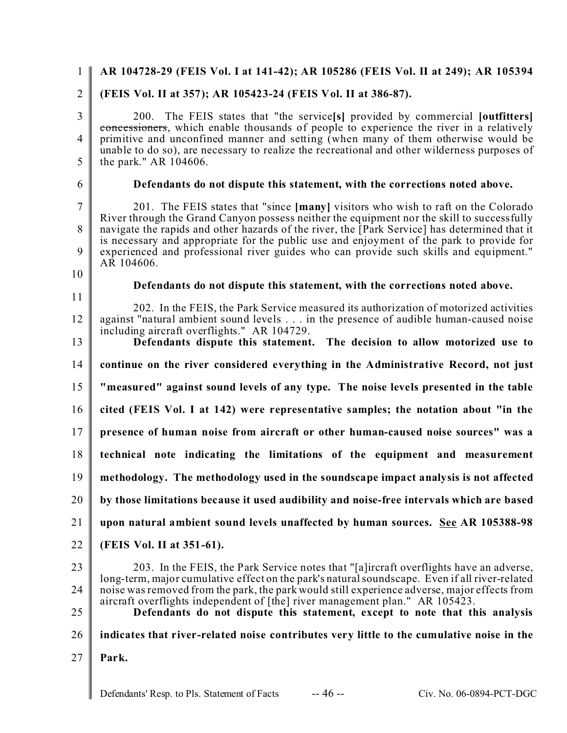#### 1  $\mathfrak{D}$ 3 4 5 6 7 8 9 10 11 12 13 14 15 16 17 18 19 20 21 22 23 24 25 26 27 **AR 104728-29 (FEIS Vol. I at 141-42); AR 105286 (FEIS Vol. II at 249); AR 105394 (FEIS Vol. II at 357); AR 105423-24 (FEIS Vol. II at 386-87).** 200. The FEIS states that "the service**[s]** provided by commercial **[outfitters]** concessioners, which enable thousands of people to experience the river in a relatively primitive and unconfined manner and setting (when many of them otherwise would be unable to do so), are necessary to realize the recreational and other wilderness purposes of the park." AR 104606. **Defendants do not dispute this statement, with the corrections noted above.** 201. The FEIS states that "since **[many]** visitors who wish to raft on the Colorado River through the Grand Canyon possess neither the equipment nor the skill to successfully navigate the rapids and other hazards of the river, the [Park Service] has determined that it is necessary and appropriate for the public use and enjoyment of the park to provide for experienced and professional river guides who can provide such skills and equipment." AR 104606. **Defendants do not dispute this statement, with the corrections noted above.** 202. In the FEIS, the Park Service measured its authorization of motorized activities against "natural ambient sound levels . . . in the presence of audible human-caused noise including aircraft overflights." AR 104729. **Defendants dispute this statement. The decision to allow motorized use to continue on the river considered everything in the Administrative Record, not just "measured" against sound levels of any type. The noise levels presented in the table cited (FEIS Vol. I at 142) were representative samples; the notation about "in the presence of human noise from aircraft or other human-caused noise sources" was a technical note indicating the limitations of the equipment and measurement methodology. The methodology used in the soundscape impact analysis is not affected by those limitations because it used audibility and noise-free intervals which are based upon natural ambient sound levels unaffected by human sources. See AR 105388-98 (FEIS Vol. II at 351-61).** 203. In the FEIS, the Park Service notes that "[a]ircraft overflights have an adverse, long-term, major cumulative effect on the park's natural soundscape. Even if all river-related noise was removed from the park, the park would still experience adverse, major effects from aircraft overflights independent of [the] river management plan." AR 105423. **Defendants do not dispute this statement, except to note that this analysis indicates that river-related noise contributes very little to the cumulative noise in the Park.**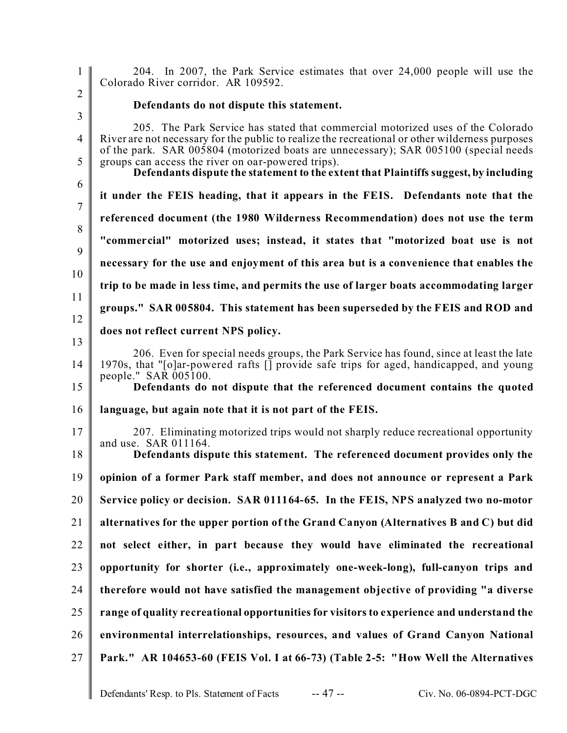204. In 2007, the Park Service estimates that over 24,000 people will use the Colorado River corridor. AR 109592.

1

 $\mathfrak{D}$ 

3 4 5 6 7 8 9 10 11 12 13 14 15 16 17 18 19 20 21 22 23 24 25 26 27 **Defendants do not dispute this statement.** 205. The Park Service has stated that commercial motorized uses of the Colorado River are not necessary for the public to realize the recreational or other wilderness purposes of the park. SAR 005804 (motorized boats are unnecessary); SAR 005100 (special needs groups can access the river on oar-powered trips). **Defendants dispute the statement to the extent that Plaintiffs suggest, by including it under the FEIS heading, that it appears in the FEIS. Defendants note that the referenced document (the 1980 Wilderness Recommendation) does not use the term "commercial" motorized uses; instead, it states that "motorized boat use is not necessary for the use and enjoyment of this area but is a convenience that enables the trip to be made in less time, and permits the use of larger boats accommodating larger groups." SAR 005804. This statement has been superseded by the FEIS and ROD and does not reflect current NPS policy.** 206. Even for special needs groups, the Park Service has found, since at least the late 1970s, that "[o]ar-powered rafts [] provide safe trips for aged, handicapped, and young people." SAR 005100. **Defendants do not dispute that the referenced document contains the quoted language, but again note that it is not part of the FEIS.** 207. Eliminating motorized trips would not sharply reduce recreational opportunity and use. SAR 011164. **Defendants dispute this statement. The referenced document provides only the opinion of a former Park staff member, and does not announce or represent a Park Service policy or decision. SAR 011164-65. In the FEIS, NPS analyzed two no-motor alternatives for the upper portion of the Grand Canyon (Alternatives B and C) but did not select either, in part because they would have eliminated the recreational opportunity for shorter (i.e., approximately one-week-long), full-canyon trips and therefore would not have satisfied the management objective of providing "a diverse range of quality recreational opportunities for visitors to experience and understand the environmental interrelationships, resources, and values of Grand Canyon National Park." AR 104653-60 (FEIS Vol. I at 66-73) (Table 2-5: "How Well the Alternatives**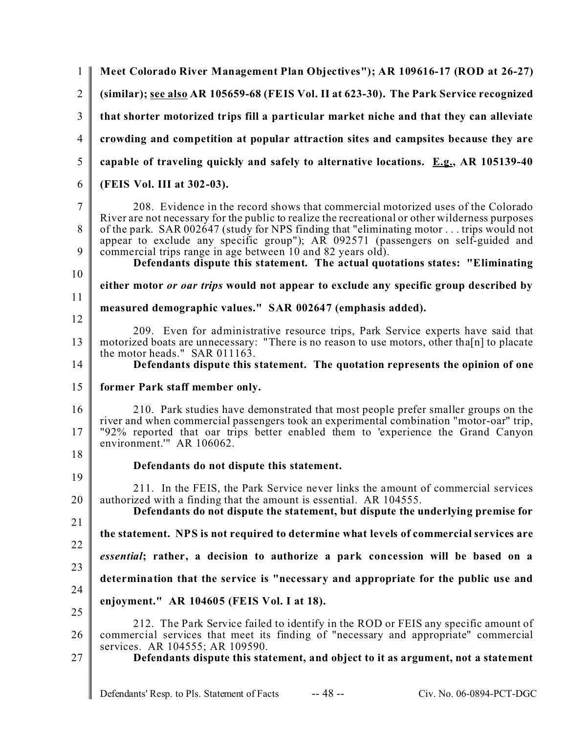| $\mathbf{1}$        | Meet Colorado River Management Plan Objectives"); AR 109616-17 (ROD at 26-27)                                                                                                                                                                                                                                     |
|---------------------|-------------------------------------------------------------------------------------------------------------------------------------------------------------------------------------------------------------------------------------------------------------------------------------------------------------------|
| $\overline{2}$      | (similar); see also AR 105659-68 (FEIS Vol. II at 623-30). The Park Service recognized                                                                                                                                                                                                                            |
| 3                   | that shorter motorized trips fill a particular market niche and that they can alleviate                                                                                                                                                                                                                           |
| $\overline{4}$      | crowding and competition at popular attraction sites and campsites because they are                                                                                                                                                                                                                               |
| 5                   | capable of traveling quickly and safely to alternative locations. $E.g., AR 105139-40$                                                                                                                                                                                                                            |
| 6                   | (FEIS Vol. III at 302-03).                                                                                                                                                                                                                                                                                        |
| $\overline{7}$<br>8 | 208. Evidence in the record shows that commercial motorized uses of the Colorado<br>River are not necessary for the public to realize the recreational or other wilderness purposes<br>of the park. SAR 002647 (study for NPS finding that "eliminating motor  trips would not                                    |
| 9<br>10             | appear to exclude any specific group"); AR 092571 (passengers on self-guided and<br>commercial trips range in age between 10 and 82 years old).<br>Defendants dispute this statement. The actual quotations states: "Eliminating"                                                                                 |
| 11                  | either motor <i>or oar trips</i> would not appear to exclude any specific group described by                                                                                                                                                                                                                      |
| 12                  | measured demographic values." SAR 002647 (emphasis added).                                                                                                                                                                                                                                                        |
| 13<br>14            | 209. Even for administrative resource trips, Park Service experts have said that<br>motorized boats are unnecessary: "There is no reason to use motors, other tha <sup>[n]</sup> to placate<br>the motor heads." SAR $011163$ .<br>Defendants dispute this statement. The quotation represents the opinion of one |
| 15                  | former Park staff member only.                                                                                                                                                                                                                                                                                    |
| 16<br>17<br>18      | 210. Park studies have demonstrated that most people prefer smaller groups on the<br>river and when commercial passengers took an experimental combination "motor-oar" trip,<br>"92% reported that oar trips better enabled them to 'experience the Grand Canyon<br>environment." AR 106062.                      |
| 19                  | Defendants do not dispute this statement.                                                                                                                                                                                                                                                                         |
| 20                  | 211. In the FEIS, the Park Service never links the amount of commercial services<br>authorized with a finding that the amount is essential. AR 104555.<br>Defendants do not dispute the statement, but dispute the underlying premise for                                                                         |
| 21                  | the statement. NPS is not required to determine what levels of commercial services are                                                                                                                                                                                                                            |
| 22                  | <i>essential</i> ; rather, a decision to authorize a park concession will be based on a                                                                                                                                                                                                                           |
| 23                  | determination that the service is "necessary and appropriate for the public use and                                                                                                                                                                                                                               |
| 24                  | enjoyment." AR 104605 (FEIS Vol. I at 18).                                                                                                                                                                                                                                                                        |
| 25<br>26<br>27      | 212. The Park Service failed to identify in the ROD or FEIS any specific amount of<br>commercial services that meet its finding of "necessary and appropriate" commercial<br>services. AR 104555; AR 109590.<br>Defendants dispute this statement, and object to it as argument, not a statement                  |
|                     |                                                                                                                                                                                                                                                                                                                   |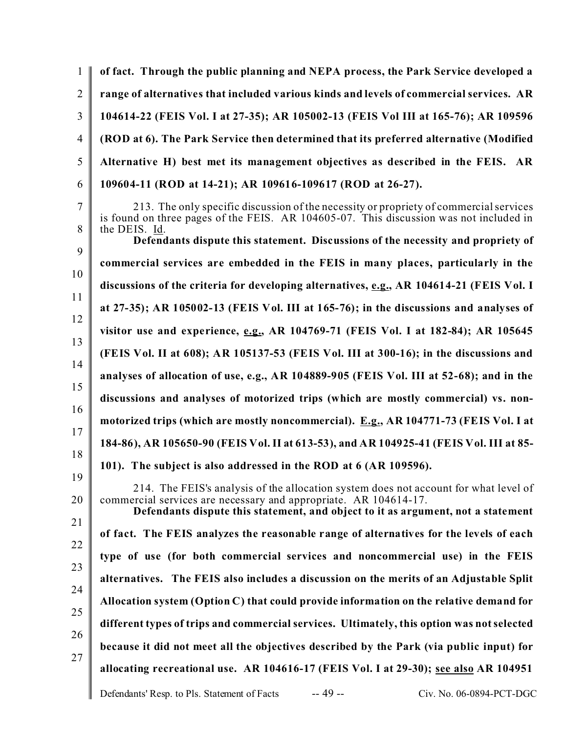| of fact. Through the public planning and NEPA process, the Park Service developed a                                                                                                                                                          |
|----------------------------------------------------------------------------------------------------------------------------------------------------------------------------------------------------------------------------------------------|
| range of alternatives that included various kinds and levels of commercial services. AR                                                                                                                                                      |
| 104614-22 (FEIS Vol. I at 27-35); AR 105002-13 (FEIS Vol III at 165-76); AR 109596                                                                                                                                                           |
| (ROD at 6). The Park Service then determined that its preferred alternative (Modified                                                                                                                                                        |
| Alternative H) best met its management objectives as described in the FEIS. AR                                                                                                                                                               |
| 109604-11 (ROD at 14-21); AR 109616-109617 (ROD at 26-27).                                                                                                                                                                                   |
| 213. The only specific discussion of the necessity or propriety of commercial services<br>is found on three pages of the FEIS. AR 104605-07. This discussion was not included in<br>the DEIS. Id.                                            |
| Defendants dispute this statement. Discussions of the necessity and propriety of                                                                                                                                                             |
| commercial services are embedded in the FEIS in many places, particularly in the                                                                                                                                                             |
| discussions of the criteria for developing alternatives, e.g., AR 104614-21 (FEIS Vol. I                                                                                                                                                     |
| at 27-35); AR 105002-13 (FEIS Vol. III at $165-76$ ); in the discussions and analyses of                                                                                                                                                     |
| visitor use and experience, e.g., AR 104769-71 (FEIS Vol. I at 182-84); AR 105645                                                                                                                                                            |
| (FEIS Vol. II at 608); AR 105137-53 (FEIS Vol. III at 300-16); in the discussions and                                                                                                                                                        |
| analyses of allocation of use, e.g., AR 104889-905 (FEIS Vol. III at 52-68); and in the                                                                                                                                                      |
| discussions and analyses of motorized trips (which are mostly commercial) vs. non-                                                                                                                                                           |
| motorized trips (which are mostly noncommercial). E.g., AR 104771-73 (FEIS Vol. I at                                                                                                                                                         |
| 184-86), AR 105650-90 (FEIS Vol. II at 613-53), and AR 104925-41 (FEIS Vol. III at 85-                                                                                                                                                       |
| 101). The subject is also addressed in the ROD at 6 (AR 109596).                                                                                                                                                                             |
| 214. The FEIS's analysis of the allocation system does not account for what level of<br>commercial services are necessary and appropriate. AR 104614-17.<br>Defendants dispute this statement, and object to it as argument, not a statement |
| of fact. The FEIS analyzes the reasonable range of alternatives for the levels of each                                                                                                                                                       |
| type of use (for both commercial services and noncommercial use) in the FEIS                                                                                                                                                                 |
| alternatives. The FEIS also includes a discussion on the merits of an Adjustable Split                                                                                                                                                       |
| Allocation system (Option C) that could provide information on the relative demand for                                                                                                                                                       |
| different types of trips and commercial services. Ultimately, this option was not selected                                                                                                                                                   |
| because it did not meet all the objectives described by the Park (via public input) for                                                                                                                                                      |
| allocating recreational use. AR 104616-17 (FEIS Vol. I at 29-30); see also AR 104951                                                                                                                                                         |
| $-49-$<br>Defendants' Resp. to Pls. Statement of Facts<br>Civ. No. 06-0894-PCT-DGC                                                                                                                                                           |
|                                                                                                                                                                                                                                              |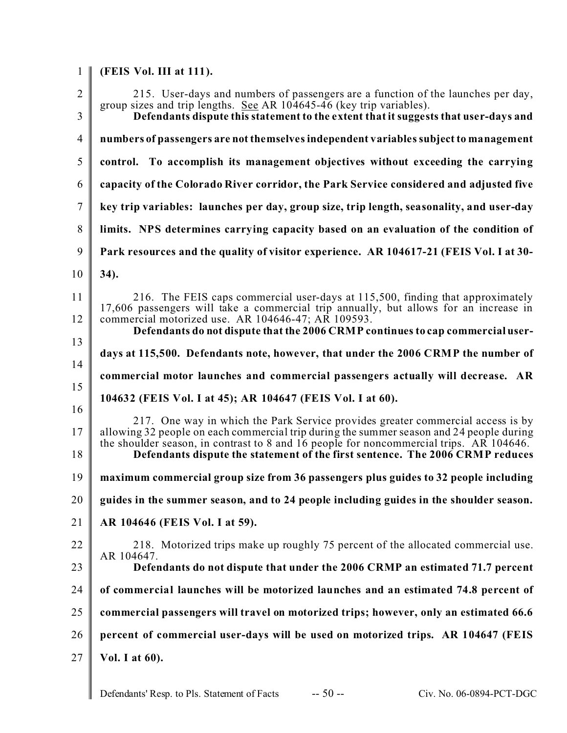| $\mathbf{1}$        | (FEIS Vol. III at 111).                                                                                                                                                                                                                                                                                                                                 |
|---------------------|---------------------------------------------------------------------------------------------------------------------------------------------------------------------------------------------------------------------------------------------------------------------------------------------------------------------------------------------------------|
| $\overline{2}$<br>3 | 215. User-days and numbers of passengers are a function of the launches per day,<br>group sizes and trip lengths. See AR 104645-46 (key trip variables).<br>Defendants dispute this statement to the extent that it suggests that user-days and                                                                                                         |
| $\overline{4}$      | numbers of passengers are not themselves independent variables subject to management                                                                                                                                                                                                                                                                    |
| 5                   | control. To accomplish its management objectives without exceeding the carrying                                                                                                                                                                                                                                                                         |
| 6                   | capacity of the Colorado River corridor, the Park Service considered and adjusted five                                                                                                                                                                                                                                                                  |
| $\overline{7}$      | key trip variables: launches per day, group size, trip length, seasonality, and user-day                                                                                                                                                                                                                                                                |
|                     |                                                                                                                                                                                                                                                                                                                                                         |
| 8                   | limits. NPS determines carrying capacity based on an evaluation of the condition of                                                                                                                                                                                                                                                                     |
| 9                   | Park resources and the quality of visitor experience. AR 104617-21 (FEIS Vol. I at 30-                                                                                                                                                                                                                                                                  |
| 10                  | 34).                                                                                                                                                                                                                                                                                                                                                    |
| 11                  | 216. The FEIS caps commercial user-days at 115,500, finding that approximately                                                                                                                                                                                                                                                                          |
| 12                  | 17,606 passengers will take a commercial trip annually, but allows for an increase in<br>commercial motorized use. AR 104646-47; AR 109593.<br>Defendants do not dispute that the 2006 CRMP continues to cap commercial user-                                                                                                                           |
| 13                  | days at 115,500. Defendants note, however, that under the 2006 CRMP the number of                                                                                                                                                                                                                                                                       |
| 14                  |                                                                                                                                                                                                                                                                                                                                                         |
| 15                  | commercial motor launches and commercial passengers actually will decrease. AR                                                                                                                                                                                                                                                                          |
| 16                  | 104632 (FEIS Vol. I at 45); AR 104647 (FEIS Vol. I at 60).                                                                                                                                                                                                                                                                                              |
| 17<br>18            | 217. One way in which the Park Service provides greater commercial access is by<br>allowing 32 people on each commercial trip during the summer season and 24 people during<br>the shoulder season, in contrast to 8 and 16 people for noncommercial trips. AR 104646.<br>Defendants dispute the statement of the first sentence. The 2006 CRMP reduces |
| 19                  | maximum commercial group size from 36 passengers plus guides to 32 people including                                                                                                                                                                                                                                                                     |
| 20                  | guides in the summer season, and to 24 people including guides in the shoulder season.                                                                                                                                                                                                                                                                  |
| 21                  | AR 104646 (FEIS Vol. I at 59).                                                                                                                                                                                                                                                                                                                          |
| 22                  | 218. Motorized trips make up roughly 75 percent of the allocated commercial use.                                                                                                                                                                                                                                                                        |
| 23                  | AR 104647.<br>Defendants do not dispute that under the 2006 CRMP an estimated 71.7 percent                                                                                                                                                                                                                                                              |
| 24                  | of commercial launches will be motorized launches and an estimated 74.8 percent of                                                                                                                                                                                                                                                                      |
| 25                  | commercial passengers will travel on motorized trips; however, only an estimated 66.6                                                                                                                                                                                                                                                                   |
| 26                  | percent of commercial user-days will be used on motorized trips. AR 104647 (FEIS                                                                                                                                                                                                                                                                        |
| 27                  |                                                                                                                                                                                                                                                                                                                                                         |
|                     | Vol. I at $60$ ).                                                                                                                                                                                                                                                                                                                                       |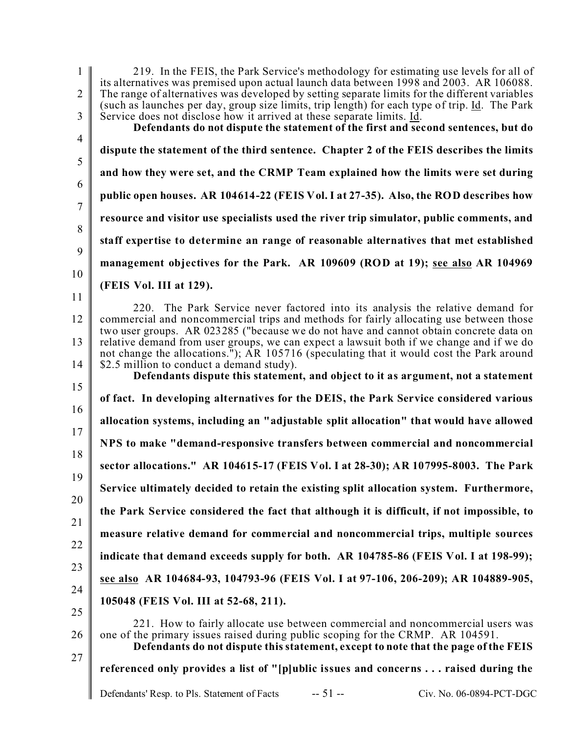1  $\mathfrak{D}$ 3 4 5 6 7 8 9 10 11 12 13 14 15 16 17 18 19 20 21 22 23 24 25 26 27 219. In the FEIS, the Park Service's methodology for estimating use levels for all of its alternatives was premised upon actual launch data between 1998 and 2003. AR 106088. The range of alternatives was developed by setting separate limits for the different variables (such as launches per day, group size limits, trip length) for each type of trip. Id. The Park Service does not disclose how it arrived at these separate limits. Id. **Defendants do not dispute the statement of the first and second sentences, but do dispute the statement of the third sentence. Chapter 2 of the FEIS describes the limits and how they were set, and the CRMP Team explained how the limits were set during public open houses. AR 104614-22 (FEIS Vol. I at 27-35). Also, the ROD describes how resource and visitor use specialists used the river trip simulator, public comments, and staff expertise to determine an range of reasonable alternatives that met established management objectives for the Park. AR 109609 (ROD at 19); see also AR 104969 (FEIS Vol. III at 129).** 220. The Park Service never factored into its analysis the relative demand for commercial and noncommercial trips and methods for fairly allocating use between those two user groups. AR 023285 ("because we do not have and cannot obtain concrete data on relative demand from user groups, we can expect a lawsuit both if we change and if we do not change the allocations.");  $\overrightarrow{AR}$  105716 (speculating that it would cost the Park around \$2.5 million to conduct a demand study). **Defendants dispute this statement, and object to it as argument, not a statement of fact. In developing alternatives for the DEIS, the Park Service considered various allocation systems, including an "adjustable split allocation" that would have allowed NPS to make "demand-responsive transfers between commercial and noncommercial sector allocations." AR 104615-17 (FEIS Vol. I at 28-30); AR 107995-8003. The Park Service ultimately decided to retain the existing split allocation system. Furthermore, the Park Service considered the fact that although it is difficult, if not impossible, to measure relative demand for commercial and noncommercial trips, multiple sources indicate that demand exceeds supply for both. AR 104785-86 (FEIS Vol. I at 198-99); see also AR 104684-93, 104793-96 (FEIS Vol. I at 97-106, 206-209); AR 104889-905, 105048 (FEIS Vol. III at 52-68, 211).** 221. How to fairly allocate use between commercial and noncommercial users was one of the primary issues raised during public scoping for the CRMP. AR 104591. **Defendants do not dispute this statement, except to note that the page of the FEIS referenced only provides a list of "[p]ublic issues and concerns . . . raised during the**

Defendants' Resp. to Pls. Statement of Facts -- 51 -- Civ. No. 06-0894-PCT-DGC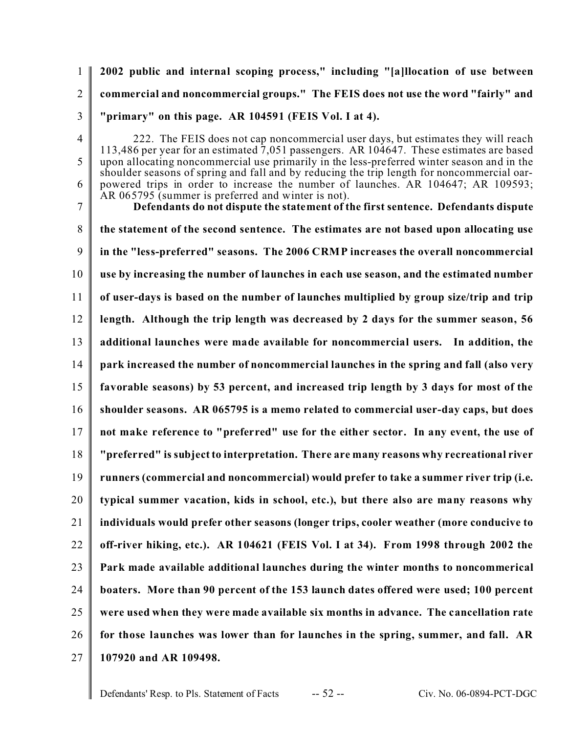1  $\mathfrak{D}$ 3 **2002 public and internal scoping process," including "[a]llocation of use between commercial and noncommercial groups." The FEIS does not use the word "fairly" and "primary" on this page. AR 104591 (FEIS Vol. I at 4).**

4

5

6

222. The FEIS does not cap noncommercial user days, but estimates they will reach 113,486 per year for an estimated 7,051 passengers. AR 104647. These estimates are based upon allocating noncommercial use primarily in the less-preferred winter season and in the shoulder seasons of spring and fall and by reducing the trip length for noncommercial oarpowered trips in order to increase the number of launches. AR 104647; AR 109593; AR 065795 (summer is preferred and winter is not).

7 8 9 10 11 12 13 14 15 16 17 18 19 20 21 22 23 24 25 26 27 **Defendants do not dispute the statement of the first sentence. Defendants dispute the statement of the second sentence. The estimates are not based upon allocating use in the "less-preferred" seasons. The 2006 CRMP increases the overall noncommercial use by increasing the number of launches in each use season, and the estimated number of user-days is based on the number of launches multiplied by group size/trip and trip length. Although the trip length was decreased by 2 days for the summer season, 56 additional launches were made available for noncommercial users. In addition, the park increased the number of noncommercial launches in the spring and fall (also very favorable seasons) by 53 percent, and increased trip length by 3 days for most of the shoulder seasons. AR 065795 is a memo related to commercial user-day caps, but does not make reference to "preferred" use for the either sector. In any event, the use of "preferred" is subject to interpretation. There are many reasons why recreational river runners (commercial and noncommercial) would prefer to take a summer river trip (i.e. typical summer vacation, kids in school, etc.), but there also are many reasons why individuals would prefer other seasons (longer trips, cooler weather (more conducive to off-river hiking, etc.). AR 104621 (FEIS Vol. I at 34). From 1998 through 2002 the Park made available additional launches during the winter months to noncommerical boaters. More than 90 percent of the 153 launch dates offered were used; 100 percent were used when they were made available six months in advance. The cancellation rate for those launches was lower than for launches in the spring, summer, and fall. AR 107920 and AR 109498.**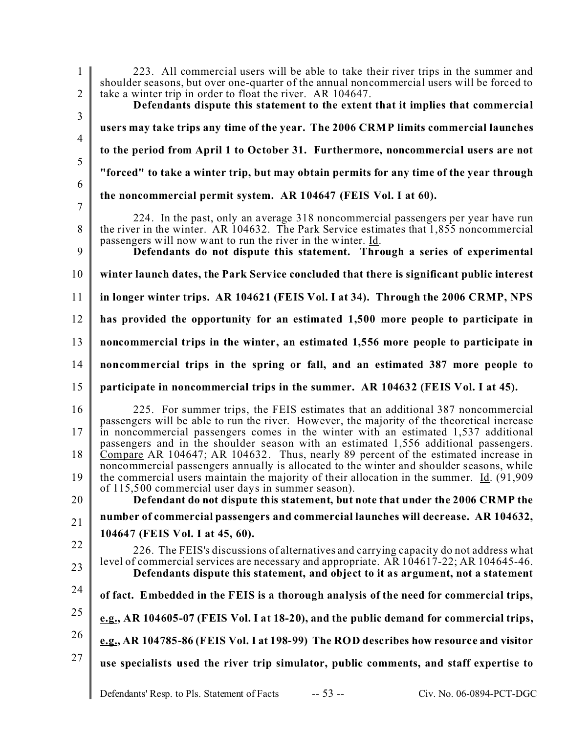| $\mathbf{1}$<br>$\overline{2}$ | 223. All commercial users will be able to take their river trips in the summer and<br>shoulder seasons, but over one-quarter of the annual noncommercial users will be forced to<br>take a winter trip in order to float the river. AR 104647.                                                                                                                                                                                                                                                                                                                                                                                                |
|--------------------------------|-----------------------------------------------------------------------------------------------------------------------------------------------------------------------------------------------------------------------------------------------------------------------------------------------------------------------------------------------------------------------------------------------------------------------------------------------------------------------------------------------------------------------------------------------------------------------------------------------------------------------------------------------|
| 3                              | Defendants dispute this statement to the extent that it implies that commercial                                                                                                                                                                                                                                                                                                                                                                                                                                                                                                                                                               |
| $\overline{4}$                 | users may take trips any time of the year. The 2006 CRMP limits commercial launches                                                                                                                                                                                                                                                                                                                                                                                                                                                                                                                                                           |
| 5                              | to the period from April 1 to October 31. Furthermore, noncommercial users are not                                                                                                                                                                                                                                                                                                                                                                                                                                                                                                                                                            |
| 6                              | "forced" to take a winter trip, but may obtain permits for any time of the year through                                                                                                                                                                                                                                                                                                                                                                                                                                                                                                                                                       |
| $\overline{7}$                 | the noncommercial permit system. AR 104647 (FEIS Vol. I at 60).                                                                                                                                                                                                                                                                                                                                                                                                                                                                                                                                                                               |
| 8<br>9                         | 224. In the past, only an average 318 noncommercial passengers per year have run<br>the river in the winter. AR 104632. The Park Service estimates that 1,855 noncommercial<br>passengers will now want to run the river in the winter. Id.<br>Defendants do not dispute this statement. Through a series of experimental                                                                                                                                                                                                                                                                                                                     |
| 10                             | winter launch dates, the Park Service concluded that there is significant public interest                                                                                                                                                                                                                                                                                                                                                                                                                                                                                                                                                     |
| 11                             | in longer winter trips. AR 104621 (FEIS Vol. I at 34). Through the 2006 CRMP, NPS                                                                                                                                                                                                                                                                                                                                                                                                                                                                                                                                                             |
| 12                             | has provided the opportunity for an estimated 1,500 more people to participate in                                                                                                                                                                                                                                                                                                                                                                                                                                                                                                                                                             |
| 13                             | noncommercial trips in the winter, an estimated 1,556 more people to participate in                                                                                                                                                                                                                                                                                                                                                                                                                                                                                                                                                           |
| 14                             | noncommercial trips in the spring or fall, and an estimated 387 more people to                                                                                                                                                                                                                                                                                                                                                                                                                                                                                                                                                                |
| 15                             | participate in noncommercial trips in the summer. AR 104632 (FEIS Vol. I at 45).                                                                                                                                                                                                                                                                                                                                                                                                                                                                                                                                                              |
| 16<br>17<br>18<br>19           | 225. For summer trips, the FEIS estimates that an additional 387 noncommercial<br>passengers will be able to run the river. However, the majority of the theoretical increase<br>in noncommercial passengers comes in the winter with an estimated 1,537 additional<br>passengers and in the shoulder season with an estimated 1,556 additional passengers.<br>Compare AR 104647; AR 104632. Thus, nearly 89 percent of the estimated increase in<br>noncommercial passengers annually is allocated to the winter and shoulder seasons, while<br>the commercial users maintain the majority of their allocation in the summer. $Id. (91,909)$ |
| 20                             | of 115,500 commercial user days in summer season).<br>Defendant do not dispute this statement, but note that under the 2006 CRMP the                                                                                                                                                                                                                                                                                                                                                                                                                                                                                                          |
| 21                             | number of commercial passengers and commercial launches will decrease. AR 104632,                                                                                                                                                                                                                                                                                                                                                                                                                                                                                                                                                             |
|                                |                                                                                                                                                                                                                                                                                                                                                                                                                                                                                                                                                                                                                                               |
|                                | 104647 (FEIS Vol. I at 45, 60).                                                                                                                                                                                                                                                                                                                                                                                                                                                                                                                                                                                                               |
| 22<br>23                       | 226. The FEIS's discussions of alternatives and carrying capacity do not address what<br>level of commercial services are necessary and appropriate. AR 104617-22; AR 104645-46.<br>Defendants dispute this statement, and object to it as argument, not a statement                                                                                                                                                                                                                                                                                                                                                                          |
| 24                             | of fact. Embedded in the FEIS is a thorough analysis of the need for commercial trips,                                                                                                                                                                                                                                                                                                                                                                                                                                                                                                                                                        |
| 25                             | e.g., AR 104605-07 (FEIS Vol. I at 18-20), and the public demand for commercial trips,                                                                                                                                                                                                                                                                                                                                                                                                                                                                                                                                                        |
| 26                             | e.g., AR 104785-86 (FEIS Vol. I at 198-99) The ROD describes how resource and visitor                                                                                                                                                                                                                                                                                                                                                                                                                                                                                                                                                         |
| 27                             | use specialists used the river trip simulator, public comments, and staff expertise to                                                                                                                                                                                                                                                                                                                                                                                                                                                                                                                                                        |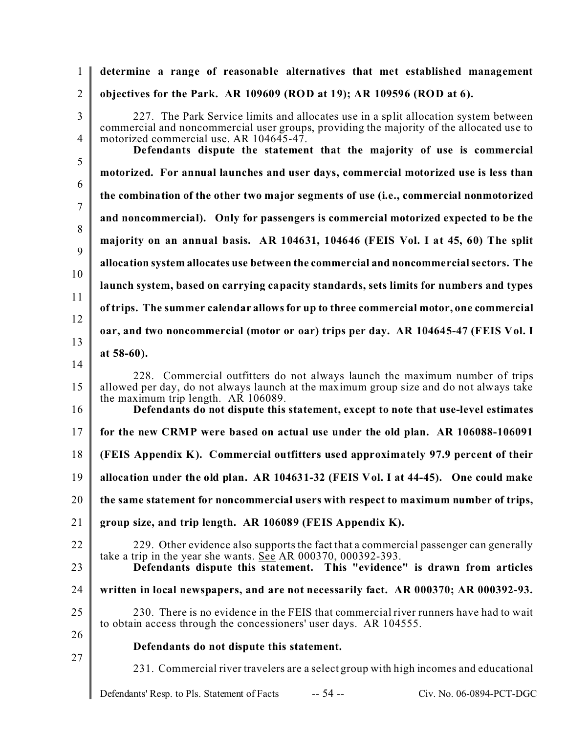| 1                   | determine a range of reasonable alternatives that met established management                                                                                                                                                                                                                      |
|---------------------|---------------------------------------------------------------------------------------------------------------------------------------------------------------------------------------------------------------------------------------------------------------------------------------------------|
| $\overline{2}$      | objectives for the Park. AR 109609 (ROD at 19); AR 109596 (ROD at 6).                                                                                                                                                                                                                             |
| $\overline{3}$      | 227. The Park Service limits and allocates use in a split allocation system between<br>commercial and noncommercial user groups, providing the majority of the allocated use to                                                                                                                   |
| $\overline{4}$<br>5 | motorized commercial use. AR 104645-47.<br>Defendants dispute the statement that the majority of use is commercial                                                                                                                                                                                |
| 6                   | motorized. For annual launches and user days, commercial motorized use is less than                                                                                                                                                                                                               |
| $\overline{7}$      | the combination of the other two major segments of use (i.e., commercial nonmotorized                                                                                                                                                                                                             |
| 8                   | and noncommercial). Only for passengers is commercial motorized expected to be the                                                                                                                                                                                                                |
| 9                   | majority on an annual basis. AR 104631, 104646 (FEIS Vol. I at 45, 60) The split                                                                                                                                                                                                                  |
| 10                  | allocation system allocates use between the commercial and noncommercial sectors. The                                                                                                                                                                                                             |
| 11                  | launch system, based on carrying capacity standards, sets limits for numbers and types                                                                                                                                                                                                            |
| 12                  | of trips. The summer calendar allows for up to three commercial motor, one commercial                                                                                                                                                                                                             |
| 13                  | oar, and two noncommercial (motor or oar) trips per day. AR 104645-47 (FEIS Vol. I                                                                                                                                                                                                                |
| 14                  | at 58-60).                                                                                                                                                                                                                                                                                        |
| 15<br>16            | 228. Commercial outfitters do not always launch the maximum number of trips<br>allowed per day, do not always launch at the maximum group size and do not always take<br>the maximum trip length. AR 106089.<br>Defendants do not dispute this statement, except to note that use-level estimates |
| 17                  | for the new CRMP were based on actual use under the old plan. AR 106088-106091                                                                                                                                                                                                                    |
| 18                  | (FEIS Appendix K). Commercial outfitters used approximately 97.9 percent of their                                                                                                                                                                                                                 |
| 19                  | allocation under the old plan. AR 104631-32 (FEIS Vol. I at 44-45). One could make                                                                                                                                                                                                                |
| 20                  | the same statement for noncommercial users with respect to maximum number of trips,                                                                                                                                                                                                               |
| 21                  | group size, and trip length. AR 106089 (FEIS Appendix K).                                                                                                                                                                                                                                         |
| 22<br>23            | 229. Other evidence also supports the fact that a commercial passenger can generally<br>take a trip in the year she wants. See AR 000370, 000392-393.<br>Defendants dispute this statement. This "evidence" is drawn from articles                                                                |
| 24                  | written in local newspapers, and are not necessarily fact. AR 000370; AR 000392-93.                                                                                                                                                                                                               |
| 25                  | 230. There is no evidence in the FEIS that commercial river runners have had to wait                                                                                                                                                                                                              |
| 26                  | to obtain access through the concessioners' user days. AR 104555.                                                                                                                                                                                                                                 |
| 27                  | Defendants do not dispute this statement.                                                                                                                                                                                                                                                         |
|                     | 231. Commercial river travelers are a select group with high incomes and educational                                                                                                                                                                                                              |
|                     | $-54 -$<br>Civ. No. 06-0894-PCT-DGC<br>Defendants' Resp. to Pls. Statement of Facts                                                                                                                                                                                                               |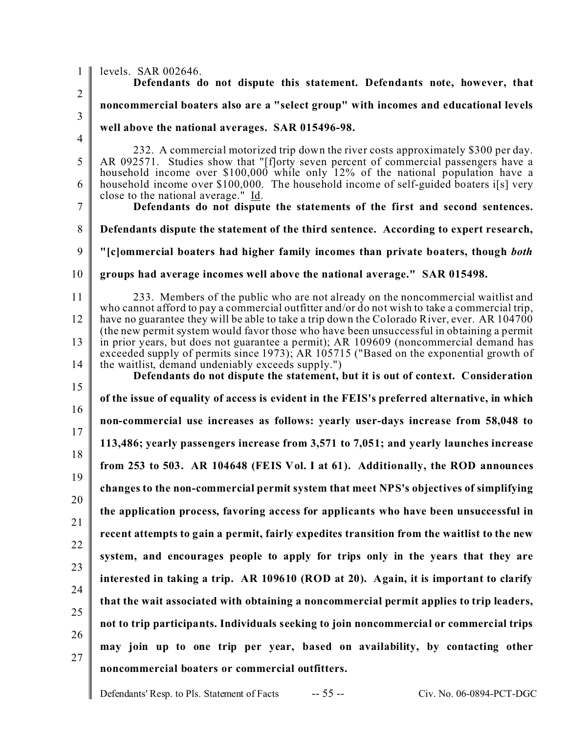1  $\mathfrak{D}$ 3 4 5 6 7 8 9 10 11 12 13 14 15 16 17 18 19 20 21 22 23 24 25 26 27 levels. SAR 002646. **Defendants do not dispute this statement. Defendants note, however, that noncommercial boaters also are a "select group" with incomes and educational levels well above the national averages. SAR 015496-98.** 232. A commercial motorized trip down the river costs approximately \$300 per day. AR 092571. Studies show that "[f]orty seven percent of commercial passengers have a household income over \$100,000 while only 12% of the national population have a household income over \$100,000. The household income of self-guided boaters i[s] very close to the national average." Id. **Defendants do not dispute the statements of the first and second sentences. Defendants dispute the statement of the third sentence. According to expert research, "[c]ommercial boaters had higher family incomes than private boaters, though** *both* **groups had average incomes well above the national average." SAR 015498.** 233. Members of the public who are not already on the noncommercial waitlist and who cannot afford to pay a commercial outfitter and/or do not wish to take a commercial trip, have no guarantee they will be able to take a trip down the Colorado River, ever. AR 104700 (the new permit system would favor those who have been unsuccessful in obtaining a permit in prior years, but does not guarantee a permit); AR 109609 (noncommercial demand has exceeded supply of permits since 1973); AR 105715 ("Based on the exponential growth of the waitlist, demand undeniably exceeds supply.") **Defendants do not dispute the statement, but it is out of context. Consideration of the issue of equality of access is evident in the FEIS's preferred alternative, in which non-commercial use increases as follows: yearly user-days increase from 58,048 to 113,486; yearly passengers increase from 3,571 to 7,051; and yearly launches increase from 253 to 503. AR 104648 (FEIS Vol. I at 61). Additionally, the ROD announces changes to the non-commercial permit system that meet NPS's objectives of simplifying the application process, favoring access for applicants who have been unsuccessful in recent attempts to gain a permit, fairly expedites transition from the waitlist to the new system, and encourages people to apply for trips only in the years that they are interested in taking a trip. AR 109610 (ROD at 20). Again, it is important to clarify that the wait associated with obtaining a noncommercial permit applies to trip leaders, not to trip participants. Individuals seeking to join noncommercial or commercial trips may join up to one trip per year, based on availability, by contacting other noncommercial boaters or commercial outfitters.**

Defendants' Resp. to Pls. Statement of Facts -- 55 -- Civ. No. 06-0894-PCT-DGC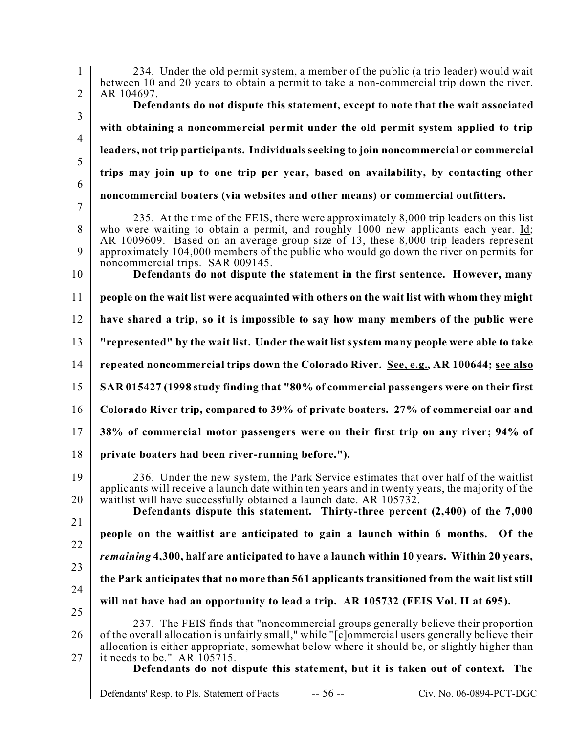1  $\mathfrak{D}$ 3 4 5 6 7 8 9 10 11 12 13 14 15 16 17 18 19 20 21 22 23 24 25 26 27 234. Under the old permit system, a member of the public (a trip leader) would wait between 10 and 20 years to obtain a permit to take a non-commercial trip down the river. AR 104697. **Defendants do not dispute this statement, except to note that the wait associated with obtaining a noncommercial permit under the old permit system applied to trip leaders, not trip participants. Individuals seeking to join noncommercial or commercial trips may join up to one trip per year, based on availability, by contacting other noncommercial boaters (via websites and other means) or commercial outfitters.**  235. At the time of the FEIS, there were approximately 8,000 trip leaders on this list who were waiting to obtain a permit, and roughly 1000 new applicants each year. Id; AR 1009609. Based on an average group size of 13, these 8,000 trip leaders represent approximately 104,000 members of the public who would go down the river on permits for noncommercial trips. SAR 009145. **Defendants do not dispute the statement in the first sentence. However, many people on the wait list were acquainted with others on the wait list with whom they might have shared a trip, so it is impossible to say how many members of the public were "represented" by the wait list. Under the wait list system many people were able to take repeated noncommercial trips down the Colorado River. See, e.g., AR 100644; see also SAR 015427 (1998 study finding that "80% of commercial passengers were on their first Colorado River trip, compared to 39% of private boaters. 27% of commercial oar and 38% of commercial motor passengers were on their first trip on any river; 94% of private boaters had been river-running before.").** 236. Under the new system, the Park Service estimates that over half of the waitlist applicants will receive a launch date within ten years and in twenty years, the majority of the waitlist will have successfully obtained a launch date. AR 105732. **Defendants dispute this statement. Thirty-three percent (2,400) of the 7,000 people on the waitlist are anticipated to gain a launch within 6 months. Of the** *remaining* **4,300, half are anticipated to have a launch within 10 years. Within 20 years, the Park anticipates that no more than 561 applicants transitioned from the wait list still will not have had an opportunity to lead a trip. AR 105732 (FEIS Vol. II at 695).** 237. The FEIS finds that "noncommercial groups generally believe their proportion of the overall allocation is unfairly small," while "[c]ommercial users generally believe their allocation is either appropriate, somewhat below where it should be, or slightly higher than it needs to be." AR 105715. **Defendants do not dispute this statement, but it is taken out of context. The**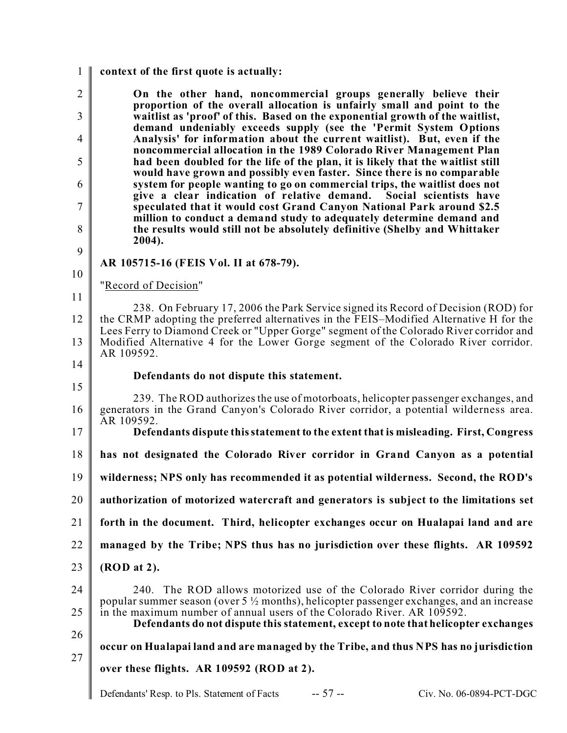1  $\mathfrak{D}$ 3 4 5 6 7 8 9 10 11 12 13 14 15 16 17 18 19 20 21 22 23  $24$ 25 26 27 **context of the first quote is actually: On the other hand, noncommercial groups generally believe their proportion of the overall allocation is unfairly small and point to the waitlist as 'proof' of this. Based on the exponential growth of the waitlist, demand undeniably exceeds supply (see the 'Permit System Options Analysis' for information about the current waitlist). But, even if the noncommercial allocation in the 1989 Colorado River Management Plan had been doubled for the life of the plan, it is likely that the waitlist still would have grown and possibly even faster. Since there is no comparable system for people wanting to go on commercial trips, the waitlist does not** give a clear indication of relative demand. **speculated that it would cost Grand Canyon National Park around \$2.5 million to conduct a demand study to adequately determine demand and the results would still not be absolutely definitive (Shelby and Whittaker 2004). AR 105715-16 (FEIS Vol. II at 678-79).** "Record of Decision" 238. On February 17, 2006 the Park Service signed its Record of Decision (ROD) for the CRMP adopting the preferred alternatives in the FEIS–Modified Alternative H for the Lees Ferry to Diamond Creek or "Upper Gorge" segment of the Colorado River corridor and Modified Alternative 4 for the Lower Gorge segment of the Colorado River corridor. AR 109592. **Defendants do not dispute this statement.** 239. The ROD authorizes the use of motorboats, helicopter passenger exchanges, and generators in the Grand Canyon's Colorado River corridor, a potential wilderness area. AR 109592. **Defendants dispute this statement to the extent that is misleading. First, Congress has not designated the Colorado River corridor in Grand Canyon as a potential wilderness; NPS only has recommended it as potential wilderness. Second, the ROD's authorization of motorized watercraft and generators is subject to the limitations set forth in the document. Third, helicopter exchanges occur on Hualapai land and are managed by the Tribe; NPS thus has no jurisdiction over these flights. AR 109592 (ROD at 2).** 240. The ROD allows motorized use of the Colorado River corridor during the popular summer season (over 5  $\frac{1}{2}$  months), helicopter passenger exchanges, and an increase in the maximum number of annual users of the Colorado River. AR 109592. **Defendants do not dispute this statement, except to note that helicopter exchanges occur on Hualapai land and are managed by the Tribe, and thus NPS has no jurisdiction over these flights. AR 109592 (ROD at 2).**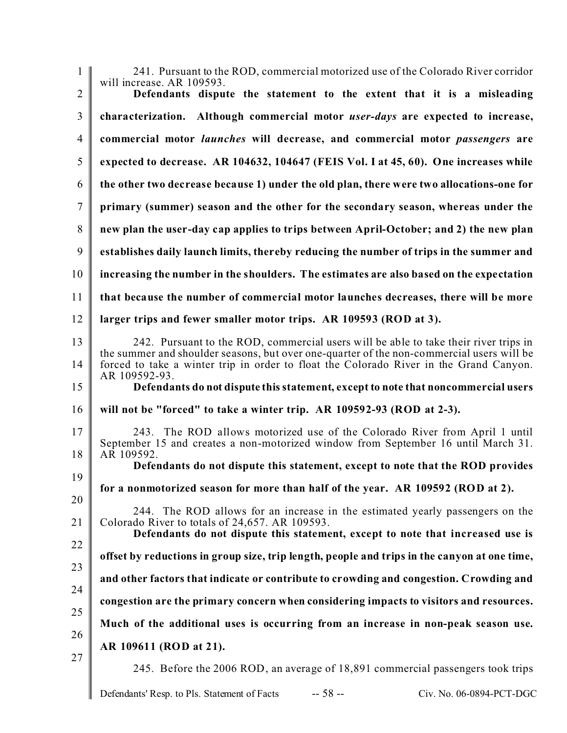| $\mathbf{1}$   | 241. Pursuant to the ROD, commercial motorized use of the Colorado River corridor<br>will increase. AR 109593.                                                                                                    |
|----------------|-------------------------------------------------------------------------------------------------------------------------------------------------------------------------------------------------------------------|
| $\overline{2}$ | Defendants dispute the statement to the extent that it is a misleading                                                                                                                                            |
| 3              | characterization. Although commercial motor user-days are expected to increase,                                                                                                                                   |
| $\overline{4}$ | commercial motor <i>launches</i> will decrease, and commercial motor <i>passengers</i> are                                                                                                                        |
| 5              | expected to decrease. AR 104632, 104647 (FEIS Vol. I at 45, 60). One increases while                                                                                                                              |
| 6              | the other two decrease because 1) under the old plan, there were two allocations-one for                                                                                                                          |
| $\tau$         | primary (summer) season and the other for the secondary season, whereas under the                                                                                                                                 |
| 8              | new plan the user-day cap applies to trips between April-October; and 2) the new plan                                                                                                                             |
| 9              | establishes daily launch limits, thereby reducing the number of trips in the summer and                                                                                                                           |
| 10             | increasing the number in the shoulders. The estimates are also based on the expectation                                                                                                                           |
| 11             | that because the number of commercial motor launches decreases, there will be more                                                                                                                                |
| 12             | larger trips and fewer smaller motor trips. AR 109593 (ROD at 3).                                                                                                                                                 |
| 13             | 242. Pursuant to the ROD, commercial users will be able to take their river trips in<br>the summer and shoulder seasons, but over one-quarter of the non-commercial users will be                                 |
| 14             | forced to take a winter trip in order to float the Colorado River in the Grand Canyon.<br>AR 109592-93.                                                                                                           |
| 15             | Defendants do not dispute this statement, except to note that noncommercial users                                                                                                                                 |
| 16             | will not be "forced" to take a winter trip. AR 109592-93 (ROD at 2-3).                                                                                                                                            |
| 17<br>18       | 243. The ROD allows motorized use of the Colorado River from April 1 until<br>September 15 and creates a non-motorized window from September 16 until March 31.<br>AR 109592.                                     |
| 19             | Defendants do not dispute this statement, except to note that the ROD provides                                                                                                                                    |
| 20             | for a nonmotorized season for more than half of the year. AR 109592 (ROD at 2).                                                                                                                                   |
| 21             | 244. The ROD allows for an increase in the estimated yearly passengers on the<br>Colorado River to totals of 24,657. AR 109593.<br>Defendants do not dispute this statement, except to note that increased use is |
| 22<br>23       | offset by reductions in group size, trip length, people and trips in the canyon at one time,                                                                                                                      |
| 24             | and other factors that indicate or contribute to crowding and congestion. Crowding and                                                                                                                            |
|                | congestion are the primary concern when considering impacts to visitors and resources.                                                                                                                            |
| 25             | Much of the additional uses is occurring from an increase in non-peak season use.                                                                                                                                 |
| 26             | AR 109611 (ROD at 21).                                                                                                                                                                                            |
| 27             | 245. Before the 2006 ROD, an average of 18,891 commercial passengers took trips                                                                                                                                   |
|                | $-58-$<br>Civ. No. 06-0894-PCT-DGC<br>Defendants' Resp. to Pls. Statement of Facts                                                                                                                                |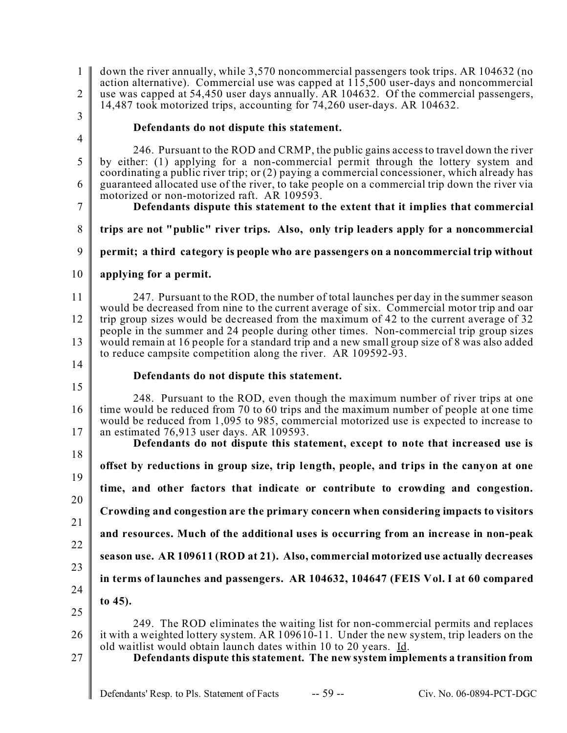1  $\mathfrak{D}$ down the river annually, while 3,570 noncommercial passengers took trips. AR 104632 (no action alternative). Commercial use was capped at 115,500 user-days and noncommercial use was capped at 54,450 user days annually. AR 104632. Of the commercial passengers, 14,487 took motorized trips, accounting for 74,260 user-days. AR 104632.

3 4

7

### **Defendants do not dispute this statement.**

5 6 246. Pursuant to the ROD and CRMP, the public gains access to travel down the river by either: (1) applying for a non-commercial permit through the lottery system and coordinating a public river trip; or (2) paying a commercial concessioner, which already has guaranteed allocated use of the river, to take people on a commercial trip down the river via motorized or non-motorized raft. AR 109593.

- **Defendants dispute this statement to the extent that it implies that commercial**
- 8 **trips are not "public" river trips. Also, only trip leaders apply for a noncommercial**
- 9 **permit; a third category is people who are passengers on a noncommercial trip without**
- 10 **applying for a permit.**

11 12 13 14 247. Pursuant to the ROD, the number of total launches per day in the summer season would be decreased from nine to the current average of six. Commercial motor trip and oar trip group sizes would be decreased from the maximum of 42 to the current average of 32 people in the summer and 24 people during other times. Non-commercial trip group sizes would remain at 16 people for a standard trip and a new small group size of 8 was also added to reduce campsite competition along the river. AR 109592-93.

15

#### **Defendants do not dispute this statement.**

16 17 248. Pursuant to the ROD, even though the maximum number of river trips at one time would be reduced from 70 to 60 trips and the maximum number of people at one time would be reduced from 1,095 to 985, commercial motorized use is expected to increase to an estimated 76,913 user days. AR 109593.

18 19 20 21 22 23 24 **Defendants do not dispute this statement, except to note that increased use is offset by reductions in group size, trip length, people, and trips in the canyon at one time, and other factors that indicate or contribute to crowding and congestion. Crowding and congestion are the primary concern when considering impacts to visitors and resources. Much of the additional uses is occurring from an increase in non-peak season use. AR 109611 (ROD at 21). Also, commercial motorized use actually decreases in terms of launches and passengers. AR 104632, 104647 (FEIS Vol. I at 60 compared to 45).**

25 26 249. The ROD eliminates the waiting list for non-commercial permits and replaces it with a weighted lottery system. AR 109610-11. Under the new system, trip leaders on the old waitlist would obtain launch dates within 10 to 20 years. Id.

27

**Defendants dispute this statement. The new system implements a transition from**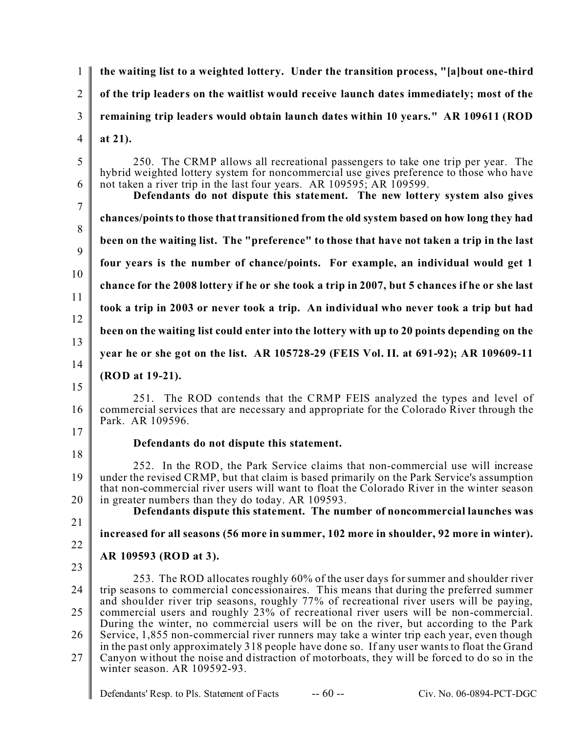1  $\mathfrak{D}$ 3 4 5 6 7 8 9 10 11 12 13 14 15 16 17 18 19 20 21 22 23 24 25 26 27 **the waiting list to a weighted lottery. Under the transition process, "[a]bout one-third of the trip leaders on the waitlist would receive launch dates immediately; most of the remaining trip leaders would obtain launch dates within 10 years." AR 109611 (ROD at 21).** 250. The CRMP allows all recreational passengers to take one trip per year. The hybrid weighted lottery system for noncommercial use gives preference to those who have not taken a river trip in the last four years. AR 109595; AR 109599. **Defendants do not dispute this statement. The new lottery system also gives chances/points to those that transitioned from the old system based on how long they had been on the waiting list. The "preference" to those that have not taken a trip in the last four years is the number of chance/points. For example, an individual would get 1 chance for the 2008 lottery if he or she took a trip in 2007, but 5 chances if he or she last took a trip in 2003 or never took a trip. An individual who never took a trip but had been on the waiting list could enter into the lottery with up to 20 points depending on the year he or she got on the list. AR 105728-29 (FEIS Vol. II. at 691-92); AR 109609-11 (ROD at 19-21).** 251. The ROD contends that the CRMP FEIS analyzed the types and level of commercial services that are necessary and appropriate for the Colorado River through the Park. AR 109596. **Defendants do not dispute this statement.** 252. In the ROD, the Park Service claims that non-commercial use will increase under the revised CRMP, but that claim is based primarily on the Park Service's assumption that non-commercial river users will want to float the Colorado River in the winter season in greater numbers than they do today. AR 109593. **Defendants dispute this statement. The number of noncommercial launches was increased for all seasons (56 more in summer, 102 more in shoulder, 92 more in winter). AR 109593 (ROD at 3).** 253. The ROD allocates roughly 60% of the user days for summer and shoulder river trip seasons to commercial concessionaires. This means that during the preferred summer and shoulder river trip seasons, roughly 77% of recreational river users will be paying, commercial users and roughly 23% of recreational river users will be non-commercial. During the winter, no commercial users will be on the river, but according to the Park Service, 1,855 non-commercial river runners may take a winter trip each year, even though in the past only approximately 318 people have done so. If any user wants to float the Grand Canyon without the noise and distraction of motorboats, they will be forced to do so in the winter season. AR 109592-93.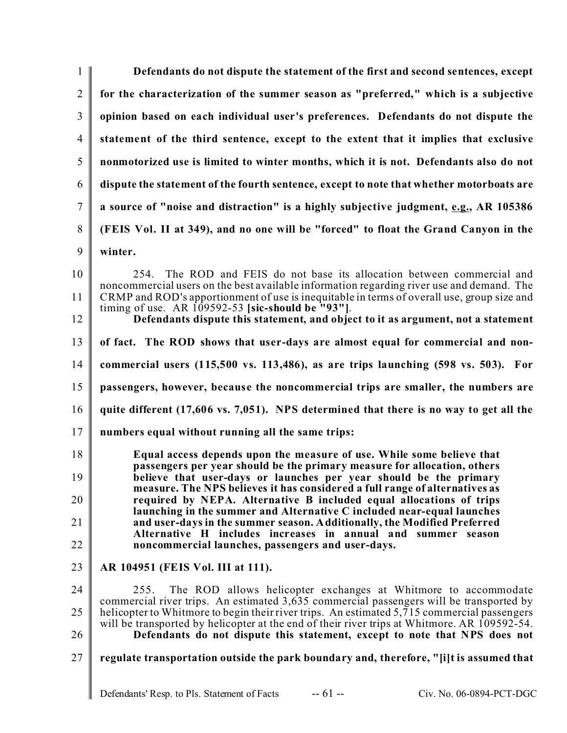| $\mathbf{1}$   | Defendants do not dispute the statement of the first and second sentences, except                                                                                                       |  |  |  |  |  |
|----------------|-----------------------------------------------------------------------------------------------------------------------------------------------------------------------------------------|--|--|--|--|--|
| $\overline{2}$ | for the characterization of the summer season as "preferred," which is a subjective                                                                                                     |  |  |  |  |  |
| 3              | opinion based on each individual user's preferences. Defendants do not dispute the                                                                                                      |  |  |  |  |  |
| $\overline{4}$ | statement of the third sentence, except to the extent that it implies that exclusive                                                                                                    |  |  |  |  |  |
| 5              | nonmotorized use is limited to winter months, which it is not. Defendants also do not                                                                                                   |  |  |  |  |  |
| 6              | dispute the statement of the fourth sentence, except to note that whether motorboats are                                                                                                |  |  |  |  |  |
| $\tau$         | a source of "noise and distraction" is a highly subjective judgment, e.g., AR 105386                                                                                                    |  |  |  |  |  |
| 8              | (FEIS Vol. II at 349), and no one will be "forced" to float the Grand Canyon in the                                                                                                     |  |  |  |  |  |
| 9              | winter.                                                                                                                                                                                 |  |  |  |  |  |
| 10             | 254. The ROD and FEIS do not base its allocation between commercial and                                                                                                                 |  |  |  |  |  |
| 11             | noncommercial users on the best available information regarding river use and demand. The<br>CRMP and ROD's apportionment of use is inequitable in terms of overall use, group size and |  |  |  |  |  |
| 12             | timing of use. AR $109592-53$ [sic-should be "93"].<br>Defendants dispute this statement, and object to it as argument, not a statement                                                 |  |  |  |  |  |
| 13             | of fact. The ROD shows that user-days are almost equal for commercial and non-                                                                                                          |  |  |  |  |  |
| 14             | commercial users $(115,500 \text{ vs. } 113,486)$ , as are trips launching $(598 \text{ vs. } 503)$ . For                                                                               |  |  |  |  |  |
| 15             | passengers, however, because the noncommercial trips are smaller, the numbers are                                                                                                       |  |  |  |  |  |
| 16             | quite different (17,606 vs. 7,051). NPS determined that there is no way to get all the                                                                                                  |  |  |  |  |  |
| 17             | numbers equal without running all the same trips:                                                                                                                                       |  |  |  |  |  |
| 18             | Equal access depends upon the measure of use. While some believe that<br>passengers per year should be the primary measure for allocation, others                                       |  |  |  |  |  |
| 19             | believe that user-days or launches per year should be the primary<br>measure. The NPS believes it has considered a full range of alternatives as                                        |  |  |  |  |  |
| 20             | required by NEPA. Alternative B included equal allocations of trips<br>launching in the summer and Alternative C included near-equal launches                                           |  |  |  |  |  |
| 21             | and user-days in the summer season. Additionally, the Modified Preferred<br>Alternative H includes increases in annual and summer season                                                |  |  |  |  |  |
| 22             | noncommercial launches, passengers and user-days.                                                                                                                                       |  |  |  |  |  |
| 23             | AR 104951 (FEIS Vol. III at 111).                                                                                                                                                       |  |  |  |  |  |
| 24             | The ROD allows helicopter exchanges at Whitmore to accommodate<br>255.                                                                                                                  |  |  |  |  |  |
| 25             | commercial river trips. An estimated 3,635 commercial passengers will be transported by<br>helicopter to Whitmore to begin their river trips. An estimated 5,715 commercial passengers  |  |  |  |  |  |
| 26             | will be transported by helicopter at the end of their river trips at Whitmore. AR 109592-54.<br>Defendants do not dispute this statement, except to note that NPS does not              |  |  |  |  |  |
| 27             | regulate transportation outside the park boundary and, therefore, "[i]t is assumed that                                                                                                 |  |  |  |  |  |
|                | $-61 -$<br>Defendants' Resp. to Pls. Statement of Facts<br>Civ. No. 06-0894-PCT-DGC                                                                                                     |  |  |  |  |  |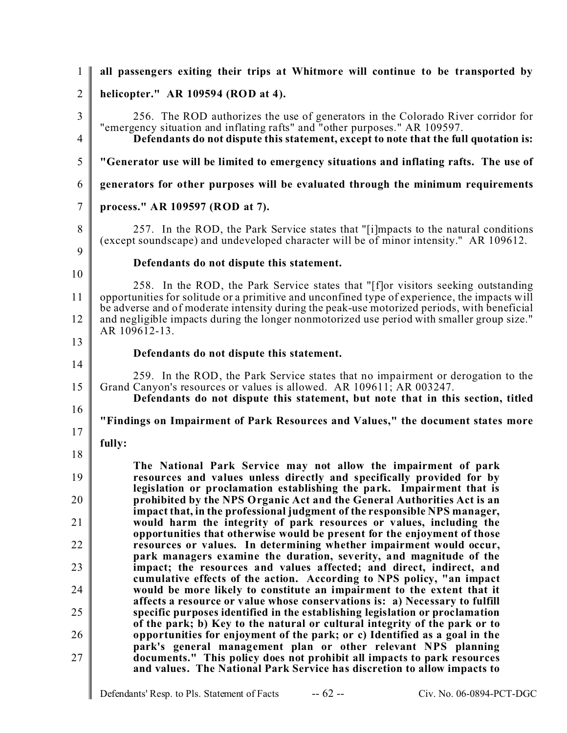| $\mathbf{1}$   | all passengers exiting their trips at Whitmore will continue to be transported by                                                                                                                                                           |  |  |  |  |
|----------------|---------------------------------------------------------------------------------------------------------------------------------------------------------------------------------------------------------------------------------------------|--|--|--|--|
| $\overline{2}$ | helicopter." AR 109594 (ROD at 4).                                                                                                                                                                                                          |  |  |  |  |
| 3              | 256. The ROD authorizes the use of generators in the Colorado River corridor for                                                                                                                                                            |  |  |  |  |
| $\overline{4}$ | "emergency situation and inflating rafts" and "other purposes." AR 109597.<br>Defendants do not dispute this statement, except to note that the full quotation is:                                                                          |  |  |  |  |
| 5              | "Generator use will be limited to emergency situations and inflating rafts. The use of                                                                                                                                                      |  |  |  |  |
| 6              | generators for other purposes will be evaluated through the minimum requirements                                                                                                                                                            |  |  |  |  |
| $\tau$         | process." AR 109597 (ROD at 7).                                                                                                                                                                                                             |  |  |  |  |
| 8<br>9         | 257. In the ROD, the Park Service states that "[i]mpacts to the natural conditions<br>(except soundscape) and undeveloped character will be of minor intensity." AR 109612.                                                                 |  |  |  |  |
|                | Defendants do not dispute this statement.                                                                                                                                                                                                   |  |  |  |  |
| 10<br>11       | 258. In the ROD, the Park Service states that "[f] or visitors seeking outstanding<br>opportunities for solitude or a primitive and unconfined type of experience, the impacts will                                                         |  |  |  |  |
| 12             | be adverse and of moderate intensity during the peak-use motorized periods, with beneficial<br>and negligible impacts during the longer nonmotorized use period with smaller group size."<br>AR 109612-13.                                  |  |  |  |  |
| 13<br>14       | Defendants do not dispute this statement.                                                                                                                                                                                                   |  |  |  |  |
| 15             | 259. In the ROD, the Park Service states that no impairment or derogation to the<br>Grand Canyon's resources or values is allowed. AR 109611; AR 003247.<br>Defendants do not dispute this statement, but note that in this section, titled |  |  |  |  |
| 16             | "Findings on Impairment of Park Resources and Values," the document states more                                                                                                                                                             |  |  |  |  |
| 17             | fully:                                                                                                                                                                                                                                      |  |  |  |  |
| 18             | The National Park Service may not allow the impairment of park                                                                                                                                                                              |  |  |  |  |
| 19             | resources and values unless directly and specifically provided for by<br>legislation or proclamation establishing the park. Impairment that is                                                                                              |  |  |  |  |
| 20             | prohibited by the NPS Organic Act and the General Authorities Act is an<br>impact that, in the professional judgment of the responsible NPS manager,                                                                                        |  |  |  |  |
| 21             | would harm the integrity of park resources or values, including the<br>opportunities that otherwise would be present for the enjoyment of those                                                                                             |  |  |  |  |
| 22             | resources or values. In determining whether impairment would occur,<br>park managers examine the duration, severity, and magnitude of the                                                                                                   |  |  |  |  |
| 23             | impact; the resources and values affected; and direct, indirect, and<br>cumulative effects of the action. According to NPS policy, "an impact                                                                                               |  |  |  |  |
| 24             | would be more likely to constitute an impairment to the extent that it<br>affects a resource or value whose conservations is: a) Necessary to fulfill                                                                                       |  |  |  |  |
| 25             | specific purposes identified in the establishing legislation or proclamation<br>of the park; b) Key to the natural or cultural integrity of the park or to                                                                                  |  |  |  |  |
| 26             | opportunities for enjoyment of the park; or c) Identified as a goal in the<br>park's general management plan or other relevant NPS planning                                                                                                 |  |  |  |  |
| 27             | documents." This policy does not prohibit all impacts to park resources<br>and values. The National Park Service has discretion to allow impacts to                                                                                         |  |  |  |  |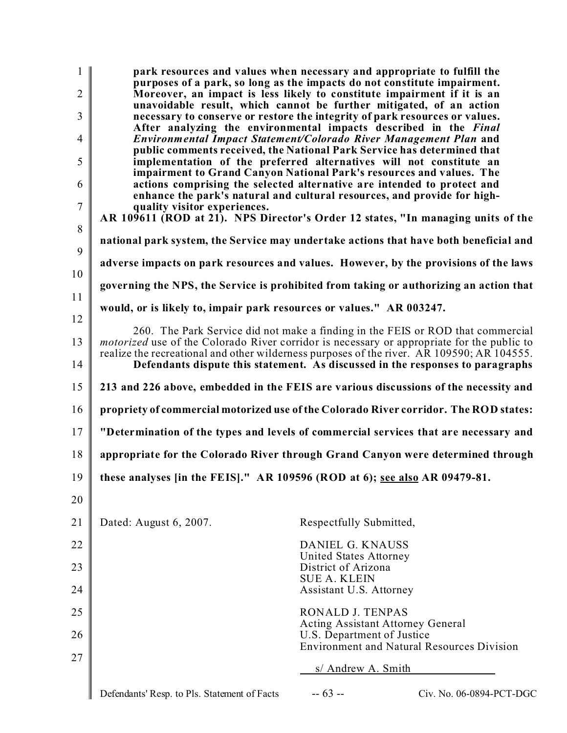| $\overline{2}$<br>3<br>$\overline{4}$ | park resources and values when necessary and appropriate to fulfill the<br>purposes of a park, so long as the impacts do not constitute impairment.<br>Moreover, an impact is less likely to constitute impairment if it is an<br>unavoidable result, which cannot be further mitigated, of an action<br>necessary to conserve or restore the integrity of park resources or values.<br>After analyzing the environmental impacts described in the Final<br>Environmental Impact Statement/Colorado River Management Plan and |                                                              |                                                   |  |  |  |
|---------------------------------------|-------------------------------------------------------------------------------------------------------------------------------------------------------------------------------------------------------------------------------------------------------------------------------------------------------------------------------------------------------------------------------------------------------------------------------------------------------------------------------------------------------------------------------|--------------------------------------------------------------|---------------------------------------------------|--|--|--|
| 5                                     | public comments received, the National Park Service has determined that<br>implementation of the preferred alternatives will not constitute an<br>impairment to Grand Canyon National Park's resources and values. The                                                                                                                                                                                                                                                                                                        |                                                              |                                                   |  |  |  |
| 6                                     | actions comprising the selected alternative are intended to protect and<br>enhance the park's natural and cultural resources, and provide for high-                                                                                                                                                                                                                                                                                                                                                                           |                                                              |                                                   |  |  |  |
| $\overline{7}$<br>8                   | quality visitor experiences.<br>AR 109611 (ROD at 21). NPS Director's Order 12 states, "In managing units of the                                                                                                                                                                                                                                                                                                                                                                                                              |                                                              |                                                   |  |  |  |
| 9                                     | national park system, the Service may undertake actions that have both beneficial and                                                                                                                                                                                                                                                                                                                                                                                                                                         |                                                              |                                                   |  |  |  |
| 10                                    | adverse impacts on park resources and values. However, by the provisions of the laws                                                                                                                                                                                                                                                                                                                                                                                                                                          |                                                              |                                                   |  |  |  |
| 11                                    | governing the NPS, the Service is prohibited from taking or authorizing an action that                                                                                                                                                                                                                                                                                                                                                                                                                                        |                                                              |                                                   |  |  |  |
| 12                                    | would, or is likely to, impair park resources or values." AR 003247.                                                                                                                                                                                                                                                                                                                                                                                                                                                          |                                                              |                                                   |  |  |  |
| 13                                    | 260. The Park Service did not make a finding in the FEIS or ROD that commercial<br><i>motorized</i> use of the Colorado River corridor is necessary or appropriate for the public to                                                                                                                                                                                                                                                                                                                                          |                                                              |                                                   |  |  |  |
| 14                                    | realize the recreational and other wilderness purposes of the river. AR 109590; AR 104555.<br>Defendants dispute this statement. As discussed in the responses to paragraphs                                                                                                                                                                                                                                                                                                                                                  |                                                              |                                                   |  |  |  |
| 15                                    | 213 and 226 above, embedded in the FEIS are various discussions of the necessity and                                                                                                                                                                                                                                                                                                                                                                                                                                          |                                                              |                                                   |  |  |  |
| 16                                    | propriety of commercial motorized use of the Colorado River corridor. The ROD states:                                                                                                                                                                                                                                                                                                                                                                                                                                         |                                                              |                                                   |  |  |  |
| 17                                    | "Determination of the types and levels of commercial services that are necessary and                                                                                                                                                                                                                                                                                                                                                                                                                                          |                                                              |                                                   |  |  |  |
| 18                                    | appropriate for the Colorado River through Grand Canyon were determined through                                                                                                                                                                                                                                                                                                                                                                                                                                               |                                                              |                                                   |  |  |  |
| 19                                    | these analyses [in the FEIS]." AR 109596 (ROD at 6); see also AR 09479-81.                                                                                                                                                                                                                                                                                                                                                                                                                                                    |                                                              |                                                   |  |  |  |
| 20                                    |                                                                                                                                                                                                                                                                                                                                                                                                                                                                                                                               |                                                              |                                                   |  |  |  |
| 21                                    | Dated: August 6, 2007.                                                                                                                                                                                                                                                                                                                                                                                                                                                                                                        | Respectfully Submitted,                                      |                                                   |  |  |  |
| 22                                    |                                                                                                                                                                                                                                                                                                                                                                                                                                                                                                                               | DANIEL G. KNAUSS<br>United States Attorney                   |                                                   |  |  |  |
| 23                                    |                                                                                                                                                                                                                                                                                                                                                                                                                                                                                                                               | District of Arizona<br><b>SUE A. KLEIN</b>                   |                                                   |  |  |  |
| 24                                    |                                                                                                                                                                                                                                                                                                                                                                                                                                                                                                                               | Assistant U.S. Attorney                                      |                                                   |  |  |  |
| 25                                    |                                                                                                                                                                                                                                                                                                                                                                                                                                                                                                                               | RONALD J. TENPAS<br><b>Acting Assistant Attorney General</b> |                                                   |  |  |  |
| 26                                    |                                                                                                                                                                                                                                                                                                                                                                                                                                                                                                                               | U.S. Department of Justice                                   | <b>Environment and Natural Resources Division</b> |  |  |  |
| 27<br>s/ Andrew A. Smith              |                                                                                                                                                                                                                                                                                                                                                                                                                                                                                                                               |                                                              |                                                   |  |  |  |
|                                       | Defendants' Resp. to Pls. Statement of Facts                                                                                                                                                                                                                                                                                                                                                                                                                                                                                  | $-63 -$                                                      | Civ. No. 06-0894-PCT-DGC                          |  |  |  |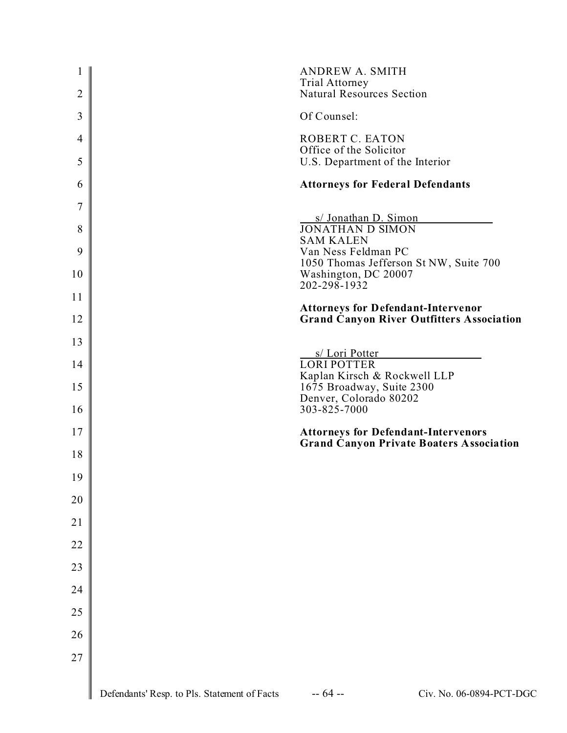| 1<br>2         |                                              | <b>ANDREW A. SMITH</b><br><b>Trial Attorney</b><br><b>Natural Resources Section</b>           |                                                  |
|----------------|----------------------------------------------|-----------------------------------------------------------------------------------------------|--------------------------------------------------|
| 3              |                                              | Of Counsel:                                                                                   |                                                  |
| $\overline{4}$ |                                              | ROBERT C. EATON<br>Office of the Solicitor                                                    |                                                  |
| 5              |                                              | U.S. Department of the Interior                                                               |                                                  |
| 6              |                                              | <b>Attorneys for Federal Defendants</b>                                                       |                                                  |
| 7              |                                              | s/ Jonathan D. Simon                                                                          |                                                  |
| 8              |                                              | <b>JONATHAN D SIMON</b><br><b>SAM KALEN</b>                                                   |                                                  |
| 9              |                                              | Van Ness Feldman PC<br>1050 Thomas Jefferson St NW, Suite 700                                 |                                                  |
| 10             |                                              | Washington, DC 20007<br>202-298-1932                                                          |                                                  |
| 11             |                                              | <b>Attorneys for Defendant-Intervenor</b>                                                     |                                                  |
| 12             |                                              |                                                                                               | <b>Grand Canyon River Outfitters Association</b> |
| 13             |                                              | s/ Lori Potter                                                                                |                                                  |
| 14             |                                              | <b>LORI POTTER</b><br>Kaplan Kirsch & Rockwell LLP                                            |                                                  |
| 15             |                                              | 1675 Broadway, Suite 2300<br>Denver, Colorado 80202                                           |                                                  |
| 16             |                                              | 303-825-7000                                                                                  |                                                  |
| 17             |                                              | <b>Attorneys for Defendant-Intervenors</b><br><b>Grand Canyon Private Boaters Association</b> |                                                  |
| 18             |                                              |                                                                                               |                                                  |
| 19             |                                              |                                                                                               |                                                  |
| 20             |                                              |                                                                                               |                                                  |
| 21             |                                              |                                                                                               |                                                  |
| 22             |                                              |                                                                                               |                                                  |
| 23             |                                              |                                                                                               |                                                  |
| 24             |                                              |                                                                                               |                                                  |
| 25             |                                              |                                                                                               |                                                  |
| 26             |                                              |                                                                                               |                                                  |
| 27             |                                              |                                                                                               |                                                  |
|                | Defendants' Resp. to Pls. Statement of Facts | $-64 -$                                                                                       | Civ. No. 06-0894-PCT-DGC                         |